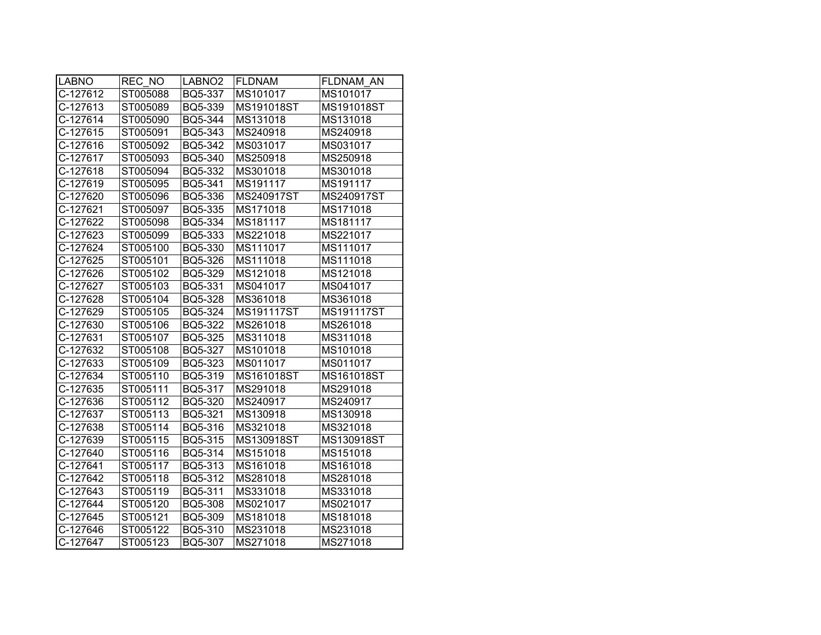| <b>LABNO</b> | REC NO   | LABNO <sub>2</sub> | <b>FLDNAM</b> | FLDNAM AN  |
|--------------|----------|--------------------|---------------|------------|
| C-127612     | ST005088 | BQ5-337            | MS101017      | MS101017   |
| C-127613     | ST005089 | BQ5-339            | MS191018ST    | MS191018ST |
| C-127614     | ST005090 | BQ5-344            | MS131018      | MS131018   |
| C-127615     | ST005091 | BQ5-343            | MS240918      | MS240918   |
| C-127616     | ST005092 | BQ5-342            | MS031017      | MS031017   |
| C-127617     | ST005093 | BQ5-340            | MS250918      | MS250918   |
| C-127618     | ST005094 | BQ5-332            | MS301018      | MS301018   |
| C-127619     | ST005095 | BQ5-341            | MS191117      | MS191117   |
| C-127620     | ST005096 | BQ5-336            | MS240917ST    | MS240917ST |
| C-127621     | ST005097 | BQ5-335            | MS171018      | MS171018   |
| C-127622     | ST005098 | BQ5-334            | MS181117      | MS181117   |
| C-127623     | ST005099 | BQ5-333            | MS221018      | MS221017   |
| C-127624     | ST005100 | BQ5-330            | MS111017      | MS111017   |
| C-127625     | ST005101 | BQ5-326            | MS111018      | MS111018   |
| C-127626     | ST005102 | BQ5-329            | MS121018      | MS121018   |
| C-127627     | ST005103 | BQ5-331            | MS041017      | MS041017   |
| C-127628     | ST005104 | <b>BQ5-328</b>     | MS361018      | MS361018   |
| C-127629     | ST005105 | BQ5-324            | MS191117ST    | MS191117ST |
| C-127630     | ST005106 | BQ5-322            | MS261018      | MS261018   |
| C-127631     | ST005107 | BQ5-325            | MS311018      | MS311018   |
| C-127632     | ST005108 | BQ5-327            | MS101018      | MS101018   |
| C-127633     | ST005109 | BQ5-323            | MS011017      | MS011017   |
| C-127634     | ST005110 | BQ5-319            | MS161018ST    | MS161018ST |
| C-127635     | ST005111 | BQ5-317            | MS291018      | MS291018   |
| C-127636     | ST005112 | BQ5-320            | MS240917      | MS240917   |
| C-127637     | ST005113 | BQ5-321            | MS130918      | MS130918   |
| C-127638     | ST005114 | BQ5-316            | MS321018      | MS321018   |
| C-127639     | ST005115 | BQ5-315            | MS130918ST    | MS130918ST |
| C-127640     | ST005116 | BQ5-314            | MS151018      | MS151018   |
| C-127641     | ST005117 | BQ5-313            | MS161018      | MS161018   |
| C-127642     | ST005118 | BQ5-312            | MS281018      | MS281018   |
| C-127643     | ST005119 | BQ5-311            | MS331018      | MS331018   |
| C-127644     | ST005120 | <b>BQ5-308</b>     | MS021017      | MS021017   |
| C-127645     | ST005121 | <b>BQ5-309</b>     | MS181018      | MS181018   |
| C-127646     | ST005122 | BQ5-310            | MS231018      | MS231018   |
| C-127647     | ST005123 | BQ5-307            | MS271018      | MS271018   |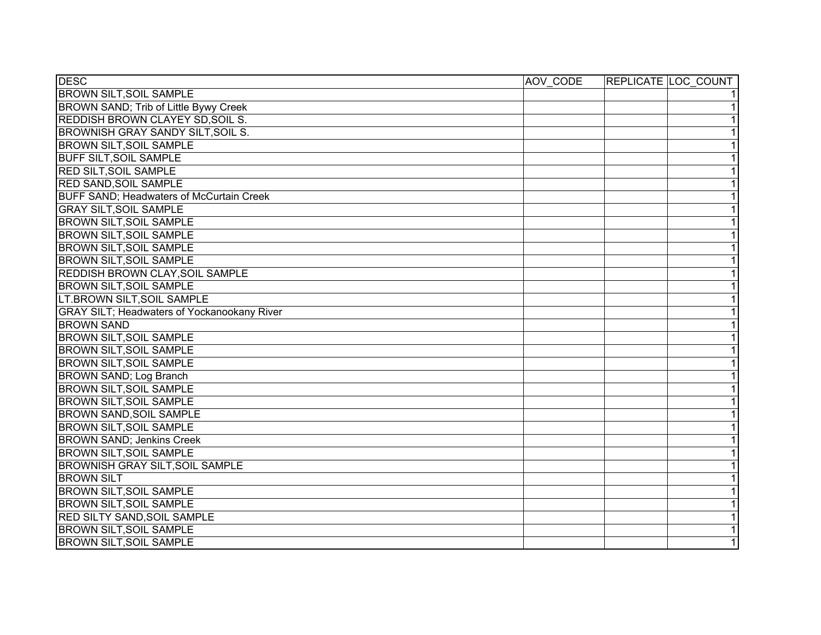| <b>DESC</b>                                        | AOV CODE | REPLICATE LOC COUNT |
|----------------------------------------------------|----------|---------------------|
| <b>BROWN SILT, SOIL SAMPLE</b>                     |          | 11                  |
| BROWN SAND; Trib of Little Bywy Creek              |          | $\overline{1}$      |
| <b>REDDISH BROWN CLAYEY SD, SOIL S.</b>            |          | $\overline{1}$      |
| BROWNISH GRAY SANDY SILT, SOIL S.                  |          | $\overline{1}$      |
| <b>BROWN SILT, SOIL SAMPLE</b>                     |          | $\overline{1}$      |
| <b>BUFF SILT, SOIL SAMPLE</b>                      |          | 1                   |
| <b>RED SILT, SOIL SAMPLE</b>                       |          | $\overline{1}$      |
| <b>RED SAND, SOIL SAMPLE</b>                       |          | 1                   |
| <b>BUFF SAND; Headwaters of McCurtain Creek</b>    |          | $\overline{1}$      |
| <b>GRAY SILT, SOIL SAMPLE</b>                      |          | $\overline{1}$      |
| <b>BROWN SILT, SOIL SAMPLE</b>                     |          | 1                   |
| <b>BROWN SILT, SOIL SAMPLE</b>                     |          | $\overline{1}$      |
| <b>BROWN SILT, SOIL SAMPLE</b>                     |          | 1                   |
| <b>BROWN SILT, SOIL SAMPLE</b>                     |          | $\overline{1}$      |
| <b>REDDISH BROWN CLAY, SOIL SAMPLE</b>             |          | 1                   |
| <b>BROWN SILT, SOIL SAMPLE</b>                     |          | $\overline{1}$      |
| LT.BROWN SILT, SOIL SAMPLE                         |          | 1                   |
| <b>GRAY SILT; Headwaters of Yockanookany River</b> |          | 1                   |
| <b>BROWN SAND</b>                                  |          | $\overline{1}$      |
| <b>BROWN SILT, SOIL SAMPLE</b>                     |          | $\overline{1}$      |
| <b>BROWN SILT, SOIL SAMPLE</b>                     |          | $\overline{1}$      |
| <b>BROWN SILT, SOIL SAMPLE</b>                     |          | 1                   |
| BROWN SAND; Log Branch                             |          | $\overline{1}$      |
| <b>BROWN SILT, SOIL SAMPLE</b>                     |          | $\overline{1}$      |
| <b>BROWN SILT, SOIL SAMPLE</b>                     |          | 1                   |
| <b>BROWN SAND, SOIL SAMPLE</b>                     |          | 1                   |
| <b>BROWN SILT, SOIL SAMPLE</b>                     |          | $\overline{1}$      |
| <b>BROWN SAND; Jenkins Creek</b>                   |          | $\overline{1}$      |
| <b>BROWN SILT, SOIL SAMPLE</b>                     |          | $\overline{1}$      |
| <b>BROWNISH GRAY SILT, SOIL SAMPLE</b>             |          | $\overline{1}$      |
| <b>BROWN SILT</b>                                  |          | $\overline{1}$      |
| <b>BROWN SILT, SOIL SAMPLE</b>                     |          | $\overline{1}$      |
| <b>BROWN SILT, SOIL SAMPLE</b>                     |          | $\overline{1}$      |
| <b>RED SILTY SAND, SOIL SAMPLE</b>                 |          | $\overline{1}$      |
| <b>BROWN SILT, SOIL SAMPLE</b>                     |          | $\overline{1}$      |
| <b>BROWN SILT, SOIL SAMPLE</b>                     |          | $\overline{1}$      |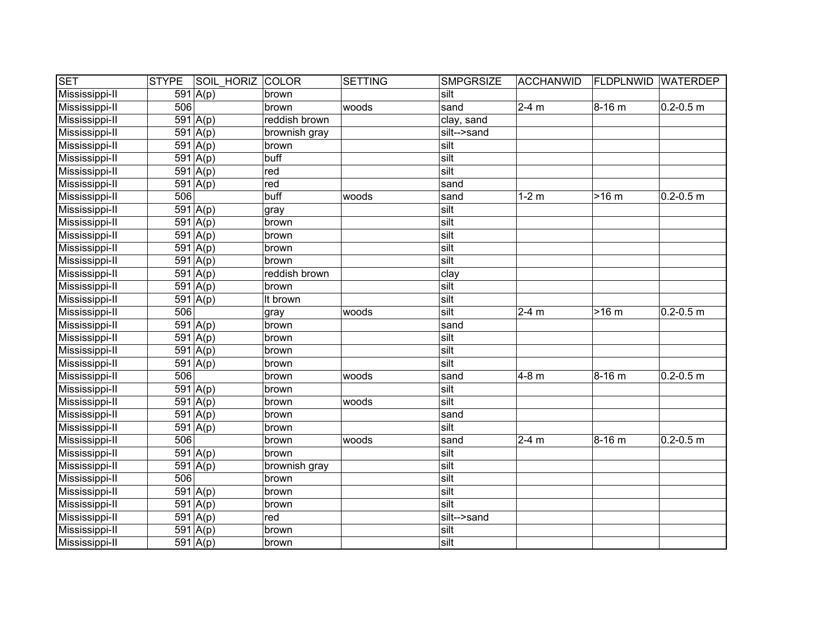| <b>SET</b>     | <b>STYPE</b> | <b>SOIL HORIZ COLOR</b> |               | SETTING | <b>SMPGRSIZE</b> | <b>ACCHANWID</b>    | <b>FLDPLNWID WATERDEP</b> |                         |
|----------------|--------------|-------------------------|---------------|---------|------------------|---------------------|---------------------------|-------------------------|
| Mississippi-II |              | $\overline{591}$ A(p)   | brown         |         | silt             |                     |                           |                         |
| Mississippi-II | 506          |                         | brown         | woods   | sand             | $2-4$ m             | $8 - 16$ m                | $0.2 - 0.5$ m           |
| Mississippi-II |              | 591   A(p)              | reddish brown |         | clay, sand       |                     |                           |                         |
| Mississippi-II |              | $591 \vert A(p)$        | brownish gray |         | silt-->sand      |                     |                           |                         |
| Mississippi-II |              | 591   A(p)              | brown         |         | silt             |                     |                           |                         |
| Mississippi-II |              | 591   A(p)              | buff          |         | silt             |                     |                           |                         |
| Mississippi-II |              | 591   A(p)              | red           |         | silt             |                     |                           |                         |
| Mississippi-II |              | 591   A(p)              | red           |         | sand             |                     |                           |                         |
| Mississippi-II | 506          |                         | buff          | woods   | sand             | $1-2$ m             | $>16$ m                   | $0.2 - 0.5$ m           |
| Mississippi-II |              | 591 $A(p)$              | gray          |         | silt             |                     |                           |                         |
| Mississippi-II |              | $\overline{591 A(p)}$   | brown         |         | silt             |                     |                           |                         |
| Mississippi-II |              | 591   A(p)              | brown         |         | silt             |                     |                           |                         |
| Mississippi-II |              | 591 $A(p)$              | brown         |         | silt             |                     |                           |                         |
| Mississippi-II |              | 591 $A(p)$              | brown         |         | silt             |                     |                           |                         |
| Mississippi-II |              | 591 $A(p)$              | reddish brown |         | clay             |                     |                           |                         |
| Mississippi-II |              | 591 $A(p)$              | brown         |         | silt             |                     |                           |                         |
| Mississippi-II |              | $\overline{591}$ A(p)   | It brown      |         | silt             |                     |                           |                         |
| Mississippi-II | 506          |                         | gray          | woods   | silt             | $2-4$ m             | $>16$ m                   | $0.2 - 0.5$ m           |
| Mississippi-II |              | 591 $A(p)$              | brown         |         | sand             |                     |                           |                         |
| Mississippi-II |              | 591 $A(p)$              | brown         |         | silt             |                     |                           |                         |
| Mississippi-II |              | $\overline{591 A(p)}$   | brown         |         | silt             |                     |                           |                         |
| Mississippi-II |              | 591 $A(p)$              | brown         |         | silt             |                     |                           |                         |
| Mississippi-II | 506          |                         | brown         | woods   | sand             | $4-8$ m             | $8 - 16$ m                | $0.2 - 0.5$ m           |
| Mississippi-II |              | 591 $A(p)$              | brown         |         | silt             |                     |                           |                         |
| Mississippi-II |              | 591 $A(p)$              | brown         | woods   | silt             |                     |                           |                         |
| Mississippi-II |              | 591 $A(p)$              | brown         |         | sand             |                     |                           |                         |
| Mississippi-II |              | $\overline{591}$ A(p)   | brown         |         | silt             |                     |                           |                         |
| Mississippi-II | 506          |                         | brown         | woods   | sand             | $\overline{2}$ -4 m | 8-16 m                    | $\overline{0.2}$ -0.5 m |
| Mississippi-II |              | 591   A(p)              | brown         |         | silt             |                     |                           |                         |
| Mississippi-II |              | 591   A(p)              | brownish gray |         | silt             |                     |                           |                         |
| Mississippi-II | 506          |                         | brown         |         | silt             |                     |                           |                         |
| Mississippi-II |              | 591 $A(p)$              | brown         |         | silt             |                     |                           |                         |
| Mississippi-II |              | 591   A(p)              | brown         |         | silt             |                     |                           |                         |
| Mississippi-II |              | $591 \vert A(p)$        | red           |         | silt-->sand      |                     |                           |                         |
| Mississippi-II |              | $591 \vert A(p)$        | brown         |         | silt             |                     |                           |                         |
| Mississippi-II |              | 591 $A(p)$              | brown         |         | silt             |                     |                           |                         |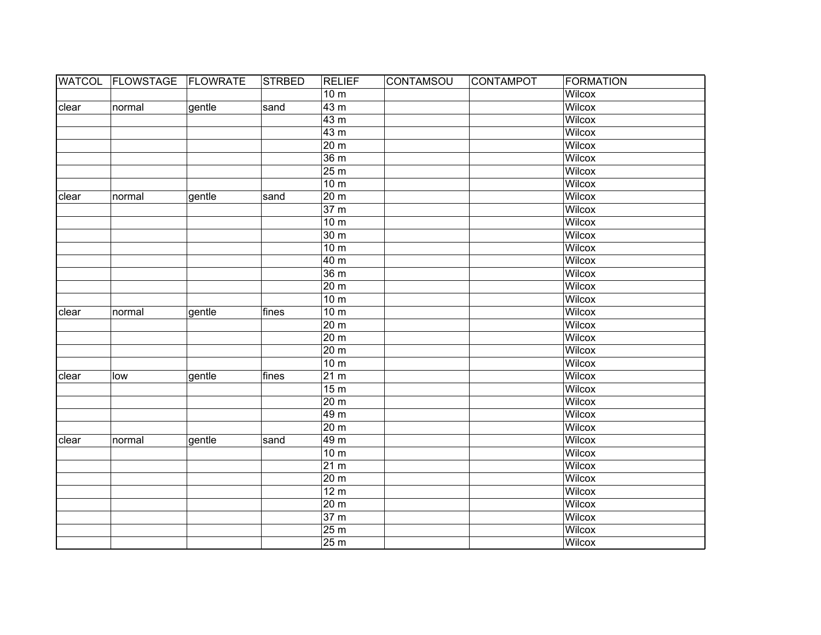|       | WATCOL FLOWSTAGE FLOWRATE |        | <b>STRBED</b> | <b>RELIEF</b>             | <b>CONTAMSOU</b> | CONTAMPOT | <b>FORMATION</b> |
|-------|---------------------------|--------|---------------|---------------------------|------------------|-----------|------------------|
|       |                           |        |               | 10 <sub>m</sub>           |                  |           | <b>Wilcox</b>    |
| clear | normal                    | gentle | sand          | 43 <sub>m</sub>           |                  |           | <b>Wilcox</b>    |
|       |                           |        |               | 43 <sub>m</sub>           |                  |           | <b>Wilcox</b>    |
|       |                           |        |               | 43 <sub>m</sub>           |                  |           | <b>Wilcox</b>    |
|       |                           |        |               | 20 <sub>m</sub>           |                  |           | <b>Wilcox</b>    |
|       |                           |        |               | 36 <sub>m</sub>           |                  |           | <b>Wilcox</b>    |
|       |                           |        |               | 25 <sub>m</sub>           |                  |           | <b>Wilcox</b>    |
|       |                           |        |               | 10 <sub>m</sub>           |                  |           | <b>Wilcox</b>    |
| clear | normal                    | gentle | sand          | 20 <sub>m</sub>           |                  |           | <b>Wilcox</b>    |
|       |                           |        |               | 37 <sub>m</sub>           |                  |           | <b>Wilcox</b>    |
|       |                           |        |               | 10 <sub>m</sub>           |                  |           | Wilcox           |
|       |                           |        |               | 30 m                      |                  |           | Wilcox           |
|       |                           |        |               | 10 <sub>m</sub>           |                  |           | Wilcox           |
|       |                           |        |               | 40 m                      |                  |           | Wilcox           |
|       |                           |        |               | 36 <sub>m</sub>           |                  |           | <b>Wilcox</b>    |
|       |                           |        |               | 20 m                      |                  |           | Wilcox           |
|       |                           |        |               | 10 <sub>m</sub>           |                  |           | Wilcox           |
| clear | normal                    | gentle | fines         | 10 <sub>m</sub>           |                  |           | Wilcox           |
|       |                           |        |               | 20 <sub>m</sub>           |                  |           | Wilcox           |
|       |                           |        |               | 20 m                      |                  |           | Wilcox           |
|       |                           |        |               | 20 <sub>m</sub>           |                  |           | Wilcox           |
|       |                           |        |               | 10 <sub>m</sub>           |                  |           | Wilcox           |
| clear | low                       | gentle | fines         | 21 <sub>m</sub>           |                  |           | Wilcox           |
|       |                           |        |               | 15 <sub>m</sub>           |                  |           | Wilcox           |
|       |                           |        |               | 20 m                      |                  |           | Wilcox           |
|       |                           |        |               | 49 m                      |                  |           | <b>Wilcox</b>    |
|       |                           |        |               | 20 <sub>m</sub>           |                  |           | Wilcox           |
| clear | normal                    | gentle | sand          | 49 m                      |                  |           | <b>Wilcox</b>    |
|       |                           |        |               | 10 <sub>m</sub>           |                  |           | <b>Wilcox</b>    |
|       |                           |        |               | 21 m                      |                  |           | <b>Wilcox</b>    |
|       |                           |        |               | 20 m                      |                  |           | Wilcox           |
|       |                           |        |               | 12 <sub>m</sub>           |                  |           | <b>Wilcox</b>    |
|       |                           |        |               | $\overline{20}$ m         |                  |           | Wilcox           |
|       |                           |        |               | 37 <sub>m</sub>           |                  |           | <b>Wilcox</b>    |
|       |                           |        |               | 25 <sub>m</sub>           |                  |           | Wilcox           |
|       |                           |        |               | $\overline{2}5 \text{ m}$ |                  |           | Wilcox           |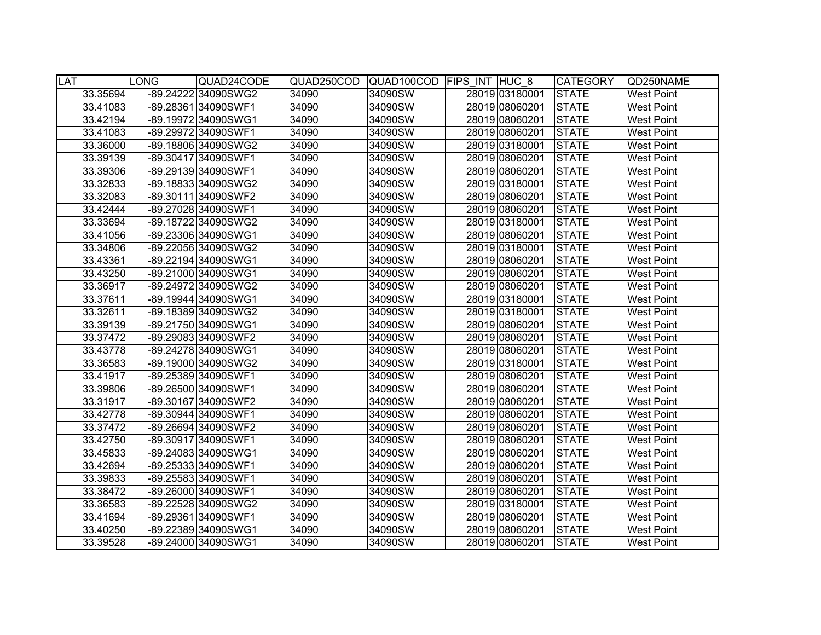| <b>LAT</b> |          | <b>LONG</b> | QUAD24CODE          | QUAD250COD |         | QUAD100COD FIPS INT HUC 8 | <b>CATEGORY</b> | QD250NAME         |
|------------|----------|-------------|---------------------|------------|---------|---------------------------|-----------------|-------------------|
|            | 33.35694 |             | -89.24222 34090SWG2 | 34090      | 34090SW | 28019 03180001            | <b>STATE</b>    | <b>West Point</b> |
|            | 33.41083 |             | -89.28361 34090SWF1 | 34090      | 34090SW | 28019 08060201            | <b>STATE</b>    | <b>West Point</b> |
|            | 33.42194 |             | -89.19972 34090SWG1 | 34090      | 34090SW | 28019 08060201            | <b>STATE</b>    | <b>West Point</b> |
|            | 33.41083 |             | -89.29972 34090SWF1 | 34090      | 34090SW | 28019 08060201            | <b>STATE</b>    | <b>West Point</b> |
|            | 33.36000 |             | -89.18806 34090SWG2 | 34090      | 34090SW | 28019 03180001            | <b>STATE</b>    | <b>West Point</b> |
|            | 33.39139 |             | -89.30417 34090SWF1 | 34090      | 34090SW | 28019 08060201            | <b>STATE</b>    | <b>West Point</b> |
|            | 33.39306 |             | -89.29139 34090SWF1 | 34090      | 34090SW | 28019 08060201            | <b>STATE</b>    | <b>West Point</b> |
|            | 33.32833 |             | -89.18833 34090SWG2 | 34090      | 34090SW | 28019 03180001            | <b>STATE</b>    | <b>West Point</b> |
|            | 33.32083 |             | -89.30111 34090SWF2 | 34090      | 34090SW | 28019 08060201            | <b>STATE</b>    | <b>West Point</b> |
|            | 33.42444 |             | -89.27028 34090SWF1 | 34090      | 34090SW | 28019 08060201            | <b>STATE</b>    | <b>West Point</b> |
|            | 33.33694 |             | -89.18722 34090SWG2 | 34090      | 34090SW | 28019 03180001            | <b>STATE</b>    | <b>West Point</b> |
|            | 33.41056 |             | -89.23306 34090SWG1 | 34090      | 34090SW | 28019 08060201            | <b>STATE</b>    | <b>West Point</b> |
|            | 33.34806 |             | -89.22056 34090SWG2 | 34090      | 34090SW | 28019 03180001            | <b>STATE</b>    | <b>West Point</b> |
|            | 33.43361 |             | -89.22194 34090SWG1 | 34090      | 34090SW | 28019 08060201            | <b>STATE</b>    | <b>West Point</b> |
|            | 33.43250 |             | -89.21000 34090SWG1 | 34090      | 34090SW | 28019 08060201            | <b>STATE</b>    | West Point        |
|            | 33.36917 |             | -89.24972 34090SWG2 | 34090      | 34090SW | 28019 08060201            | <b>STATE</b>    | <b>West Point</b> |
|            | 33.37611 |             | -89.19944 34090SWG1 | 34090      | 34090SW | 28019 03180001            | <b>STATE</b>    | <b>West Point</b> |
|            | 33.32611 |             | -89.18389 34090SWG2 | 34090      | 34090SW | 28019 03180001            | <b>STATE</b>    | <b>West Point</b> |
|            | 33.39139 |             | -89.21750 34090SWG1 | 34090      | 34090SW | 28019 08060201            | <b>STATE</b>    | <b>West Point</b> |
|            | 33.37472 |             | -89.29083 34090SWF2 | 34090      | 34090SW | 28019 08060201            | <b>STATE</b>    | <b>West Point</b> |
|            | 33.43778 |             | -89.24278 34090SWG1 | 34090      | 34090SW | 28019 08060201            | <b>STATE</b>    | West Point        |
|            | 33.36583 |             | -89.19000 34090SWG2 | 34090      | 34090SW | 28019 03180001            | <b>STATE</b>    | West Point        |
|            | 33.41917 |             | -89.25389 34090SWF1 | 34090      | 34090SW | 28019 08060201            | <b>STATE</b>    | <b>West Point</b> |
|            | 33.39806 |             | -89.26500 34090SWF1 | 34090      | 34090SW | 28019 08060201            | <b>STATE</b>    | <b>West Point</b> |
|            | 33.31917 |             | -89.30167 34090SWF2 | 34090      | 34090SW | 28019 08060201            | <b>STATE</b>    | <b>West Point</b> |
|            | 33.42778 |             | -89.30944 34090SWF1 | 34090      | 34090SW | 28019 08060201            | <b>STATE</b>    | <b>West Point</b> |
|            | 33.37472 |             | -89.26694 34090SWF2 | 34090      | 34090SW | 28019 08060201            | <b>STATE</b>    | <b>West Point</b> |
|            | 33.42750 |             | -89.30917 34090SWF1 | 34090      | 34090SW | 28019 08060201            | <b>STATE</b>    | <b>West Point</b> |
|            | 33.45833 |             | -89.24083 34090SWG1 | 34090      | 34090SW | 28019 08060201            | <b>STATE</b>    | <b>West Point</b> |
|            | 33.42694 |             | -89.25333 34090SWF1 | 34090      | 34090SW | 28019 08060201            | <b>STATE</b>    | <b>West Point</b> |
|            | 33.39833 |             | -89.25583 34090SWF1 | 34090      | 34090SW | 28019 08060201            | <b>STATE</b>    | <b>West Point</b> |
|            | 33.38472 |             | -89.26000 34090SWF1 | 34090      | 34090SW | 28019 08060201            | <b>STATE</b>    | West Point        |
|            | 33.36583 |             | -89.22528 34090SWG2 | 34090      | 34090SW | 28019 03180001            | <b>STATE</b>    | West Point        |
|            | 33.41694 |             | -89.29361 34090SWF1 | 34090      | 34090SW | 28019 08060201            | <b>STATE</b>    | West Point        |
|            | 33.40250 |             | -89.22389 34090SWG1 | 34090      | 34090SW | 28019 08060201            | <b>STATE</b>    | <b>West Point</b> |
|            | 33.39528 |             | -89.24000 34090SWG1 | 34090      | 34090SW | 28019 08060201            | <b>STATE</b>    | <b>West Point</b> |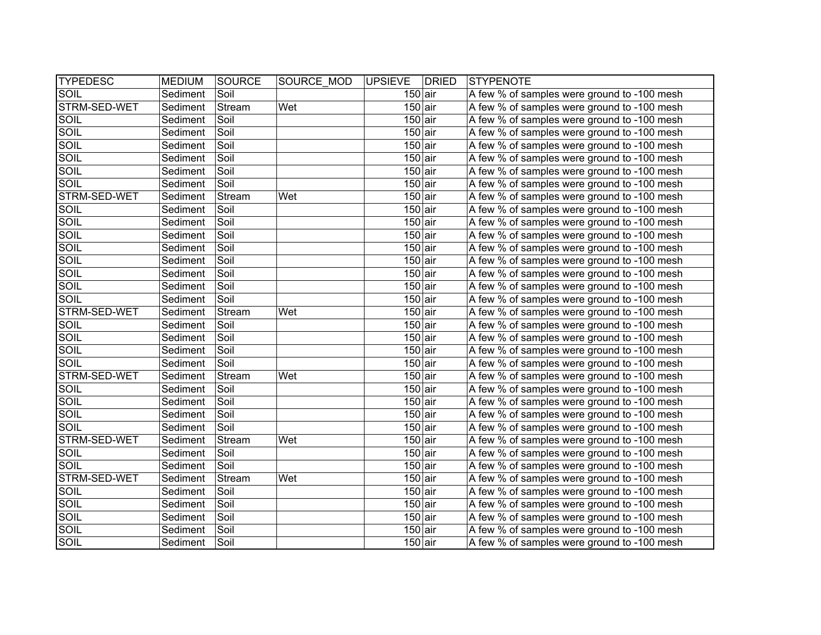| <b>TYPEDESC</b> | <b>MEDIUM</b> | SOURCE | SOURCE MOD | <b>UPSIEVE</b>       | <b>DRIED</b> | <b>STYPENOTE</b>                            |
|-----------------|---------------|--------|------------|----------------------|--------------|---------------------------------------------|
| SOIL            | Sediment      | Soil   |            | $150$ air            |              | A few % of samples were ground to -100 mesh |
| STRM-SED-WET    | Sediment      | Stream | Wet        | $150$ air            |              | A few % of samples were ground to -100 mesh |
| SOIL            | Sediment      | Soil   |            | $150$ air            |              | A few % of samples were ground to -100 mesh |
| <b>SOIL</b>     | Sediment      | Soil   |            | $150$ air            |              | A few % of samples were ground to -100 mesh |
| <b>SOIL</b>     | Sediment      | Soil   |            | $150$ air            |              | A few % of samples were ground to -100 mesh |
| <b>SOIL</b>     | Sediment      | Soil   |            | $150$ air            |              | A few % of samples were ground to -100 mesh |
| <b>SOIL</b>     | Sediment      | Soil   |            | $150$ air            |              | A few % of samples were ground to -100 mesh |
| <b>SOIL</b>     | Sediment      | Soil   |            | $150$ air            |              | A few % of samples were ground to -100 mesh |
| STRM-SED-WET    | Sediment      | Stream | Wet        | $150$ air            |              | A few % of samples were ground to -100 mesh |
| <b>SOIL</b>     | Sediment      | Soil   |            | $150$ air            |              | A few % of samples were ground to -100 mesh |
| SOIL            | Sediment      | Soil   |            | $150$ air            |              | A few % of samples were ground to -100 mesh |
| SOIL            | Sediment      | Soil   |            | $\overline{150}$ air |              | A few % of samples were ground to -100 mesh |
| SOIL            | Sediment      | Soil   |            | $150$ air            |              | A few % of samples were ground to -100 mesh |
| SOIL            | Sediment      | Soil   |            | $150$ air            |              | A few % of samples were ground to -100 mesh |
| SOIL            | Sediment      | Soil   |            | $150$ air            |              | A few % of samples were ground to -100 mesh |
| SOIL            | Sediment      | Soil   |            | $150$ air            |              | A few % of samples were ground to -100 mesh |
| SOIL            | Sediment      | Soil   |            | $150$ air            |              | A few % of samples were ground to -100 mesh |
| STRM-SED-WET    | Sediment      | Stream | Wet        | $150$ air            |              | A few % of samples were ground to -100 mesh |
| SOIL            | Sediment      | Soil   |            | $\overline{150}$ air |              | A few % of samples were ground to -100 mesh |
| SOIL            | Sediment      | Soil   |            | $150$ air            |              | A few % of samples were ground to -100 mesh |
| <b>SOIL</b>     | Sediment      | Soil   |            | $150$ air            |              | A few % of samples were ground to -100 mesh |
| SOIL            | Sediment      | Soil   |            | $150$ air            |              | A few % of samples were ground to -100 mesh |
| STRM-SED-WET    | Sediment      | Stream | Wet        | $150$ air            |              | A few % of samples were ground to -100 mesh |
| SOIL            | Sediment      | Soil   |            | $150$ air            |              | A few % of samples were ground to -100 mesh |
| <b>SOIL</b>     | Sediment      | Soil   |            | $150$ air            |              | A few % of samples were ground to -100 mesh |
| SOIL            | Sediment      | Soil   |            | $150$ air            |              | A few % of samples were ground to -100 mesh |
| SOIL            | Sediment      | Soil   |            | $150$ air            |              | A few % of samples were ground to -100 mesh |
| STRM-SED-WET    | Sediment      | Stream | Wet        | $150$ air            |              | A few % of samples were ground to -100 mesh |
| <b>SOIL</b>     | Sediment      | Soil   |            | $150$ air            |              | A few % of samples were ground to -100 mesh |
| <b>SOIL</b>     | Sediment      | Soil   |            | $150$ air            |              | A few % of samples were ground to -100 mesh |
| STRM-SED-WET    | Sediment      | Stream | Wet        | $150$ air            |              | A few % of samples were ground to -100 mesh |
| <b>SOIL</b>     | Sediment      | Soil   |            | $150$ air            |              | A few % of samples were ground to -100 mesh |
| SOIL            | Sediment      | Soil   |            | $150$ air            |              | A few % of samples were ground to -100 mesh |
| <b>SOIL</b>     | Sediment      | Soil   |            | $150$ air            |              | A few % of samples were ground to -100 mesh |
| SOIL            | Sediment      | Soil   |            | $150$ air            |              | A few % of samples were ground to -100 mesh |
| SOIL            | Sediment      | Soil   |            | $150$ air            |              | A few % of samples were ground to -100 mesh |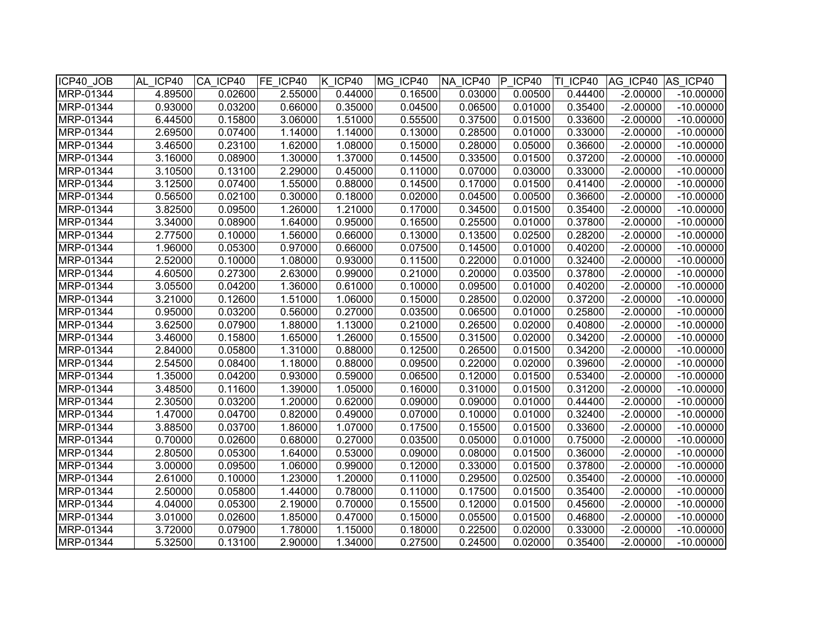| ICP40_JOB | AL ICP40 | CA ICP40 | FE ICP40 | K ICP40 | MG ICP40 | NA ICP40 | IP.<br>ICP40 | TI ICP40 | AG ICP40   | AS ICP40    |
|-----------|----------|----------|----------|---------|----------|----------|--------------|----------|------------|-------------|
| MRP-01344 | 4.89500  | 0.02600  | 2.55000  | 0.44000 | 0.16500  | 0.03000  | 0.00500      | 0.44400  | $-2.00000$ | $-10.00000$ |
| MRP-01344 | 0.93000  | 0.03200  | 0.66000  | 0.35000 | 0.04500  | 0.06500  | 0.01000      | 0.35400  | $-2.00000$ | $-10.00000$ |
| MRP-01344 | 6.44500  | 0.15800  | 3.06000  | 1.51000 | 0.55500  | 0.37500  | 0.01500      | 0.33600  | $-2.00000$ | $-10.00000$ |
| MRP-01344 | 2.69500  | 0.07400  | 1.14000  | 1.14000 | 0.13000  | 0.28500  | 0.01000      | 0.33000  | $-2.00000$ | $-10.00000$ |
| MRP-01344 | 3.46500  | 0.23100  | 1.62000  | 1.08000 | 0.15000  | 0.28000  | 0.05000      | 0.36600  | $-2.00000$ | $-10.00000$ |
| MRP-01344 | 3.16000  | 0.08900  | 1.30000  | 1.37000 | 0.14500  | 0.33500  | 0.01500      | 0.37200  | $-2.00000$ | $-10.00000$ |
| MRP-01344 | 3.10500  | 0.13100  | 2.29000  | 0.45000 | 0.11000  | 0.07000  | 0.03000      | 0.33000  | $-2.00000$ | $-10.00000$ |
| MRP-01344 | 3.12500  | 0.07400  | 1.55000  | 0.88000 | 0.14500  | 0.17000  | 0.01500      | 0.41400  | $-2.00000$ | $-10.00000$ |
| MRP-01344 | 0.56500  | 0.02100  | 0.30000  | 0.18000 | 0.02000  | 0.04500  | 0.00500      | 0.36600  | $-2.00000$ | $-10.00000$ |
| MRP-01344 | 3.82500  | 0.09500  | 1.26000  | 1.21000 | 0.17000  | 0.34500  | 0.01500      | 0.35400  | $-2.00000$ | $-10.00000$ |
| MRP-01344 | 3.34000  | 0.08900  | 1.64000  | 0.95000 | 0.16500  | 0.25500  | 0.01000      | 0.37800  | $-2.00000$ | $-10.00000$ |
| MRP-01344 | 2.77500  | 0.10000  | 1.56000  | 0.66000 | 0.13000  | 0.13500  | 0.02500      | 0.28200  | $-2.00000$ | $-10.00000$ |
| MRP-01344 | 1.96000  | 0.05300  | 0.97000  | 0.66000 | 0.07500  | 0.14500  | 0.01000      | 0.40200  | $-2.00000$ | $-10.00000$ |
| MRP-01344 | 2.52000  | 0.10000  | 1.08000  | 0.93000 | 0.11500  | 0.22000  | 0.01000      | 0.32400  | $-2.00000$ | $-10.00000$ |
| MRP-01344 | 4.60500  | 0.27300  | 2.63000  | 0.99000 | 0.21000  | 0.20000  | 0.03500      | 0.37800  | $-2.00000$ | $-10.00000$ |
| MRP-01344 | 3.05500  | 0.04200  | 1.36000  | 0.61000 | 0.10000  | 0.09500  | 0.01000      | 0.40200  | $-2.00000$ | $-10.00000$ |
| MRP-01344 | 3.21000  | 0.12600  | 1.51000  | 1.06000 | 0.15000  | 0.28500  | 0.02000      | 0.37200  | $-2.00000$ | $-10.00000$ |
| MRP-01344 | 0.95000  | 0.03200  | 0.56000  | 0.27000 | 0.03500  | 0.06500  | 0.01000      | 0.25800  | $-2.00000$ | $-10.00000$ |
| MRP-01344 | 3.62500  | 0.07900  | 1.88000  | 1.13000 | 0.21000  | 0.26500  | 0.02000      | 0.40800  | $-2.00000$ | $-10.00000$ |
| MRP-01344 | 3.46000  | 0.15800  | 1.65000  | 1.26000 | 0.15500  | 0.31500  | 0.02000      | 0.34200  | $-2.00000$ | $-10.00000$ |
| MRP-01344 | 2.84000  | 0.05800  | 1.31000  | 0.88000 | 0.12500  | 0.26500  | 0.01500      | 0.34200  | $-2.00000$ | $-10.00000$ |
| MRP-01344 | 2.54500  | 0.08400  | 1.18000  | 0.88000 | 0.09500  | 0.22000  | 0.02000      | 0.39600  | $-2.00000$ | $-10.00000$ |
| MRP-01344 | 1.35000  | 0.04200  | 0.93000  | 0.59000 | 0.06500  | 0.12000  | 0.01500      | 0.53400  | $-2.00000$ | $-10.00000$ |
| MRP-01344 | 3.48500  | 0.11600  | 1.39000  | 1.05000 | 0.16000  | 0.31000  | 0.01500      | 0.31200  | $-2.00000$ | $-10.00000$ |
| MRP-01344 | 2.30500  | 0.03200  | 1.20000  | 0.62000 | 0.09000  | 0.09000  | 0.01000      | 0.44400  | $-2.00000$ | $-10.00000$ |
| MRP-01344 | 1.47000  | 0.04700  | 0.82000  | 0.49000 | 0.07000  | 0.10000  | 0.01000      | 0.32400  | $-2.00000$ | $-10.00000$ |
| MRP-01344 | 3.88500  | 0.03700  | 1.86000  | 1.07000 | 0.17500  | 0.15500  | 0.01500      | 0.33600  | $-2.00000$ | $-10.00000$ |
| MRP-01344 | 0.70000  | 0.02600  | 0.68000  | 0.27000 | 0.03500  | 0.05000  | 0.01000      | 0.75000  | $-2.00000$ | $-10.00000$ |
| MRP-01344 | 2.80500  | 0.05300  | 1.64000  | 0.53000 | 0.09000  | 0.08000  | 0.01500      | 0.36000  | $-2.00000$ | $-10.00000$ |
| MRP-01344 | 3.00000  | 0.09500  | 1.06000  | 0.99000 | 0.12000  | 0.33000  | 0.01500      | 0.37800  | $-2.00000$ | $-10.00000$ |
| MRP-01344 | 2.61000  | 0.10000  | 1.23000  | 1.20000 | 0.11000  | 0.29500  | 0.02500      | 0.35400  | $-2.00000$ | $-10.00000$ |
| MRP-01344 | 2.50000  | 0.05800  | 1.44000  | 0.78000 | 0.11000  | 0.17500  | 0.01500      | 0.35400  | $-2.00000$ | $-10.00000$ |
| MRP-01344 | 4.04000  | 0.05300  | 2.19000  | 0.70000 | 0.15500  | 0.12000  | 0.01500      | 0.45600  | $-2.00000$ | $-10.00000$ |
| MRP-01344 | 3.01000  | 0.02600  | 1.85000  | 0.47000 | 0.15000  | 0.05500  | 0.01500      | 0.46800  | $-2.00000$ | $-10.00000$ |
| MRP-01344 | 3.72000  | 0.07900  | 1.78000  | 1.15000 | 0.18000  | 0.22500  | 0.02000      | 0.33000  | $-2.00000$ | $-10.00000$ |
| MRP-01344 | 5.32500  | 0.13100  | 2.90000  | 1.34000 | 0.27500  | 0.24500  | 0.02000      | 0.35400  | $-2.00000$ | $-10.00000$ |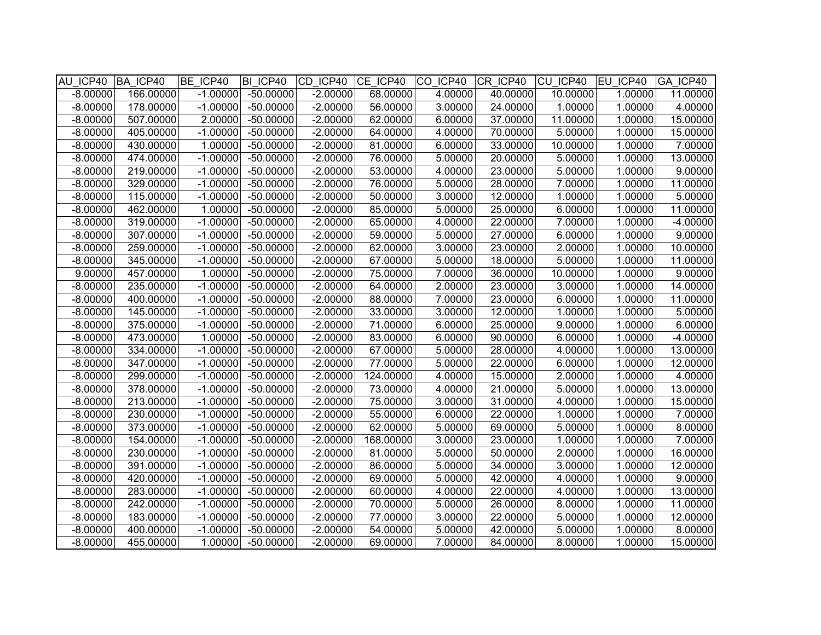| AU ICP40   | BA ICP40  | BE ICP40   | BI ICP40    | CD ICP40   | CE ICP40  | CO ICP40 | CR ICP40 | CU ICP40 | EU ICP40 | GA ICP40   |
|------------|-----------|------------|-------------|------------|-----------|----------|----------|----------|----------|------------|
| $-8.00000$ | 166.00000 | $-1.00000$ | $-50.00000$ | $-2.00000$ | 68.00000  | 4.00000  | 40.00000 | 10.00000 | 1.00000  | 11.00000   |
| $-8.00000$ | 178.00000 | $-1.00000$ | $-50.00000$ | $-2.00000$ | 56.00000  | 3.00000  | 24.00000 | 1.00000  | 1.00000  | 4.00000    |
| $-8.00000$ | 507.00000 | 2.00000    | $-50.00000$ | $-2.00000$ | 62.00000  | 6.00000  | 37.00000 | 11.00000 | 1.00000  | 15.00000   |
| $-8.00000$ | 405.00000 | $-1.00000$ | $-50.00000$ | $-2.00000$ | 64.00000  | 4.00000  | 70.00000 | 5.00000  | 1.00000  | 15.00000   |
| $-8.00000$ | 430.00000 | 1.00000    | $-50.00000$ | $-2.00000$ | 81.00000  | 6.00000  | 33.00000 | 10.00000 | 1.00000  | 7.00000    |
| $-8.00000$ | 474.00000 | $-1.00000$ | $-50.00000$ | $-2.00000$ | 76.00000  | 5.00000  | 20.00000 | 5.00000  | 1.00000  | 13.00000   |
| $-8.00000$ | 219.00000 | $-1.00000$ | $-50.00000$ | $-2.00000$ | 53.00000  | 4.00000  | 23.00000 | 5.00000  | 1.00000  | 9.00000    |
| $-8.00000$ | 329.00000 | $-1.00000$ | $-50.00000$ | $-2.00000$ | 76.00000  | 5.00000  | 28.00000 | 7.00000  | 1.00000  | 11.00000   |
| $-8.00000$ | 115.00000 | $-1.00000$ | $-50.00000$ | $-2.00000$ | 50.00000  | 3.00000  | 12.00000 | 1.00000  | 1.00000  | 5.00000    |
| $-8.00000$ | 462.00000 | 1.00000    | $-50.00000$ | $-2.00000$ | 85.00000  | 5.00000  | 25.00000 | 6.00000  | 1.00000  | 11.00000   |
| $-8.00000$ | 319.00000 | $-1.00000$ | $-50.00000$ | $-2.00000$ | 65.00000  | 4.00000  | 22.00000 | 7.00000  | 1.00000  | $-4.00000$ |
| $-8.00000$ | 307.00000 | $-1.00000$ | $-50.00000$ | $-2.00000$ | 59.00000  | 5.00000  | 27.00000 | 6.00000  | 1.00000  | 9.00000    |
| $-8.00000$ | 259.00000 | $-1.00000$ | $-50.00000$ | $-2.00000$ | 62.00000  | 3.00000  | 23.00000 | 2.00000  | 1.00000  | 10.00000   |
| $-8.00000$ | 345.00000 | $-1.00000$ | $-50.00000$ | $-2.00000$ | 67.00000  | 5.00000  | 18.00000 | 5.00000  | 1.00000  | 11.00000   |
| 9.00000    | 457.00000 | 1.00000    | $-50.00000$ | $-2.00000$ | 75.00000  | 7.00000  | 36.00000 | 10.00000 | 1.00000  | 9.00000    |
| $-8.00000$ | 235.00000 | $-1.00000$ | $-50.00000$ | $-2.00000$ | 64.00000  | 2.00000  | 23.00000 | 3.00000  | 1.00000  | 14.00000   |
| $-8.00000$ | 400.00000 | $-1.00000$ | $-50.00000$ | $-2.00000$ | 88.00000  | 7.00000  | 23.00000 | 6.00000  | 1.00000  | 11.00000   |
| $-8.00000$ | 145.00000 | $-1.00000$ | $-50.00000$ | $-2.00000$ | 33.00000  | 3.00000  | 12.00000 | 1.00000  | 1.00000  | 5.00000    |
| $-8.00000$ | 375.00000 | $-1.00000$ | $-50.00000$ | $-2.00000$ | 71.00000  | 6.00000  | 25.00000 | 9.00000  | 1.00000  | 6.00000    |
| $-8.00000$ | 473.00000 | 1.00000    | $-50.00000$ | $-2.00000$ | 83.00000  | 6.00000  | 90.00000 | 6.00000  | 1.00000  | $-4.00000$ |
| $-8.00000$ | 334.00000 | $-1.00000$ | $-50.00000$ | $-2.00000$ | 67.00000  | 5.00000  | 28.00000 | 4.00000  | 1.00000  | 13.00000   |
| $-8.00000$ | 347.00000 | $-1.00000$ | $-50.00000$ | $-2.00000$ | 77.00000  | 5.00000  | 22.00000 | 6.00000  | 1.00000  | 12.00000   |
| $-8.00000$ | 299.00000 | $-1.00000$ | $-50.00000$ | $-2.00000$ | 124.00000 | 4.00000  | 15.00000 | 2.00000  | 1.00000  | 4.00000    |
| $-8.00000$ | 378.00000 | $-1.00000$ | $-50.00000$ | $-2.00000$ | 73.00000  | 4.00000  | 21.00000 | 5.00000  | 1.00000  | 13.00000   |
| $-8.00000$ | 213.00000 | $-1.00000$ | $-50.00000$ | $-2.00000$ | 75.00000  | 3.00000  | 31.00000 | 4.00000  | 1.00000  | 15.00000   |
| $-8.00000$ | 230.00000 | $-1.00000$ | $-50.00000$ | $-2.00000$ | 55.00000  | 6.00000  | 22.00000 | 1.00000  | 1.00000  | 7.00000    |
| $-8.00000$ | 373.00000 | $-1.00000$ | $-50.00000$ | $-2.00000$ | 62.00000  | 5.00000  | 69.00000 | 5.00000  | 1.00000  | 8.00000    |
| $-8.00000$ | 154.00000 | $-1.00000$ | $-50.00000$ | $-2.00000$ | 168.00000 | 3.00000  | 23.00000 | 1.00000  | 1.00000  | 7.00000    |
| $-8.00000$ | 230.00000 | $-1.00000$ | $-50.00000$ | $-2.00000$ | 81.00000  | 5.00000  | 50.00000 | 2.00000  | 1.00000  | 16.00000   |
| $-8.00000$ | 391.00000 | $-1.00000$ | $-50.00000$ | $-2.00000$ | 86.00000  | 5.00000  | 34.00000 | 3.00000  | 1.00000  | 12.00000   |
| $-8.00000$ | 420.00000 | $-1.00000$ | $-50.00000$ | $-2.00000$ | 69.00000  | 5.00000  | 42.00000 | 4.00000  | 1.00000  | 9.00000    |
| $-8.00000$ | 283.00000 | $-1.00000$ | $-50.00000$ | $-2.00000$ | 60.00000  | 4.00000  | 22.00000 | 4.00000  | 1.00000  | 13.00000   |
| $-8.00000$ | 242.00000 | $-1.00000$ | $-50.00000$ | $-2.00000$ | 70.00000  | 5.00000  | 26.00000 | 8.00000  | 1.00000  | 11.00000   |
| $-8.00000$ | 183.00000 | $-1.00000$ | $-50.00000$ | $-2.00000$ | 77.00000  | 3.00000  | 22.00000 | 5.00000  | 1.00000  | 12.00000   |
| $-8.00000$ | 400.00000 | $-1.00000$ | $-50.00000$ | $-2.00000$ | 54.00000  | 5.00000  | 42.00000 | 5.00000  | 1.00000  | 8.00000    |
| $-8.00000$ | 455.00000 | 1.00000    | $-50.00000$ | $-2.00000$ | 69.00000  | 7.00000  | 84.00000 | 8.00000  | 1.00000  | 15.00000   |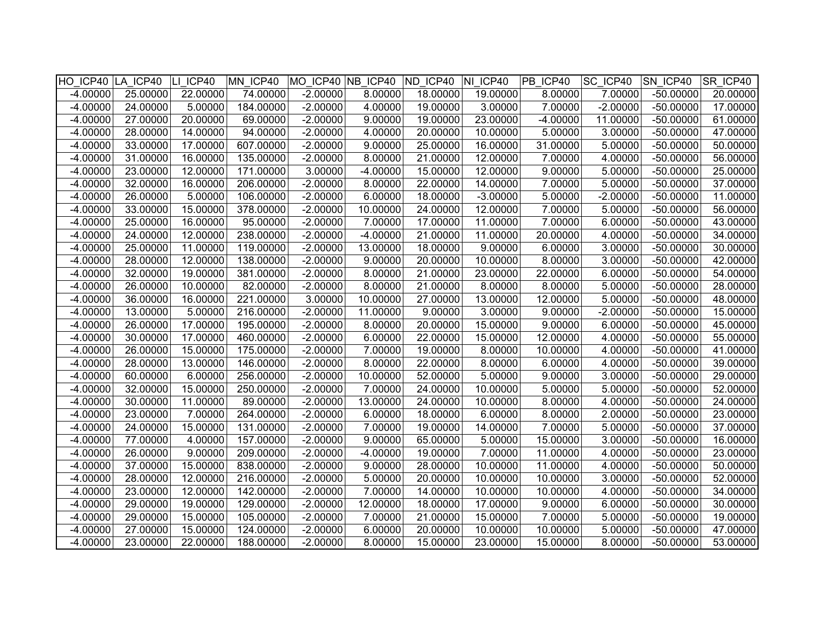|            | HO ICP40 LA ICP40 LI ICP40 |          | MN ICP40  |            |            | MO ICP40 NB ICP40 ND ICP40 NI ICP40 |            | PB ICP40   | <b>SC ICP40</b> | SN ICP40    | SR ICP40 |
|------------|----------------------------|----------|-----------|------------|------------|-------------------------------------|------------|------------|-----------------|-------------|----------|
| $-4.00000$ | 25.00000                   | 22.00000 | 74.00000  | $-2.00000$ | 8.00000    | 18.00000                            | 19.00000   | 8.00000    | 7.00000         | $-50.00000$ | 20.00000 |
| $-4.00000$ | 24.00000                   | 5.00000  | 184.00000 | $-2.00000$ | 4.00000    | 19.00000                            | 3.00000    | 7.00000    | $-2.00000$      | $-50.00000$ | 17.00000 |
| $-4.00000$ | 27.00000                   | 20.00000 | 69.00000  | $-2.00000$ | 9.00000    | 19.00000                            | 23.00000   | $-4.00000$ | 11.00000        | $-50.00000$ | 61.00000 |
| $-4.00000$ | 28.00000                   | 14.00000 | 94.00000  | $-2.00000$ | 4.00000    | 20.00000                            | 10.00000   | 5.00000    | 3.00000         | $-50.00000$ | 47.00000 |
| $-4.00000$ | 33.00000                   | 17.00000 | 607.00000 | $-2.00000$ | 9.00000    | 25.00000                            | 16.00000   | 31.00000   | 5.00000         | $-50.00000$ | 50.00000 |
| $-4.00000$ | 31.00000                   | 16.00000 | 135.00000 | $-2.00000$ | 8.00000    | 21.00000                            | 12.00000   | 7.00000    | 4.00000         | $-50.00000$ | 56.00000 |
| $-4.00000$ | 23.00000                   | 12.00000 | 171.00000 | 3.00000    | $-4.00000$ | 15.00000                            | 12.00000   | 9.00000    | 5.00000         | $-50.00000$ | 25.00000 |
| $-4.00000$ | 32.00000                   | 16.00000 | 206.00000 | $-2.00000$ | 8.00000    | 22.00000                            | 14.00000   | 7.00000    | 5.00000         | $-50.00000$ | 37.00000 |
| $-4.00000$ | 26.00000                   | 5.00000  | 106.00000 | $-2.00000$ | 6.00000    | 18.00000                            | $-3.00000$ | 5.00000    | $-2.00000$      | $-50.00000$ | 11.00000 |
| $-4.00000$ | 33.00000                   | 15.00000 | 378.00000 | $-2.00000$ | 10.00000   | 24.00000                            | 12.00000   | 7.00000    | 5.00000         | $-50.00000$ | 56.00000 |
| $-4.00000$ | 25.00000                   | 16.00000 | 95.00000  | $-2.00000$ | 7.00000    | 17.00000                            | 11.00000   | 7.00000    | 6.00000         | $-50.00000$ | 43.00000 |
| $-4.00000$ | 24.00000                   | 12.00000 | 238.00000 | $-2.00000$ | $-4.00000$ | 21.00000                            | 11.00000   | 20.00000   | 4.00000         | $-50.00000$ | 34.00000 |
| $-4.00000$ | 25.00000                   | 11.00000 | 119.00000 | $-2.00000$ | 13.00000   | 18.00000                            | 9.00000    | 6.00000    | 3.00000         | $-50.00000$ | 30.00000 |
| $-4.00000$ | 28.00000                   | 12.00000 | 138.00000 | $-2.00000$ | 9.00000    | 20.00000                            | 10.00000   | 8.00000    | 3.00000         | $-50.00000$ | 42.00000 |
| $-4.00000$ | 32.00000                   | 19.00000 | 381.00000 | $-2.00000$ | 8.00000    | 21.00000                            | 23.00000   | 22.00000   | 6.00000         | $-50.00000$ | 54.00000 |
| $-4.00000$ | 26.00000                   | 10.00000 | 82.00000  | $-2.00000$ | 8.00000    | 21.00000                            | 8.00000    | 8.00000    | 5.00000         | $-50.00000$ | 28.00000 |
| $-4.00000$ | 36.00000                   | 16.00000 | 221.00000 | 3.00000    | 10.00000   | 27.00000                            | 13.00000   | 12.00000   | 5.00000         | $-50.00000$ | 48.00000 |
| $-4.00000$ | 13.00000                   | 5.00000  | 216.00000 | $-2.00000$ | 11.00000   | 9.00000                             | 3.00000    | 9.00000    | $-2.00000$      | $-50.00000$ | 15.00000 |
| $-4.00000$ | 26.00000                   | 17.00000 | 195.00000 | $-2.00000$ | 8.00000    | 20.00000                            | 15.00000   | 9.00000    | 6.00000         | $-50.00000$ | 45.00000 |
| $-4.00000$ | 30.00000                   | 17.00000 | 460.00000 | $-2.00000$ | 6.00000    | 22.00000                            | 15.00000   | 12.00000   | 4.00000         | $-50.00000$ | 55.00000 |
| $-4.00000$ | 26.00000                   | 15.00000 | 175.00000 | $-2.00000$ | 7.00000    | 19.00000                            | 8.00000    | 10.00000   | 4.00000         | $-50.00000$ | 41.00000 |
| $-4.00000$ | 28.00000                   | 13.00000 | 146.00000 | $-2.00000$ | 8.00000    | 22.00000                            | 8.00000    | 6.00000    | 4.00000         | $-50.00000$ | 39.00000 |
| $-4.00000$ | 60.00000                   | 6.00000  | 256.00000 | $-2.00000$ | 10.00000   | 52.00000                            | 5.00000    | 9.00000    | 3.00000         | $-50.00000$ | 29.00000 |
| $-4.00000$ | 32.00000                   | 15.00000 | 250.00000 | $-2.00000$ | 7.00000    | 24.00000                            | 10.00000   | 5.00000    | 5.00000         | $-50.00000$ | 52.00000 |
| $-4.00000$ | 30.00000                   | 11.00000 | 89.00000  | $-2.00000$ | 13.00000   | 24.00000                            | 10.00000   | 8.00000    | 4.00000         | $-50.00000$ | 24.00000 |
| $-4.00000$ | 23.00000                   | 7.00000  | 264.00000 | $-2.00000$ | 6.00000    | 18.00000                            | 6.00000    | 8.00000    | 2.00000         | $-50.00000$ | 23.00000 |
| $-4.00000$ | 24.00000                   | 15.00000 | 131.00000 | $-2.00000$ | 7.00000    | 19.00000                            | 14.00000   | 7.00000    | 5.00000         | $-50.00000$ | 37.00000 |
| $-4.00000$ | 77.00000                   | 4.00000  | 157.00000 | $-2.00000$ | 9.00000    | 65.00000                            | 5.00000    | 15.00000   | 3.00000         | $-50.00000$ | 16.00000 |
| $-4.00000$ | 26.00000                   | 9.00000  | 209.00000 | $-2.00000$ | $-4.00000$ | 19.00000                            | 7.00000    | 11.00000   | 4.00000         | $-50.00000$ | 23.00000 |
| $-4.00000$ | 37.00000                   | 15.00000 | 838.00000 | $-2.00000$ | 9.00000    | 28.00000                            | 10.00000   | 11.00000   | 4.00000         | $-50.00000$ | 50.00000 |
| $-4.00000$ | 28.00000                   | 12.00000 | 216.00000 | $-2.00000$ | 5.00000    | 20.00000                            | 10.00000   | 10.00000   | 3.00000         | $-50.00000$ | 52.00000 |
| $-4.00000$ | 23.00000                   | 12.00000 | 142.00000 | $-2.00000$ | 7.00000    | 14.00000                            | 10.00000   | 10.00000   | 4.00000         | $-50.00000$ | 34.00000 |
| $-4.00000$ | 29.00000                   | 19.00000 | 129.00000 | $-2.00000$ | 12.00000   | 18.00000                            | 17.00000   | 9.00000    | 6.00000         | $-50.00000$ | 30.00000 |
| $-4.00000$ | 29.00000                   | 15.00000 | 105.00000 | $-2.00000$ | 7.00000    | 21.00000                            | 15.00000   | 7.00000    | 5.00000         | $-50.00000$ | 19.00000 |
| $-4.00000$ | 27.00000                   | 15.00000 | 124.00000 | $-2.00000$ | 6.00000    | 20.00000                            | 10.00000   | 10.00000   | 5.00000         | $-50.00000$ | 47.00000 |
| $-4.00000$ | 23.00000                   | 22.00000 | 188,00000 | $-2.00000$ | 8.00000    | 15.00000                            | 23.00000   | 15.00000   | 8.00000         | $-50.00000$ | 53.00000 |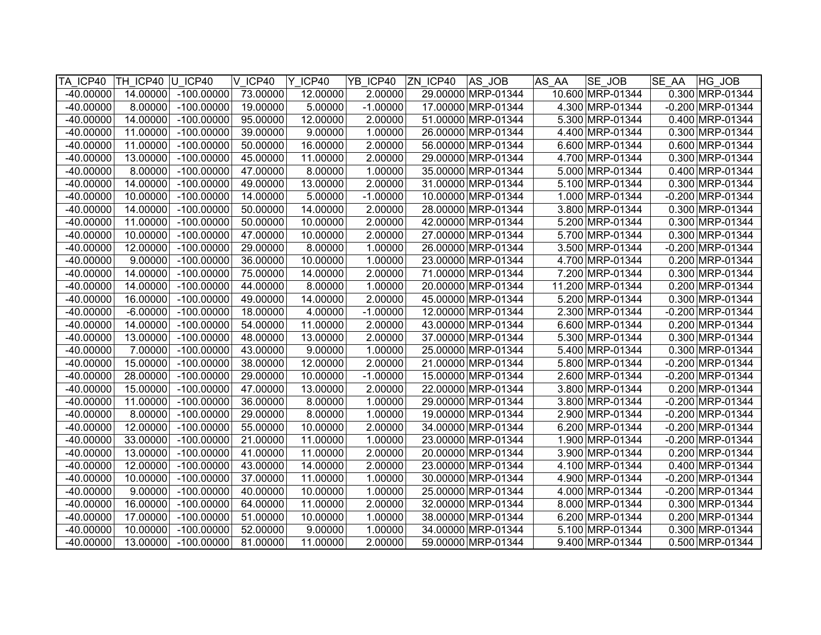| TA ICP40    | TH ICP40 U ICP40 |              | V ICP40  | Y ICP40  | YB ICP40   | ZN ICP40 | AS JOB             | AS AA | <b>SE JOB</b>    | <b>SE AA</b><br>HG JOB |
|-------------|------------------|--------------|----------|----------|------------|----------|--------------------|-------|------------------|------------------------|
| $-40.00000$ | 14.00000         | $-100.00000$ | 73.00000 | 12.00000 | 2.00000    |          | 29.00000 MRP-01344 |       | 10.600 MRP-01344 | 0.300 MRP-01344        |
| $-40.00000$ | 8.00000          | $-100.00000$ | 19.00000 | 5.00000  | $-1.00000$ |          | 17.00000 MRP-01344 |       | 4.300 MRP-01344  | $-0.200$ MRP-01344     |
| $-40.00000$ | 14.00000         | $-100.00000$ | 95.00000 | 12.00000 | 2.00000    |          | 51.00000 MRP-01344 |       | 5.300 MRP-01344  | 0.400 MRP-01344        |
| $-40.00000$ | 11.00000         | $-100.00000$ | 39.00000 | 9.00000  | 1.00000    |          | 26.00000 MRP-01344 |       | 4.400 MRP-01344  | 0.300 MRP-01344        |
| $-40.00000$ | 11.00000         | $-100.00000$ | 50.00000 | 16.00000 | 2.00000    |          | 56.00000 MRP-01344 |       | 6.600 MRP-01344  | 0.600 MRP-01344        |
| $-40.00000$ | 13.00000         | $-100.00000$ | 45.00000 | 11.00000 | 2.00000    |          | 29.00000 MRP-01344 |       | 4.700 MRP-01344  | 0.300 MRP-01344        |
| $-40.00000$ | 8.00000          | $-100.00000$ | 47.00000 | 8.00000  | 1.00000    |          | 35.00000 MRP-01344 |       | 5.000 MRP-01344  | 0.400 MRP-01344        |
| $-40.00000$ | 14.00000         | $-100.00000$ | 49.00000 | 13.00000 | 2.00000    |          | 31.00000 MRP-01344 |       | 5.100 MRP-01344  | 0.300 MRP-01344        |
| $-40.00000$ | 10.00000         | $-100.00000$ | 14.00000 | 5.00000  | $-1.00000$ |          | 10.00000 MRP-01344 |       | 1.000 MRP-01344  | -0.200 MRP-01344       |
| $-40.00000$ | 14.00000         | $-100.00000$ | 50.00000 | 14.00000 | 2.00000    |          | 28.00000 MRP-01344 |       | 3.800 MRP-01344  | 0.300 MRP-01344        |
| $-40.00000$ | 11.00000         | $-100.00000$ | 50.00000 | 10.00000 | 2.00000    |          | 42.00000 MRP-01344 |       | 5.200 MRP-01344  | 0.300 MRP-01344        |
| $-40.00000$ | 10.00000         | $-100.00000$ | 47.00000 | 10.00000 | 2.00000    |          | 27.00000 MRP-01344 |       | 5.700 MRP-01344  | 0.300 MRP-01344        |
| $-40.00000$ | 12.00000         | $-100.00000$ | 29.00000 | 8.00000  | 1.00000    |          | 26.00000 MRP-01344 |       | 3.500 MRP-01344  | $-0.200$ MRP-01344     |
| $-40.00000$ | 9.00000          | $-100.00000$ | 36.00000 | 10.00000 | 1.00000    |          | 23.00000 MRP-01344 |       | 4.700 MRP-01344  | 0.200 MRP-01344        |
| $-40.00000$ | 14.00000         | $-100.00000$ | 75.00000 | 14.00000 | 2.00000    |          | 71.00000 MRP-01344 |       | 7.200 MRP-01344  | 0.300 MRP-01344        |
| $-40.00000$ | 14.00000         | $-100.00000$ | 44.00000 | 8.00000  | 1.00000    |          | 20.00000 MRP-01344 |       | 11.200 MRP-01344 | 0.200 MRP-01344        |
| $-40.00000$ | 16.00000         | $-100.00000$ | 49.00000 | 14.00000 | 2.00000    |          | 45.00000 MRP-01344 |       | 5.200 MRP-01344  | 0.300 MRP-01344        |
| $-40.00000$ | $-6.00000$       | $-100.00000$ | 18.00000 | 4.00000  | $-1.00000$ |          | 12.00000 MRP-01344 |       | 2.300 MRP-01344  | $-0.200$ MRP-01344     |
| $-40.00000$ | 14.00000         | $-100.00000$ | 54.00000 | 11.00000 | 2.00000    |          | 43.00000 MRP-01344 |       | 6.600 MRP-01344  | 0.200 MRP-01344        |
| $-40.00000$ | 13.00000         | $-100.00000$ | 48.00000 | 13.00000 | 2.00000    |          | 37.00000 MRP-01344 |       | 5.300 MRP-01344  | 0.300 MRP-01344        |
| $-40.00000$ | 7.00000          | $-100.00000$ | 43.00000 | 9.00000  | 1.00000    |          | 25.00000 MRP-01344 |       | 5.400 MRP-01344  | 0.300 MRP-01344        |
| $-40.00000$ | 15.00000         | $-100.00000$ | 38.00000 | 12.00000 | 2.00000    |          | 21.00000 MRP-01344 |       | 5.800 MRP-01344  | $-0.200$ MRP-01344     |
| $-40.00000$ | 28.00000         | $-100.00000$ | 29.00000 | 10.00000 | $-1.00000$ |          | 15.00000 MRP-01344 |       | 2.600 MRP-01344  | -0.200 MRP-01344       |
| $-40.00000$ | 15.00000         | $-100.00000$ | 47.00000 | 13.00000 | 2.00000    |          | 22.00000 MRP-01344 |       | 3.800 MRP-01344  | 0.200 MRP-01344        |
| $-40.00000$ | 11.00000         | $-100.00000$ | 36.00000 | 8.00000  | 1.00000    |          | 29.00000 MRP-01344 |       | 3.800 MRP-01344  | -0.200 MRP-01344       |
| $-40.00000$ | 8.00000          | $-100.00000$ | 29.00000 | 8.00000  | 1.00000    |          | 19.00000 MRP-01344 |       | 2.900 MRP-01344  | $-0.200$ MRP-01344     |
| $-40.00000$ | 12.00000         | $-100.00000$ | 55.00000 | 10.00000 | 2.00000    |          | 34.00000 MRP-01344 |       | 6.200 MRP-01344  | -0.200 MRP-01344       |
| $-40.00000$ | 33.00000         | $-100.00000$ | 21.00000 | 11.00000 | 1.00000    |          | 23.00000 MRP-01344 |       | 1.900 MRP-01344  | $-0.200$ MRP-01344     |
| $-40.00000$ | 13.00000         | $-100.00000$ | 41.00000 | 11.00000 | 2.00000    |          | 20.00000 MRP-01344 |       | 3.900 MRP-01344  | 0.200 MRP-01344        |
| $-40.00000$ | 12.00000         | $-100.00000$ | 43.00000 | 14.00000 | 2.00000    |          | 23.00000 MRP-01344 |       | 4.100 MRP-01344  | 0.400 MRP-01344        |
| $-40.00000$ | 10.00000         | $-100.00000$ | 37.00000 | 11.00000 | 1.00000    |          | 30.00000 MRP-01344 |       | 4.900 MRP-01344  | $-0.200$ MRP-01344     |
| $-40.00000$ | 9.00000          | $-100.00000$ | 40.00000 | 10.00000 | 1.00000    |          | 25.00000 MRP-01344 |       | 4.000 MRP-01344  | $-0.200$ MRP-01344     |
| $-40.00000$ | 16.00000         | $-100.00000$ | 64.00000 | 11.00000 | 2.00000    |          | 32.00000 MRP-01344 |       | 8.000 MRP-01344  | 0.300 MRP-01344        |
| $-40.00000$ | 17.00000         | $-100.00000$ | 51.00000 | 10.00000 | 1.00000    |          | 38.00000 MRP-01344 |       | 6.200 MRP-01344  | 0.200 MRP-01344        |
| $-40.00000$ | 10.00000         | $-100.00000$ | 52.00000 | 9.00000  | 1.00000    |          | 34.00000 MRP-01344 |       | 5.100 MRP-01344  | 0.300 MRP-01344        |
| $-40.00000$ | 13.00000         | $-100.00000$ | 81.00000 | 11.00000 | 2.00000    |          | 59.00000 MRP-01344 |       | 9.400 MRP-01344  | 0.500 MRP-01344        |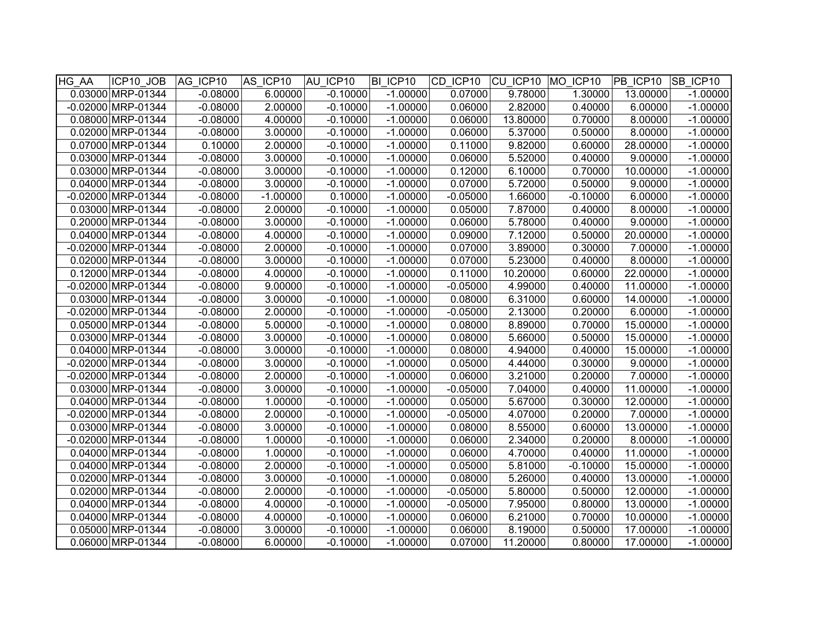| HG AA | ICP10 JOB            | AG ICP10   | AS ICP10   | AU ICP10   | BI ICP10   | CD ICP10 CU ICP10 MO ICP10 |          |            | PB ICP10 SB ICP10 |            |
|-------|----------------------|------------|------------|------------|------------|----------------------------|----------|------------|-------------------|------------|
|       | 0.03000 MRP-01344    | $-0.08000$ | 6.00000    | $-0.10000$ | $-1.00000$ | 0.07000                    | 9.78000  | 1.30000    | 13.00000          | $-1.00000$ |
|       | $-0.02000$ MRP-01344 | $-0.08000$ | 2.00000    | $-0.10000$ | $-1.00000$ | 0.06000                    | 2.82000  | 0.40000    | 6.00000           | $-1.00000$ |
|       | 0.08000 MRP-01344    | $-0.08000$ | 4.00000    | $-0.10000$ | $-1.00000$ | 0.06000                    | 13.80000 | 0.70000    | 8.00000           | $-1.00000$ |
|       | 0.02000 MRP-01344    | $-0.08000$ | 3.00000    | $-0.10000$ | $-1.00000$ | 0.06000                    | 5.37000  | 0.50000    | 8.00000           | $-1.00000$ |
|       | 0.07000 MRP-01344    | 0.10000    | 2.00000    | $-0.10000$ | $-1.00000$ | 0.11000                    | 9.82000  | 0.60000    | 28.00000          | $-1.00000$ |
|       | 0.03000 MRP-01344    | $-0.08000$ | 3.00000    | $-0.10000$ | $-1.00000$ | 0.06000                    | 5.52000  | 0.40000    | 9.00000           | $-1.00000$ |
|       | 0.03000 MRP-01344    | $-0.08000$ | 3.00000    | $-0.10000$ | $-1.00000$ | 0.12000                    | 6.10000  | 0.70000    | 10.00000          | $-1.00000$ |
|       | 0.04000 MRP-01344    | $-0.08000$ | 3.00000    | $-0.10000$ | $-1.00000$ | 0.07000                    | 5.72000  | 0.50000    | 9.00000           | $-1.00000$ |
|       | -0.02000 MRP-01344   | $-0.08000$ | $-1.00000$ | 0.10000    | $-1.00000$ | $-0.05000$                 | 1.66000  | $-0.10000$ | 6.00000           | $-1.00000$ |
|       | 0.03000 MRP-01344    | $-0.08000$ | 2.00000    | $-0.10000$ | $-1.00000$ | 0.05000                    | 7.87000  | 0.40000    | 8.00000           | $-1.00000$ |
|       | 0.20000 MRP-01344    | $-0.08000$ | 3.00000    | $-0.10000$ | $-1.00000$ | 0.06000                    | 5.78000  | 0.40000    | 9.00000           | $-1.00000$ |
|       | 0.04000 MRP-01344    | $-0.08000$ | 4.00000    | $-0.10000$ | $-1.00000$ | 0.09000                    | 7.12000  | 0.50000    | 20.00000          | $-1.00000$ |
|       | -0.02000 MRP-01344   | $-0.08000$ | 2.00000    | $-0.10000$ | $-1.00000$ | 0.07000                    | 3.89000  | 0.30000    | 7.00000           | $-1.00000$ |
|       | 0.02000 MRP-01344    | $-0.08000$ | 3.00000    | $-0.10000$ | $-1.00000$ | 0.07000                    | 5.23000  | 0.40000    | 8.00000           | $-1.00000$ |
|       | 0.12000 MRP-01344    | $-0.08000$ | 4.00000    | $-0.10000$ | $-1.00000$ | 0.11000                    | 10.20000 | 0.60000    | 22.00000          | $-1.00000$ |
|       | -0.02000 MRP-01344   | $-0.08000$ | 9.00000    | $-0.10000$ | $-1.00000$ | $-0.05000$                 | 4.99000  | 0.40000    | 11.00000          | $-1.00000$ |
|       | 0.03000 MRP-01344    | $-0.08000$ | 3.00000    | $-0.10000$ | $-1.00000$ | 0.08000                    | 6.31000  | 0.60000    | 14.00000          | $-1.00000$ |
|       | -0.02000 MRP-01344   | $-0.08000$ | 2.00000    | $-0.10000$ | $-1.00000$ | $-0.05000$                 | 2.13000  | 0.20000    | 6.00000           | $-1.00000$ |
|       | 0.05000 MRP-01344    | $-0.08000$ | 5.00000    | $-0.10000$ | $-1.00000$ | 0.08000                    | 8.89000  | 0.70000    | 15.00000          | $-1.00000$ |
|       | 0.03000 MRP-01344    | $-0.08000$ | 3.00000    | $-0.10000$ | $-1.00000$ | 0.08000                    | 5.66000  | 0.50000    | 15.00000          | $-1.00000$ |
|       | 0.04000 MRP-01344    | $-0.08000$ | 3.00000    | $-0.10000$ | $-1.00000$ | 0.08000                    | 4.94000  | 0.40000    | 15.00000          | $-1.00000$ |
|       | -0.02000 MRP-01344   | $-0.08000$ | 3.00000    | $-0.10000$ | $-1.00000$ | 0.05000                    | 4.44000  | 0.30000    | 9.00000           | $-1.00000$ |
|       | -0.02000 MRP-01344   | $-0.08000$ | 2.00000    | $-0.10000$ | $-1.00000$ | 0.06000                    | 3.21000  | 0.20000    | 7.00000           | $-1.00000$ |
|       | 0.03000 MRP-01344    | $-0.08000$ | 3.00000    | $-0.10000$ | $-1.00000$ | $-0.05000$                 | 7.04000  | 0.40000    | 11.00000          | $-1.00000$ |
|       | 0.04000 MRP-01344    | $-0.08000$ | 1.00000    | $-0.10000$ | $-1.00000$ | 0.05000                    | 5.67000  | 0.30000    | 12.00000          | $-1.00000$ |
|       | -0.02000 MRP-01344   | $-0.08000$ | 2.00000    | $-0.10000$ | $-1.00000$ | $-0.05000$                 | 4.07000  | 0.20000    | 7.00000           | $-1.00000$ |
|       | 0.03000 MRP-01344    | $-0.08000$ | 3.00000    | $-0.10000$ | $-1.00000$ | 0.08000                    | 8.55000  | 0.60000    | 13.00000          | $-1.00000$ |
|       | -0.02000 MRP-01344   | $-0.08000$ | 1.00000    | $-0.10000$ | $-1.00000$ | 0.06000                    | 2.34000  | 0.20000    | 8.00000           | $-1.00000$ |
|       | 0.04000 MRP-01344    | $-0.08000$ | 1.00000    | $-0.10000$ | $-1.00000$ | 0.06000                    | 4.70000  | 0.40000    | 11.00000          | $-1.00000$ |
|       | 0.04000 MRP-01344    | $-0.08000$ | 2.00000    | $-0.10000$ | $-1.00000$ | 0.05000                    | 5.81000  | $-0.10000$ | 15.00000          | $-1.00000$ |
|       | 0.02000 MRP-01344    | $-0.08000$ | 3.00000    | $-0.10000$ | $-1.00000$ | 0.08000                    | 5.26000  | 0.40000    | 13.00000          | $-1.00000$ |
|       | 0.02000 MRP-01344    | $-0.08000$ | 2.00000    | $-0.10000$ | $-1.00000$ | $-0.05000$                 | 5.80000  | 0.50000    | 12.00000          | $-1.00000$ |
|       | 0.04000 MRP-01344    | $-0.08000$ | 4.00000    | $-0.10000$ | $-1.00000$ | $-0.05000$                 | 7.95000  | 0.80000    | 13.00000          | $-1.00000$ |
|       | 0.04000 MRP-01344    | $-0.08000$ | 4.00000    | $-0.10000$ | $-1.00000$ | 0.06000                    | 6.21000  | 0.70000    | 10.00000          | $-1.00000$ |
|       | 0.05000 MRP-01344    | $-0.08000$ | 3.00000    | $-0.10000$ | $-1.00000$ | 0.06000                    | 8.19000  | 0.50000    | 17.00000          | $-1.00000$ |
|       | 0.06000 MRP-01344    | $-0.08000$ | 6.00000    | $-0.10000$ | $-1.00000$ | 0.07000                    | 11.20000 | 0.80000    | 17.00000          | $-1.00000$ |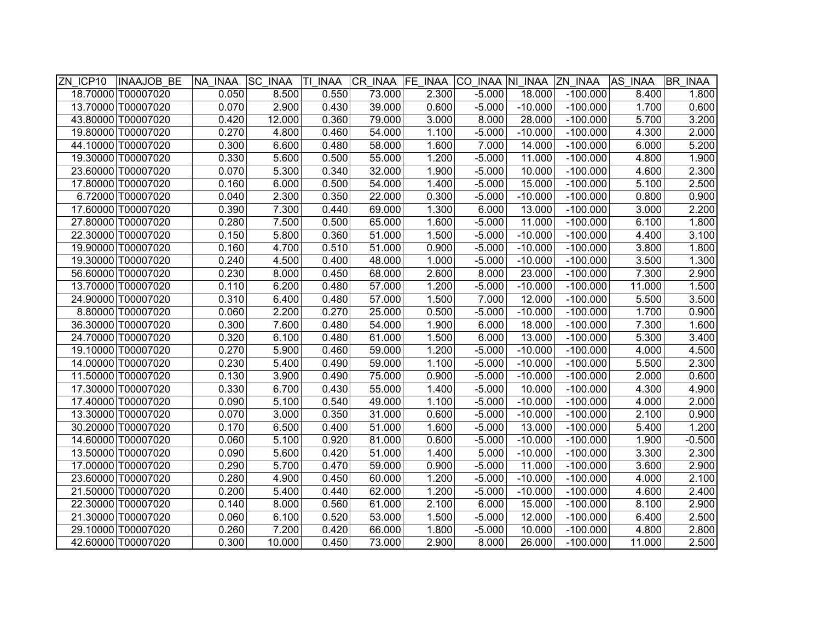| ZN ICP10 | <b>INAAJOB BE</b>  | NA INAA | <b>SC INAA</b> | TL<br><b>INAA</b> | CR INAA | FE INAA | CO INAA NI INAA |           | <b>ZN INAA</b> | AS INAA | <b>BR INAA</b> |
|----------|--------------------|---------|----------------|-------------------|---------|---------|-----------------|-----------|----------------|---------|----------------|
|          | 18.70000 T00007020 | 0.050   | 8.500          | 0.550             | 73.000  | 2.300   | $-5.000$        | 18.000    | $-100.000$     | 8.400   | 1.800          |
|          | 13.70000 T00007020 | 0.070   | 2.900          | 0.430             | 39.000  | 0.600   | $-5.000$        | $-10.000$ | $-100.000$     | 1.700   | 0.600          |
|          | 43.80000 T00007020 | 0.420   | 12.000         | 0.360             | 79.000  | 3.000   | 8.000           | 28.000    | $-100.000$     | 5.700   | 3.200          |
|          | 19.80000 T00007020 | 0.270   | 4.800          | 0.460             | 54.000  | 1.100   | $-5.000$        | $-10.000$ | $-100.000$     | 4.300   | 2.000          |
|          | 44.10000 T00007020 | 0.300   | 6.600          | 0.480             | 58.000  | 1.600   | 7.000           | 14.000    | $-100.000$     | 6.000   | 5.200          |
|          | 19.30000 T00007020 | 0.330   | 5.600          | 0.500             | 55.000  | 1.200   | $-5.000$        | 11.000    | $-100.000$     | 4.800   | 1.900          |
|          | 23.60000 T00007020 | 0.070   | 5.300          | 0.340             | 32.000  | 1.900   | $-5.000$        | 10.000    | $-100.000$     | 4.600   | 2.300          |
|          | 17.80000 T00007020 | 0.160   | 6.000          | 0.500             | 54.000  | 1.400   | $-5.000$        | 15.000    | $-100.000$     | 5.100   | 2.500          |
|          | 6.72000 T00007020  | 0.040   | 2.300          | 0.350             | 22.000  | 0.300   | $-5.000$        | $-10.000$ | $-100.000$     | 0.800   | 0.900          |
|          | 17.60000 T00007020 | 0.390   | 7.300          | 0.440             | 69.000  | 1.300   | 6.000           | 13.000    | $-100.000$     | 3.000   | 2.200          |
|          | 27.80000 T00007020 | 0.280   | 7.500          | 0.500             | 65.000  | 1.600   | $-5.000$        | 11.000    | $-100.000$     | 6.100   | 1.800          |
|          | 22.30000 T00007020 | 0.150   | 5.800          | 0.360             | 51.000  | 1.500   | $-5.000$        | $-10.000$ | $-100.000$     | 4.400   | 3.100          |
|          | 19.90000 T00007020 | 0.160   | 4.700          | 0.510             | 51.000  | 0.900   | $-5.000$        | $-10.000$ | $-100.000$     | 3.800   | 1.800          |
|          | 19.30000 T00007020 | 0.240   | 4.500          | 0.400             | 48.000  | 1.000   | $-5.000$        | $-10.000$ | $-100.000$     | 3.500   | 1.300          |
|          | 56.60000 T00007020 | 0.230   | 8.000          | 0.450             | 68.000  | 2.600   | 8.000           | 23.000    | $-100.000$     | 7.300   | 2.900          |
|          | 13.70000 T00007020 | 0.110   | 6.200          | 0.480             | 57.000  | 1.200   | $-5.000$        | $-10.000$ | $-100.000$     | 11.000  | 1.500          |
|          | 24.90000 T00007020 | 0.310   | 6.400          | 0.480             | 57.000  | 1.500   | 7.000           | 12.000    | $-100.000$     | 5.500   | 3.500          |
|          | 8.80000 T00007020  | 0.060   | 2.200          | 0.270             | 25.000  | 0.500   | $-5.000$        | $-10.000$ | $-100.000$     | 1.700   | 0.900          |
|          | 36.30000 T00007020 | 0.300   | 7.600          | 0.480             | 54.000  | 1.900   | 6.000           | 18.000    | $-100.000$     | 7.300   | 1.600          |
|          | 24.70000 T00007020 | 0.320   | 6.100          | 0.480             | 61.000  | 1.500   | 6.000           | 13.000    | $-100.000$     | 5.300   | 3.400          |
|          | 19.10000 T00007020 | 0.270   | 5.900          | 0.460             | 59.000  | 1.200   | $-5.000$        | $-10.000$ | $-100.000$     | 4.000   | 4.500          |
|          | 14.00000 T00007020 | 0.230   | 5.400          | 0.490             | 59.000  | 1.100   | $-5.000$        | $-10.000$ | $-100.000$     | 5.500   | 2.300          |
|          | 11.50000 T00007020 | 0.130   | 3.900          | 0.490             | 75.000  | 0.900   | $-5.000$        | $-10.000$ | $-100.000$     | 2.000   | 0.600          |
|          | 17.30000 T00007020 | 0.330   | 6.700          | 0.430             | 55.000  | 1.400   | $-5.000$        | 10.000    | $-100.000$     | 4.300   | 4.900          |
|          | 17.40000 T00007020 | 0.090   | 5.100          | 0.540             | 49.000  | 1.100   | $-5.000$        | $-10.000$ | $-100.000$     | 4.000   | 2.000          |
|          | 13.30000 T00007020 | 0.070   | 3.000          | 0.350             | 31.000  | 0.600   | $-5.000$        | $-10.000$ | $-100.000$     | 2.100   | 0.900          |
|          | 30.20000 T00007020 | 0.170   | 6.500          | 0.400             | 51.000  | 1.600   | $-5.000$        | 13.000    | $-100.000$     | 5.400   | 1.200          |
|          | 14.60000 T00007020 | 0.060   | 5.100          | 0.920             | 81.000  | 0.600   | $-5.000$        | $-10.000$ | $-100.000$     | 1.900   | $-0.500$       |
|          | 13.50000 T00007020 | 0.090   | 5.600          | 0.420             | 51.000  | 1.400   | 5.000           | $-10.000$ | $-100.000$     | 3.300   | 2.300          |
|          | 17.00000 T00007020 | 0.290   | 5.700          | 0.470             | 59.000  | 0.900   | $-5.000$        | 11.000    | $-100.000$     | 3.600   | 2.900          |
|          | 23.60000 T00007020 | 0.280   | 4.900          | 0.450             | 60.000  | 1.200   | $-5.000$        | $-10.000$ | $-100.000$     | 4.000   | 2.100          |
|          | 21.50000 T00007020 | 0.200   | 5.400          | 0.440             | 62.000  | 1.200   | $-5.000$        | $-10.000$ | $-100.000$     | 4.600   | 2.400          |
|          | 22.30000 T00007020 | 0.140   | 8.000          | 0.560             | 61.000  | 2.100   | 6.000           | 15.000    | $-100.000$     | 8.100   | 2.900          |
|          | 21.30000 T00007020 | 0.060   | 6.100          | 0.520             | 53.000  | 1.500   | $-5.000$        | 12.000    | $-100.000$     | 6.400   | 2.500          |
|          | 29.10000 T00007020 | 0.260   | 7.200          | 0.420             | 66.000  | 1.800   | $-5.000$        | 10.000    | $-100.000$     | 4.800   | 2.800          |
|          | 42.60000 T00007020 | 0.300   | 10.000         | 0.450             | 73.000  | 2.900   | 8.000           | 26.000    | $-100.000$     | 11.000  | 2.500          |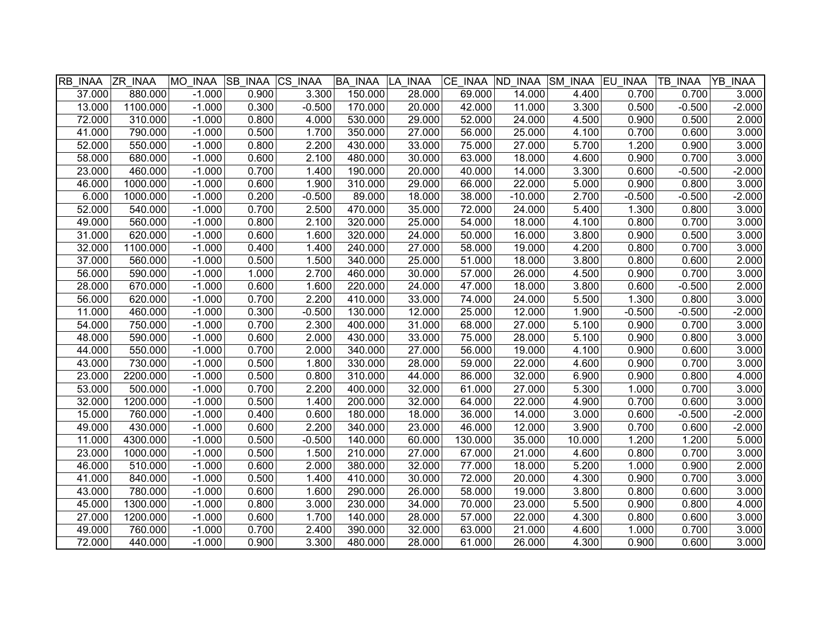| RB INAA ZR INAA |          | MO INAA  | <b>SB INAA CS INAA</b> |          | <b>BA INAA</b> | LA INAA | CE INAA ND INAA |           | SM INAA EU INAA |          | <b>TB INAA</b> | <b>YB INAA</b> |
|-----------------|----------|----------|------------------------|----------|----------------|---------|-----------------|-----------|-----------------|----------|----------------|----------------|
| 37.000          | 880.000  | $-1.000$ | 0.900                  | 3.300    | 150.000        | 28.000  | 69.000          | 14.000    | 4.400           | 0.700    | 0.700          | 3.000          |
| 13.000          | 1100.000 | $-1.000$ | 0.300                  | $-0.500$ | 170.000        | 20.000  | 42.000          | 11.000    | 3.300           | 0.500    | $-0.500$       | $-2.000$       |
| 72.000          | 310.000  | $-1.000$ | 0.800                  | 4.000    | 530.000        | 29.000  | 52.000          | 24.000    | 4.500           | 0.900    | 0.500          | 2.000          |
| 41.000          | 790.000  | $-1.000$ | 0.500                  | 1.700    | 350.000        | 27.000  | 56.000          | 25.000    | 4.100           | 0.700    | 0.600          | 3.000          |
| 52.000          | 550.000  | $-1.000$ | 0.800                  | 2.200    | 430.000        | 33.000  | 75.000          | 27.000    | 5.700           | 1.200    | 0.900          | 3.000          |
| 58.000          | 680.000  | $-1.000$ | 0.600                  | 2.100    | 480.000        | 30.000  | 63.000          | 18.000    | 4.600           | 0.900    | 0.700          | 3.000          |
| 23.000          | 460.000  | $-1.000$ | 0.700                  | 1.400    | 190.000        | 20.000  | 40.000          | 14.000    | 3.300           | 0.600    | $-0.500$       | $-2.000$       |
| 46.000          | 1000.000 | $-1.000$ | 0.600                  | 1.900    | 310.000        | 29.000  | 66.000          | 22.000    | 5.000           | 0.900    | 0.800          | 3.000          |
| 6.000           | 1000.000 | $-1.000$ | 0.200                  | $-0.500$ | 89.000         | 18.000  | 38.000          | $-10.000$ | 2.700           | $-0.500$ | $-0.500$       | $-2.000$       |
| 52.000          | 540.000  | $-1.000$ | 0.700                  | 2.500    | 470.000        | 35.000  | 72.000          | 24.000    | 5.400           | 1.300    | 0.800          | 3.000          |
| 49.000          | 560.000  | $-1.000$ | 0.800                  | 2.100    | 320.000        | 25.000  | 54.000          | 18.000    | 4.100           | 0.800    | 0.700          | 3.000          |
| 31.000          | 620.000  | $-1.000$ | 0.600                  | 1.600    | 320.000        | 24.000  | 50.000          | 16.000    | 3.800           | 0.900    | 0.500          | 3.000          |
| 32.000          | 1100.000 | $-1.000$ | 0.400                  | 1.400    | 240.000        | 27.000  | 58.000          | 19.000    | 4.200           | 0.800    | 0.700          | 3.000          |
| 37.000          | 560.000  | $-1.000$ | 0.500                  | 1.500    | 340.000        | 25.000  | 51.000          | 18.000    | 3.800           | 0.800    | 0.600          | 2.000          |
| 56.000          | 590.000  | $-1.000$ | 1.000                  | 2.700    | 460.000        | 30.000  | 57.000          | 26.000    | 4.500           | 0.900    | 0.700          | 3.000          |
| 28.000          | 670.000  | $-1.000$ | 0.600                  | 1.600    | 220.000        | 24.000  | 47.000          | 18.000    | 3.800           | 0.600    | $-0.500$       | 2.000          |
| 56.000          | 620.000  | $-1.000$ | 0.700                  | 2.200    | 410.000        | 33.000  | 74.000          | 24.000    | 5.500           | 1.300    | 0.800          | 3.000          |
| 11.000          | 460.000  | $-1.000$ | 0.300                  | $-0.500$ | 130.000        | 12.000  | 25.000          | 12.000    | 1.900           | $-0.500$ | $-0.500$       | $-2.000$       |
| 54.000          | 750.000  | $-1.000$ | 0.700                  | 2.300    | 400.000        | 31.000  | 68.000          | 27.000    | 5.100           | 0.900    | 0.700          | 3.000          |
| 48.000          | 590.000  | $-1.000$ | 0.600                  | 2.000    | 430.000        | 33.000  | 75.000          | 28.000    | 5.100           | 0.900    | 0.800          | 3.000          |
| 44.000          | 550.000  | $-1.000$ | 0.700                  | 2.000    | 340.000        | 27.000  | 56.000          | 19.000    | 4.100           | 0.900    | 0.600          | 3.000          |
| 43.000          | 730.000  | $-1.000$ | 0.500                  | 1.800    | 330.000        | 28.000  | 59.000          | 22.000    | 4.600           | 0.900    | 0.700          | 3.000          |
| 23.000          | 2200.000 | $-1.000$ | 0.500                  | 0.800    | 310.000        | 44.000  | 86.000          | 32.000    | 6.900           | 0.900    | 0.800          | 4.000          |
| 53.000          | 500.000  | $-1.000$ | 0.700                  | 2.200    | 400.000        | 32.000  | 61.000          | 27.000    | 5.300           | 1.000    | 0.700          | 3.000          |
| 32.000          | 1200.000 | $-1.000$ | 0.500                  | 1.400    | 200.000        | 32.000  | 64.000          | 22.000    | 4.900           | 0.700    | 0.600          | 3.000          |
| 15.000          | 760.000  | $-1.000$ | 0.400                  | 0.600    | 180.000        | 18.000  | 36.000          | 14.000    | 3.000           | 0.600    | $-0.500$       | $-2.000$       |
| 49.000          | 430.000  | $-1.000$ | 0.600                  | 2.200    | 340.000        | 23.000  | 46.000          | 12.000    | 3.900           | 0.700    | 0.600          | $-2.000$       |
| 11.000          | 4300.000 | $-1.000$ | 0.500                  | $-0.500$ | 140.000        | 60.000  | 130.000         | 35.000    | 10.000          | 1.200    | 1.200          | 5.000          |
| 23.000          | 1000.000 | $-1.000$ | 0.500                  | 1.500    | 210.000        | 27.000  | 67.000          | 21.000    | 4.600           | 0.800    | 0.700          | 3.000          |
| 46.000          | 510.000  | $-1.000$ | 0.600                  | 2.000    | 380.000        | 32.000  | 77.000          | 18.000    | 5.200           | 1.000    | 0.900          | 2.000          |
| 41.000          | 840.000  | $-1.000$ | 0.500                  | 1.400    | 410.000        | 30.000  | 72.000          | 20.000    | 4.300           | 0.900    | 0.700          | 3.000          |
| 43.000          | 780.000  | $-1.000$ | 0.600                  | 1.600    | 290.000        | 26.000  | 58.000          | 19.000    | 3.800           | 0.800    | 0.600          | 3.000          |
| 45.000          | 1300.000 | $-1.000$ | 0.800                  | 3.000    | 230.000        | 34.000  | 70.000          | 23.000    | 5.500           | 0.900    | 0.800          | 4.000          |
| 27.000          | 1200.000 | $-1.000$ | 0.600                  | 1.700    | 140.000        | 28.000  | 57.000          | 22.000    | 4.300           | 0.800    | 0.600          | 3.000          |
| 49.000          | 760.000  | $-1.000$ | 0.700                  | 2.400    | 390.000        | 32.000  | 63.000          | 21.000    | 4.600           | 1.000    | 0.700          | 3.000          |
| 72.000          | 440.000  | $-1.000$ | 0.900                  | 3.300    | 480.000        | 28.000  | 61.000          | 26.000    | 4.300           | 0.900    | 0.600          | 3.000          |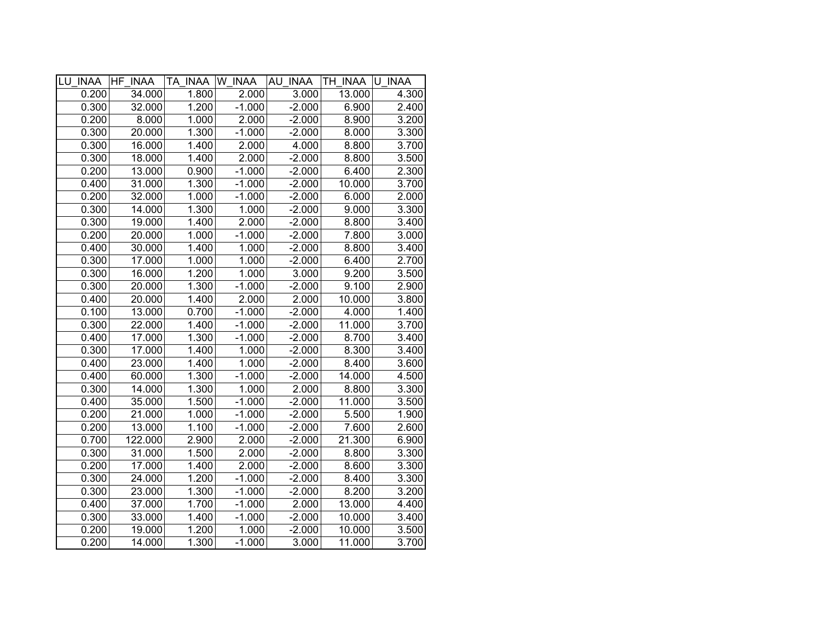| LU INAA HF INAA |         | TA INAA W INAA |          | AU INAA  | TH INAA U INAA |       |
|-----------------|---------|----------------|----------|----------|----------------|-------|
| 0.200           | 34.000  | 1.800          | 2.000    | 3.000    | 13.000         | 4.300 |
| 0.300           | 32.000  | 1.200          | $-1.000$ | $-2.000$ | 6.900          | 2.400 |
| 0.200           | 8.000   | 1.000          | 2.000    | $-2.000$ | 8.900          | 3.200 |
| 0.300           | 20.000  | 1.300          | $-1.000$ | $-2.000$ | 8.000          | 3.300 |
| 0.300           | 16.000  | 1.400          | 2.000    | 4.000    | 8.800          | 3.700 |
| 0.300           | 18.000  | 1.400          | 2.000    | $-2.000$ | 8.800          | 3.500 |
| 0.200           | 13.000  | 0.900          | $-1.000$ | $-2.000$ | 6.400          | 2.300 |
| 0.400           | 31.000  | 1.300          | $-1.000$ | $-2.000$ | 10.000         | 3.700 |
| 0.200           | 32.000  | 1.000          | $-1.000$ | $-2.000$ | 6.000          | 2.000 |
| 0.300           | 14.000  | 1.300          | 1.000    | $-2.000$ | 9.000          | 3.300 |
| 0.300           | 19.000  | 1.400          | 2.000    | $-2.000$ | 8.800          | 3.400 |
| 0.200           | 20.000  | 1.000          | $-1.000$ | $-2.000$ | 7.800          | 3.000 |
| 0.400           | 30.000  | 1.400          | 1.000    | $-2.000$ | 8.800          | 3.400 |
| 0.300           | 17.000  | 1.000          | 1.000    | $-2.000$ | 6.400          | 2.700 |
| 0.300           | 16.000  | 1.200          | 1.000    | 3.000    | 9.200          | 3.500 |
| 0.300           | 20.000  | 1.300          | $-1.000$ | $-2.000$ | 9.100          | 2.900 |
| 0.400           | 20.000  | 1.400          | 2.000    | 2.000    | 10.000         | 3.800 |
| 0.100           | 13.000  | 0.700          | $-1.000$ | $-2.000$ | 4.000          | 1.400 |
| 0.300           | 22.000  | 1.400          | $-1.000$ | $-2.000$ | 11.000         | 3.700 |
| 0.400           | 17.000  | 1.300          | $-1.000$ | $-2.000$ | 8.700          | 3.400 |
| 0.300           | 17.000  | 1.400          | 1.000    | $-2.000$ | 8.300          | 3.400 |
| 0.400           | 23.000  | 1.400          | 1.000    | $-2.000$ | 8.400          | 3.600 |
| 0.400           | 60.000  | 1.300          | $-1.000$ | $-2.000$ | 14.000         | 4.500 |
| 0.300           | 14.000  | 1.300          | 1.000    | 2.000    | 8.800          | 3.300 |
| 0.400           | 35.000  | 1.500          | $-1.000$ | $-2.000$ | 11.000         | 3.500 |
| 0.200           | 21.000  | 1.000          | $-1.000$ | $-2.000$ | 5.500          | 1.900 |
| 0.200           | 13.000  | 1.100          | $-1.000$ | $-2.000$ | 7.600          | 2.600 |
| 0.700           | 122.000 | 2.900          | 2.000    | $-2.000$ | 21.300         | 6.900 |
| 0.300           | 31.000  | 1.500          | 2.000    | $-2.000$ | 8.800          | 3.300 |
| 0.200           | 17.000  | 1.400          | 2.000    | $-2.000$ | 8.600          | 3.300 |
| 0.300           | 24.000  | 1.200          | $-1.000$ | $-2.000$ | 8.400          | 3.300 |
| 0.300           | 23.000  | 1.300          | $-1.000$ | $-2.000$ | 8.200          | 3.200 |
| 0.400           | 37.000  | 1.700          | $-1.000$ | 2.000    | 13.000         | 4.400 |
| 0.300           | 33.000  | 1.400          | $-1.000$ | $-2.000$ | 10.000         | 3.400 |
| 0.200           | 19.000  | 1.200          | 1.000    | $-2.000$ | 10.000         | 3.500 |
| 0.200           | 14.000  | 1.300          | $-1.000$ | 3.000    | 11.000         | 3.700 |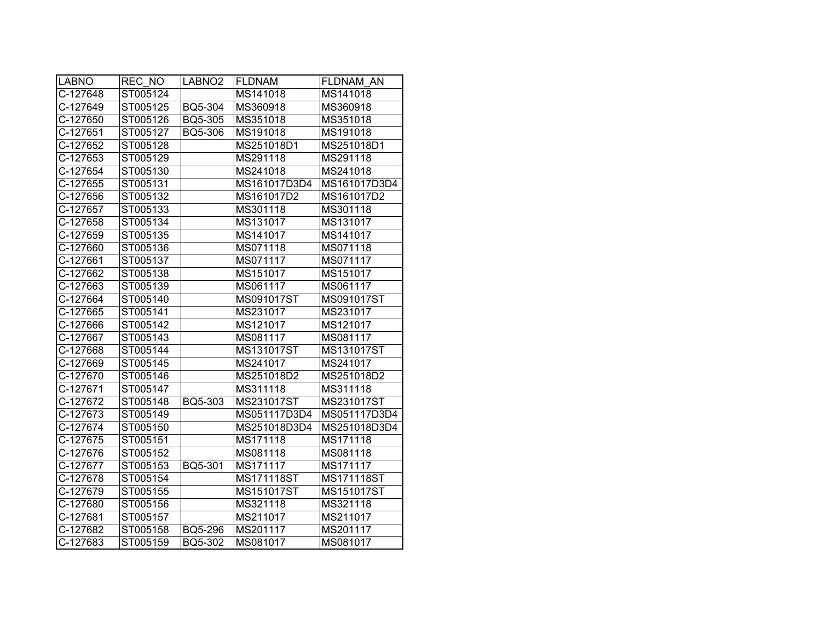| <b>LABNO</b>           | REC NO   | LABNO <sub>2</sub> | <b>FLDNAM</b> | FLDNAM AN    |
|------------------------|----------|--------------------|---------------|--------------|
| C-127648               | ST005124 |                    | MS141018      | MS141018     |
| C-127649               | ST005125 | BQ5-304            | MS360918      | MS360918     |
| C-127650               | ST005126 | BQ5-305            | MS351018      | MS351018     |
| C-127651               | ST005127 | BQ5-306            | MS191018      | MS191018     |
| C-127652               | ST005128 |                    | MS251018D1    | MS251018D1   |
| C-127653               | ST005129 |                    | MS291118      | MS291118     |
| C-127654               | ST005130 |                    | MS241018      | MS241018     |
| C-127655               | ST005131 |                    | MS161017D3D4  | MS161017D3D4 |
| C-127656               | ST005132 |                    | MS161017D2    | MS161017D2   |
| C-127657               | ST005133 |                    | MS301118      | MS301118     |
| C-127658               | ST005134 |                    | MS131017      | MS131017     |
| C-127659               | ST005135 |                    | MS141017      | MS141017     |
| C-127660               | ST005136 |                    | MS071118      | MS071118     |
| C-127661               | ST005137 |                    | MS071117      | MS071117     |
| C-127662               | ST005138 |                    | MS151017      | MS151017     |
| C-127663               | ST005139 |                    | MS061117      | MS061117     |
| C-127664               | ST005140 |                    | MS091017ST    | MS091017ST   |
| C-127665               | ST005141 |                    | MS231017      | MS231017     |
| C-127666               | ST005142 |                    | MS121017      | MS121017     |
| C-127667               | ST005143 |                    | MS081117      | MS081117     |
| C-127668               | ST005144 |                    | MS131017ST    | MS131017ST   |
| C-127669               | ST005145 |                    | MS241017      | MS241017     |
| C-127670               | ST005146 |                    | MS251018D2    | MS251018D2   |
| C-127671               | ST005147 |                    | MS311118      | MS311118     |
| C-127672               | ST005148 | BQ5-303            | MS231017ST    | MS231017ST   |
| C-127673               | ST005149 |                    | MS051117D3D4  | MS051117D3D4 |
| C-127674               | ST005150 |                    | MS251018D3D4  | MS251018D3D4 |
| C-127675               | ST005151 |                    | MS171118      | MS171118     |
| C-127676               | ST005152 |                    | MS081118      | MS081118     |
| $\overline{C}$ -127677 | ST005153 | BQ5-301            | MS171117      | MS171117     |
| $\overline{C}$ -127678 | ST005154 |                    | MS171118ST    | MS171118ST   |
| C-127679               | ST005155 |                    | MS151017ST    | MS151017ST   |
| C-127680               | ST005156 |                    | MS321118      | MS321118     |
| $\overline{C}$ -127681 | ST005157 |                    | MS211017      | MS211017     |
| C-127682               | ST005158 | BQ5-296            | MS201117      | MS201117     |
| $C-127683$             | ST005159 | BQ5-302            | MS081017      | MS081017     |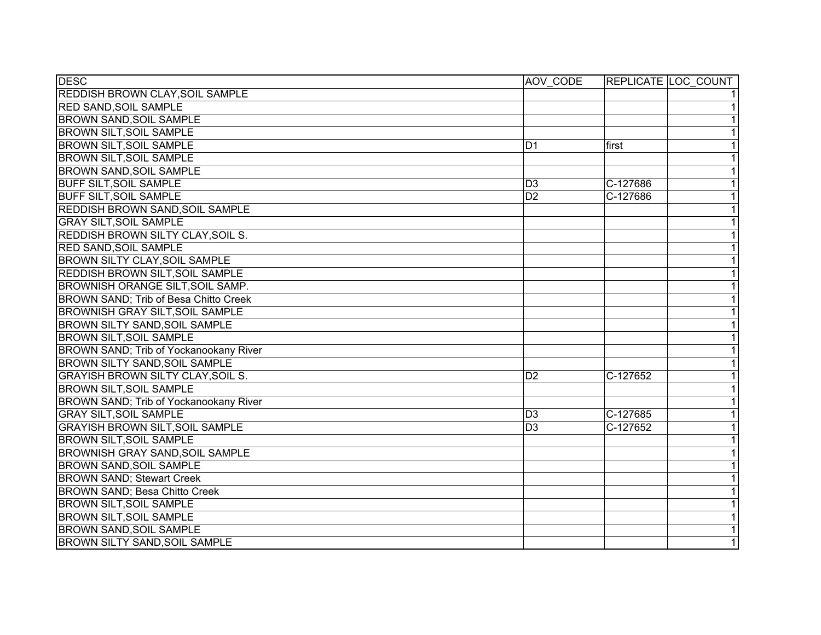| <b>DESC</b>                              | AOV CODE        | REPLICATE LOC COUNT        |
|------------------------------------------|-----------------|----------------------------|
| <b>REDDISH BROWN CLAY, SOIL SAMPLE</b>   |                 | 11                         |
| <b>RED SAND, SOIL SAMPLE</b>             |                 | $\overline{1}$             |
| <b>BROWN SAND, SOIL SAMPLE</b>           |                 | $\overline{1}$             |
| <b>BROWN SILT, SOIL SAMPLE</b>           |                 | 1                          |
| <b>BROWN SILT, SOIL SAMPLE</b>           | D <sub>1</sub>  | $\overline{1}$<br>first    |
| <b>BROWN SILT, SOIL SAMPLE</b>           |                 | $\overline{1}$             |
| <b>BROWN SAND, SOIL SAMPLE</b>           |                 | $\overline{1}$             |
| <b>BUFF SILT, SOIL SAMPLE</b>            | $\overline{D3}$ | $\overline{1}$<br>C-127686 |
| <b>BUFF SILT, SOIL SAMPLE</b>            | D <sub>2</sub>  | $\overline{1}$<br>C-127686 |
| <b>REDDISH BROWN SAND, SOIL SAMPLE</b>   |                 | $\overline{1}$             |
| <b>GRAY SILT, SOIL SAMPLE</b>            |                 | $\overline{1}$             |
| REDDISH BROWN SILTY CLAY, SOIL S.        |                 | $\overline{1}$             |
| <b>RED SAND, SOIL SAMPLE</b>             |                 | $\overline{1}$             |
| <b>BROWN SILTY CLAY, SOIL SAMPLE</b>     |                 | $\overline{1}$             |
| <b>REDDISH BROWN SILT, SOIL SAMPLE</b>   |                 | $\overline{1}$             |
| BROWNISH ORANGE SILT, SOIL SAMP.         |                 | $\overline{1}$             |
| BROWN SAND; Trib of Besa Chitto Creek    |                 | $\overline{1}$             |
| <b>BROWNISH GRAY SILT, SOIL SAMPLE</b>   |                 | $\overline{1}$             |
| <b>BROWN SILTY SAND, SOIL SAMPLE</b>     |                 | $\overline{1}$             |
| <b>BROWN SILT, SOIL SAMPLE</b>           |                 | 1                          |
| BROWN SAND; Trib of Yockanookany River   |                 | 1                          |
| <b>BROWN SILTY SAND, SOIL SAMPLE</b>     |                 | $\overline{1}$             |
| <b>GRAYISH BROWN SILTY CLAY, SOIL S.</b> | D <sub>2</sub>  | $\overline{1}$<br>C-127652 |
| <b>BROWN SILT, SOIL SAMPLE</b>           |                 | $\overline{1}$             |
| BROWN SAND; Trib of Yockanookany River   |                 | $\overline{1}$             |
| <b>GRAY SILT, SOIL SAMPLE</b>            | D <sub>3</sub>  | $\overline{1}$<br>C-127685 |
| <b>GRAYISH BROWN SILT, SOIL SAMPLE</b>   | D <sub>3</sub>  | $\overline{1}$<br>C-127652 |
| <b>BROWN SILT, SOIL SAMPLE</b>           |                 | $\overline{1}$             |
| <b>BROWNISH GRAY SAND, SOIL SAMPLE</b>   |                 | $\overline{1}$             |
| <b>BROWN SAND, SOIL SAMPLE</b>           |                 | $\overline{1}$             |
| <b>BROWN SAND; Stewart Creek</b>         |                 | $\overline{1}$             |
| BROWN SAND; Besa Chitto Creek            |                 | $\overline{1}$             |
| <b>BROWN SILT, SOIL SAMPLE</b>           |                 | $\overline{1}$             |
| <b>BROWN SILT, SOIL SAMPLE</b>           |                 | $\overline{1}$             |
| <b>BROWN SAND, SOIL SAMPLE</b>           |                 | $\overline{1}$             |
| <b>BROWN SILTY SAND, SOIL SAMPLE</b>     |                 | $\overline{1}$             |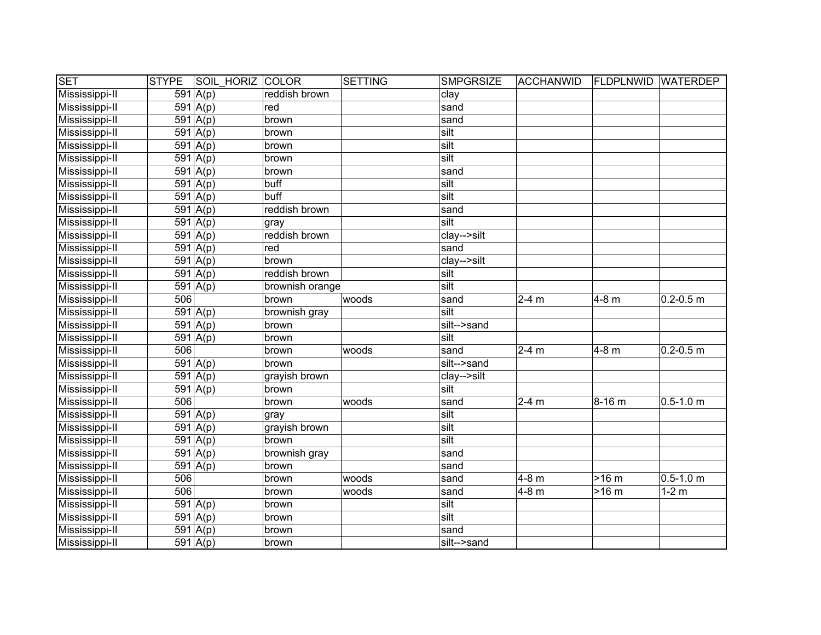| <b>SET</b>     | <b>STYPE</b> | <b>SOIL HORIZ COLOR</b> |                 | SETTING | <b>SMPGRSIZE</b> | <b>ACCHANWID</b> | <b>FLDPLNWID WATERDEP</b> |               |
|----------------|--------------|-------------------------|-----------------|---------|------------------|------------------|---------------------------|---------------|
| Mississippi-II |              | 591 $A(p)$              | reddish brown   |         | clay             |                  |                           |               |
| Mississippi-II |              | $\overline{591 A(p)}$   | red             |         | sand             |                  |                           |               |
| Mississippi-II |              | $591 \vert A(p)$        | brown           |         | sand             |                  |                           |               |
| Mississippi-II |              | $\overline{591 A(p)}$   | brown           |         | silt             |                  |                           |               |
| Mississippi-II |              | $591 \overline{A(p)}$   | brown           |         | silt             |                  |                           |               |
| Mississippi-II |              | $591 \overline{A(p)}$   | brown           |         | silt             |                  |                           |               |
| Mississippi-II |              | $591 \mid A(p)$         | brown           |         | sand             |                  |                           |               |
| Mississippi-II |              | $591 \overline{A(p)}$   | buff            |         | silt             |                  |                           |               |
| Mississippi-II |              | $591 \mid A(p)$         | buff            |         | silt             |                  |                           |               |
| Mississippi-II |              | 591   A(p)              | reddish brown   |         | sand             |                  |                           |               |
| Mississippi-II |              | $\overline{591 A(p)}$   | gray            |         | silt             |                  |                           |               |
| Mississippi-II |              | 591   A(p)              | reddish brown   |         | clay-->silt      |                  |                           |               |
| Mississippi-II |              | 591 $A(p)$              | red             |         | sand             |                  |                           |               |
| Mississippi-II |              | 591 $A(p)$              | brown           |         | clay-->silt      |                  |                           |               |
| Mississippi-II |              | 591 $A(p)$              | reddish brown   |         | silt             |                  |                           |               |
| Mississippi-II |              | $\overline{591}$ A(p)   | brownish orange |         | silt             |                  |                           |               |
| Mississippi-II | 506          |                         | brown           | woods   | sand             | $2-4$ m          | 4-8 m                     | $0.2 - 0.5$ m |
| Mississippi-II |              | 591 $A(p)$              | brownish gray   |         | silt             |                  |                           |               |
| Mississippi-II |              | $\overline{591 A(p)}$   | brown           |         | silt-->sand      |                  |                           |               |
| Mississippi-II |              | 591   A(p)              | brown           |         | silt             |                  |                           |               |
| Mississippi-II | 506          |                         | brown           | woods   | sand             | $2-4 m$          | 4-8 m                     | $0.2 - 0.5$ m |
| Mississippi-II |              | 591 $A(p)$              | brown           |         | silt-->sand      |                  |                           |               |
| Mississippi-II |              | $591 \mid A(p)$         | grayish brown   |         | clay-->silt      |                  |                           |               |
| Mississippi-II |              | 591 $A(p)$              | brown           |         | silt             |                  |                           |               |
| Mississippi-II | 506          |                         | brown           | woods   | sand             | $2-4 m$          | 8-16 m                    | $0.5 - 1.0$ m |
| Mississippi-II |              | 591 $A(p)$              | gray            |         | silt             |                  |                           |               |
| Mississippi-II |              | $591 \vert A(p)$        | grayish brown   |         | silt             |                  |                           |               |
| Mississippi-II |              | $591 \overline{A(p)}$   | brown           |         | silt             |                  |                           |               |
| Mississippi-II |              | 591   A(p)              | brownish gray   |         | sand             |                  |                           |               |
| Mississippi-II |              | 591   A(p)              | brown           |         | sand             |                  |                           |               |
| Mississippi-II | 506          |                         | brown           | woods   | sand             | $4-8$ m          | $>16 \text{ m}$           | $0.5 - 1.0$ m |
| Mississippi-II | 506          |                         | brown           | woods   | sand             | 4-8 m            | $>16$ m                   | $1-2$ m       |
| Mississippi-II |              | 591   A(p)              | brown           |         | silt             |                  |                           |               |
| Mississippi-II |              | $591 \vert A(p)$        | brown           |         | silt             |                  |                           |               |
| Mississippi-II |              | $591 \vert A(p)$        | brown           |         | sand             |                  |                           |               |
| Mississippi-II |              | 591 $A(p)$              | brown           |         | silt-->sand      |                  |                           |               |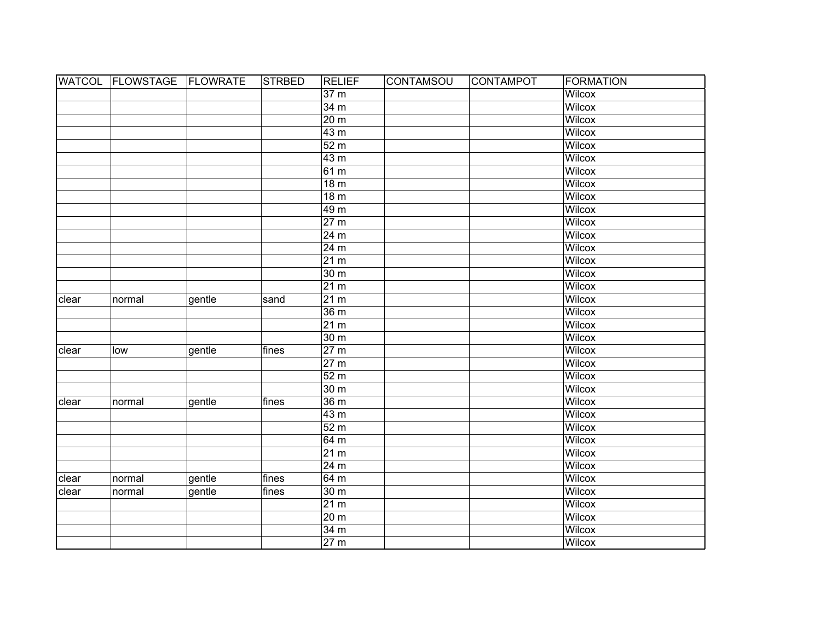|       | WATCOL FLOWSTAGE FLOWRATE |        | <b>STRBED</b> | <b>RELIEF</b>     | <b>CONTAMSOU</b> | <b>CONTAMPOT</b> | <b>FORMATION</b> |
|-------|---------------------------|--------|---------------|-------------------|------------------|------------------|------------------|
|       |                           |        |               | 37 m              |                  |                  | Wilcox           |
|       |                           |        |               | 34 <sub>m</sub>   |                  |                  | <b>Wilcox</b>    |
|       |                           |        |               | 20 <sub>m</sub>   |                  |                  | <b>Wilcox</b>    |
|       |                           |        |               | 43 <sub>m</sub>   |                  |                  | <b>Wilcox</b>    |
|       |                           |        |               | 52 <sub>m</sub>   |                  |                  | <b>Wilcox</b>    |
|       |                           |        |               | 43 <sub>m</sub>   |                  |                  | <b>Wilcox</b>    |
|       |                           |        |               | 61 <sub>m</sub>   |                  |                  | <b>Wilcox</b>    |
|       |                           |        |               | 18 <sub>m</sub>   |                  |                  | <b>Wilcox</b>    |
|       |                           |        |               | 18 <sub>m</sub>   |                  |                  | <b>Wilcox</b>    |
|       |                           |        |               | 49 m              |                  |                  | <b>Wilcox</b>    |
|       |                           |        |               | 27 m              |                  |                  | Wilcox           |
|       |                           |        |               | 24 m              |                  |                  | <b>Wilcox</b>    |
|       |                           |        |               | 24 m              |                  |                  | Wilcox           |
|       |                           |        |               | 21 m              |                  |                  | Wilcox           |
|       |                           |        |               | 30 m              |                  |                  | Wilcox           |
|       |                           |        |               | 21 m              |                  |                  | Wilcox           |
| clear | normal                    | gentle | sand          | 21 <sub>m</sub>   |                  |                  | Wilcox           |
|       |                           |        |               | 36 m              |                  |                  | Wilcox           |
|       |                           |        |               | 21 <sub>m</sub>   |                  |                  | Wilcox           |
|       |                           |        |               | 30 <sub>m</sub>   |                  |                  | Wilcox           |
| clear | low                       | gentle | fines         | 27 <sub>m</sub>   |                  |                  | Wilcox           |
|       |                           |        |               | 27 <sub>m</sub>   |                  |                  | Wilcox           |
|       |                           |        |               | 52 m              |                  |                  | Wilcox           |
|       |                           |        |               | 30 m              |                  |                  | Wilcox           |
| clear | normal                    | gentle | fines         | 36 <sub>m</sub>   |                  |                  | Wilcox           |
|       |                           |        |               | 43 m              |                  |                  | Wilcox           |
|       |                           |        |               | 52 <sub>m</sub>   |                  |                  | Wilcox           |
|       |                           |        |               | 64 m              |                  |                  | <b>Wilcox</b>    |
|       |                           |        |               | 21 m              |                  |                  | <b>Wilcox</b>    |
|       |                           |        |               | 24 <sub>m</sub>   |                  |                  | <b>Wilcox</b>    |
| clear | normal                    | gentle | fines         | 64 m              |                  |                  | <b>Wilcox</b>    |
| clear | normal                    | gentle | fines         | 30 <sub>m</sub>   |                  |                  | <b>Wilcox</b>    |
|       |                           |        |               | 21 m              |                  |                  | <b>Wilcox</b>    |
|       |                           |        |               | 20 <sub>m</sub>   |                  |                  | Wilcox           |
|       |                           |        |               | 34 <sub>m</sub>   |                  |                  | Wilcox           |
|       |                           |        |               | $\overline{27}$ m |                  |                  | Wilcox           |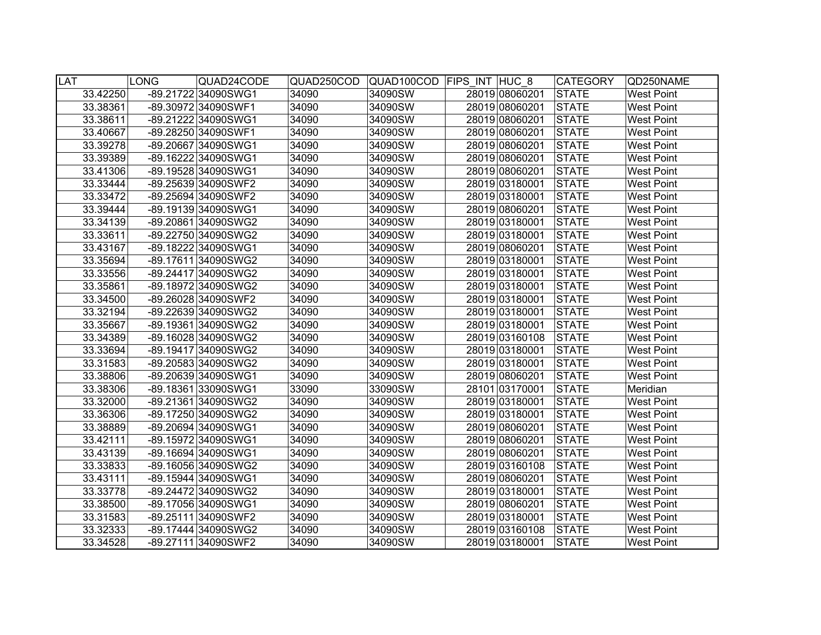| <b>LAT</b> |          | <b>LONG</b> | QUAD24CODE          | QUAD250COD | QUAD100COD FIPS INT HUC 8 |                | <b>CATEGORY</b> | QD250NAME         |
|------------|----------|-------------|---------------------|------------|---------------------------|----------------|-----------------|-------------------|
|            | 33.42250 |             | -89.21722 34090SWG1 | 34090      | 34090SW                   | 28019 08060201 | <b>STATE</b>    | <b>West Point</b> |
|            | 33.38361 |             | -89.30972 34090SWF1 | 34090      | 34090SW                   | 28019 08060201 | <b>STATE</b>    | <b>West Point</b> |
|            | 33.38611 |             | -89.21222 34090SWG1 | 34090      | 34090SW                   | 28019 08060201 | <b>STATE</b>    | <b>West Point</b> |
|            | 33.40667 |             | -89.28250 34090SWF1 | 34090      | 34090SW                   | 28019 08060201 | <b>STATE</b>    | <b>West Point</b> |
|            | 33.39278 |             | -89.20667 34090SWG1 | 34090      | 34090SW                   | 28019 08060201 | <b>STATE</b>    | <b>West Point</b> |
|            | 33.39389 |             | -89.16222 34090SWG1 | 34090      | 34090SW                   | 28019 08060201 | <b>STATE</b>    | <b>West Point</b> |
|            | 33.41306 |             | -89.19528 34090SWG1 | 34090      | 34090SW                   | 28019 08060201 | <b>STATE</b>    | <b>West Point</b> |
|            | 33.33444 |             | -89.25639 34090SWF2 | 34090      | 34090SW                   | 28019 03180001 | <b>STATE</b>    | <b>West Point</b> |
|            | 33.33472 |             | -89.25694 34090SWF2 | 34090      | 34090SW                   | 28019 03180001 | <b>STATE</b>    | <b>West Point</b> |
|            | 33.39444 |             | -89.19139 34090SWG1 | 34090      | 34090SW                   | 28019 08060201 | <b>STATE</b>    | <b>West Point</b> |
|            | 33.34139 |             | -89.20861 34090SWG2 | 34090      | 34090SW                   | 28019 03180001 | <b>STATE</b>    | <b>West Point</b> |
|            | 33.33611 |             | -89.22750 34090SWG2 | 34090      | 34090SW                   | 28019 03180001 | <b>STATE</b>    | <b>West Point</b> |
|            | 33.43167 |             | -89.18222 34090SWG1 | 34090      | 34090SW                   | 28019 08060201 | <b>STATE</b>    | <b>West Point</b> |
|            | 33.35694 |             | -89.17611 34090SWG2 | 34090      | 34090SW                   | 28019 03180001 | <b>STATE</b>    | <b>West Point</b> |
|            | 33.33556 |             | -89.24417 34090SWG2 | 34090      | 34090SW                   | 28019 03180001 | <b>STATE</b>    | West Point        |
|            | 33.35861 |             | -89.18972 34090SWG2 | 34090      | 34090SW                   | 28019 03180001 | <b>STATE</b>    | <b>West Point</b> |
|            | 33.34500 |             | -89.26028 34090SWF2 | 34090      | 34090SW                   | 28019 03180001 | <b>STATE</b>    | <b>West Point</b> |
|            | 33.32194 |             | -89.22639 34090SWG2 | 34090      | 34090SW                   | 28019 03180001 | <b>STATE</b>    | <b>West Point</b> |
|            | 33.35667 |             | -89.19361 34090SWG2 | 34090      | 34090SW                   | 28019 03180001 | <b>STATE</b>    | <b>West Point</b> |
|            | 33.34389 |             | -89.16028 34090SWG2 | 34090      | 34090SW                   | 28019 03160108 | <b>STATE</b>    | <b>West Point</b> |
|            | 33.33694 |             | -89.19417 34090SWG2 | 34090      | 34090SW                   | 28019 03180001 | <b>STATE</b>    | West Point        |
|            | 33.31583 |             | -89.20583 34090SWG2 | 34090      | 34090SW                   | 28019 03180001 | <b>STATE</b>    | West Point        |
|            | 33.38806 |             | -89.20639 34090SWG1 | 34090      | 34090SW                   | 28019 08060201 | <b>STATE</b>    | <b>West Point</b> |
|            | 33.38306 |             | -89.18361 33090SWG1 | 33090      | 33090SW                   | 28101 03170001 | <b>STATE</b>    | Meridian          |
|            | 33.32000 |             | -89.21361 34090SWG2 | 34090      | 34090SW                   | 28019 03180001 | <b>STATE</b>    | <b>West Point</b> |
|            | 33.36306 |             | -89.17250 34090SWG2 | 34090      | 34090SW                   | 28019 03180001 | <b>STATE</b>    | <b>West Point</b> |
|            | 33.38889 |             | -89.20694 34090SWG1 | 34090      | 34090SW                   | 28019 08060201 | <b>STATE</b>    | <b>West Point</b> |
|            | 33.42111 |             | -89.15972 34090SWG1 | 34090      | 34090SW                   | 28019 08060201 | <b>STATE</b>    | <b>West Point</b> |
|            | 33.43139 |             | -89.16694 34090SWG1 | 34090      | 34090SW                   | 28019 08060201 | <b>STATE</b>    | <b>West Point</b> |
|            | 33.33833 |             | -89.16056 34090SWG2 | 34090      | 34090SW                   | 28019 03160108 | <b>STATE</b>    | <b>West Point</b> |
|            | 33.43111 |             | -89.15944 34090SWG1 | 34090      | 34090SW                   | 28019 08060201 | <b>STATE</b>    | <b>West Point</b> |
|            | 33.33778 |             | -89.24472 34090SWG2 | 34090      | 34090SW                   | 28019 03180001 | <b>STATE</b>    | <b>West Point</b> |
|            | 33.38500 |             | -89.17056 34090SWG1 | 34090      | 34090SW                   | 28019 08060201 | <b>STATE</b>    | <b>West Point</b> |
|            | 33.31583 |             | -89.25111 34090SWF2 | 34090      | 34090SW                   | 28019 03180001 | <b>STATE</b>    | <b>West Point</b> |
|            | 33.32333 |             | -89.17444 34090SWG2 | 34090      | 34090SW                   | 28019 03160108 | <b>STATE</b>    | <b>West Point</b> |
|            | 33.34528 |             | -89.27111 34090SWF2 | 34090      | 34090SW                   | 28019 03180001 | <b>STATE</b>    | <b>West Point</b> |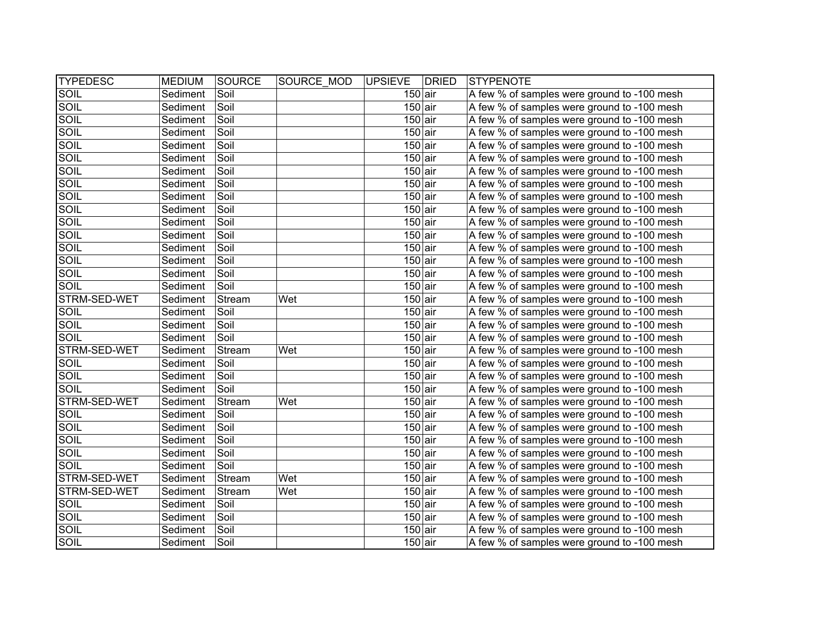| <b>TYPEDESC</b> | <b>MEDIUM</b> | SOURCE | SOURCE MOD | <b>UPSIEVE</b> | <b>DRIED</b> | STYPENOTE                                   |
|-----------------|---------------|--------|------------|----------------|--------------|---------------------------------------------|
| SOIL            | Sediment      | Soil   |            | $150$ air      |              | A few % of samples were ground to -100 mesh |
| <b>SOIL</b>     | Sediment      | Soil   |            | $150$ air      |              | A few % of samples were ground to -100 mesh |
| <b>SOIL</b>     | Sediment      | Soil   |            | $150$ air      |              | A few % of samples were ground to -100 mesh |
| <b>SOIL</b>     | Sediment      | Soil   |            | $150$ air      |              | A few % of samples were ground to -100 mesh |
| <b>SOIL</b>     | Sediment      | Soil   |            | $150$ air      |              | A few % of samples were ground to -100 mesh |
| <b>SOIL</b>     | Sediment      | Soil   |            | $150$ air      |              | A few % of samples were ground to -100 mesh |
| <b>SOIL</b>     | Sediment      | Soil   |            | $150$ air      |              | A few % of samples were ground to -100 mesh |
| <b>SOIL</b>     | Sediment      | Soil   |            | $150$ air      |              | A few % of samples were ground to -100 mesh |
| <b>SOIL</b>     | Sediment      | Soil   |            | $150$ air      |              | A few % of samples were ground to -100 mesh |
| <b>SOIL</b>     | Sediment      | Soil   |            | $150$ air      |              | A few % of samples were ground to -100 mesh |
| SOIL            | Sediment      | Soil   |            | $150$ air      |              | A few % of samples were ground to -100 mesh |
| SOIL            | Sediment      | Soil   |            | $150$ air      |              | A few % of samples were ground to -100 mesh |
| SOIL            | Sediment      | Soil   |            | $150$ air      |              | A few % of samples were ground to -100 mesh |
| SOIL            | Sediment      | Soil   |            | $150$ air      |              | A few % of samples were ground to -100 mesh |
| SOIL            | Sediment      | Soil   |            | $150$ air      |              | A few % of samples were ground to -100 mesh |
| SOIL            | Sediment      | Soil   |            | $150$ air      |              | A few % of samples were ground to -100 mesh |
| STRM-SED-WET    | Sediment      | Stream | Wet        | $150$ air      |              | A few % of samples were ground to -100 mesh |
| SOIL            | Sediment      | Soil   |            | $150$ air      |              | A few % of samples were ground to -100 mesh |
| SOIL            | Sediment      | Soil   |            | $150$ air      |              | A few % of samples were ground to -100 mesh |
| SOIL            | Sediment      | Soil   |            | $150$ air      |              | A few % of samples were ground to -100 mesh |
| STRM-SED-WET    | Sediment      | Stream | Wet        | $150$ air      |              | A few % of samples were ground to -100 mesh |
| SOIL            | Sediment      | Soil   |            | $150$ air      |              | A few % of samples were ground to -100 mesh |
| SOIL            | Sediment      | Soil   |            | $150$ air      |              | A few % of samples were ground to -100 mesh |
| SOIL            | Sediment      | Soil   |            | $150$ air      |              | A few % of samples were ground to -100 mesh |
| STRM-SED-WET    | Sediment      | Stream | Wet        | $150$ air      |              | A few % of samples were ground to -100 mesh |
| SOIL            | Sediment      | Soil   |            | $150$ air      |              | A few % of samples were ground to -100 mesh |
| SOIL            | Sediment      | Soil   |            | $150$ air      |              | A few % of samples were ground to -100 mesh |
| <b>SOIL</b>     | Sediment      | Soil   |            | $150$ air      |              | A few % of samples were ground to -100 mesh |
| SOIL            | Sediment      | Soil   |            | $150$ air      |              | A few % of samples were ground to -100 mesh |
| SOIL            | Sediment      | Soil   |            | $150$ air      |              | A few % of samples were ground to -100 mesh |
| STRM-SED-WET    | Sediment      | Stream | Wet        | $150$ air      |              | A few % of samples were ground to -100 mesh |
| STRM-SED-WET    | Sediment      | Stream | Wet        | $150$ air      |              | A few % of samples were ground to -100 mesh |
| SOIL            | Sediment      | Soil   |            | $150$ air      |              | A few % of samples were ground to -100 mesh |
| <b>SOIL</b>     | Sediment      | Soil   |            | $150$ air      |              | A few % of samples were ground to -100 mesh |
| SOIL            | Sediment      | Soil   |            | $150$ air      |              | A few % of samples were ground to -100 mesh |
| SOIL            | Sediment      | Soil   |            | $150$ air      |              | A few % of samples were ground to -100 mesh |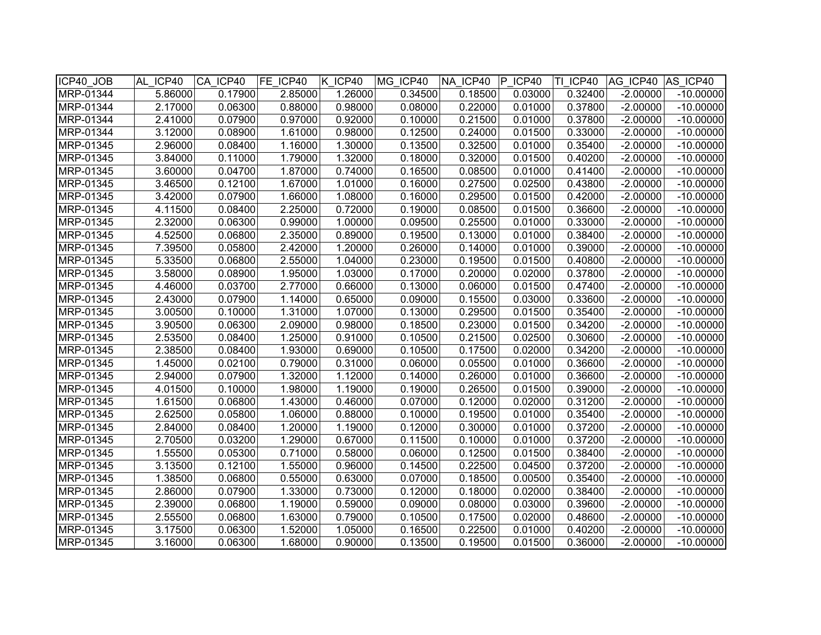| ICP40_JOB | AL ICP40 | CA ICP40 | FE ICP40 | K ICP40 | MG ICP40 | NA ICP40 | IP.<br>ICP40 | TI ICP40 | AG ICP40   | AS ICP40    |
|-----------|----------|----------|----------|---------|----------|----------|--------------|----------|------------|-------------|
| MRP-01344 | 5.86000  | 0.17900  | 2.85000  | 1.26000 | 0.34500  | 0.18500  | 0.03000      | 0.32400  | $-2.00000$ | $-10.00000$ |
| MRP-01344 | 2.17000  | 0.06300  | 0.88000  | 0.98000 | 0.08000  | 0.22000  | 0.01000      | 0.37800  | $-2.00000$ | $-10.00000$ |
| MRP-01344 | 2.41000  | 0.07900  | 0.97000  | 0.92000 | 0.10000  | 0.21500  | 0.01000      | 0.37800  | $-2.00000$ | $-10.00000$ |
| MRP-01344 | 3.12000  | 0.08900  | 1.61000  | 0.98000 | 0.12500  | 0.24000  | 0.01500      | 0.33000  | $-2.00000$ | $-10.00000$ |
| MRP-01345 | 2.96000  | 0.08400  | 1.16000  | 1.30000 | 0.13500  | 0.32500  | 0.01000      | 0.35400  | $-2.00000$ | $-10.00000$ |
| MRP-01345 | 3.84000  | 0.11000  | 1.79000  | 1.32000 | 0.18000  | 0.32000  | 0.01500      | 0.40200  | $-2.00000$ | $-10.00000$ |
| MRP-01345 | 3.60000  | 0.04700  | 1.87000  | 0.74000 | 0.16500  | 0.08500  | 0.01000      | 0.41400  | $-2.00000$ | $-10.00000$ |
| MRP-01345 | 3.46500  | 0.12100  | 1.67000  | 1.01000 | 0.16000  | 0.27500  | 0.02500      | 0.43800  | $-2.00000$ | $-10.00000$ |
| MRP-01345 | 3.42000  | 0.07900  | 1.66000  | 1.08000 | 0.16000  | 0.29500  | 0.01500      | 0.42000  | $-2.00000$ | $-10.00000$ |
| MRP-01345 | 4.11500  | 0.08400  | 2.25000  | 0.72000 | 0.19000  | 0.08500  | 0.01500      | 0.36600  | $-2.00000$ | $-10.00000$ |
| MRP-01345 | 2.32000  | 0.06300  | 0.99000  | 1.00000 | 0.09500  | 0.25500  | 0.01000      | 0.33000  | $-2.00000$ | $-10.00000$ |
| MRP-01345 | 4.52500  | 0.06800  | 2.35000  | 0.89000 | 0.19500  | 0.13000  | 0.01000      | 0.38400  | $-2.00000$ | $-10.00000$ |
| MRP-01345 | 7.39500  | 0.05800  | 2.42000  | 1.20000 | 0.26000  | 0.14000  | 0.01000      | 0.39000  | $-2.00000$ | $-10.00000$ |
| MRP-01345 | 5.33500  | 0.06800  | 2.55000  | 1.04000 | 0.23000  | 0.19500  | 0.01500      | 0.40800  | $-2.00000$ | $-10.00000$ |
| MRP-01345 | 3.58000  | 0.08900  | 1.95000  | 1.03000 | 0.17000  | 0.20000  | 0.02000      | 0.37800  | $-2.00000$ | $-10.00000$ |
| MRP-01345 | 4.46000  | 0.03700  | 2.77000  | 0.66000 | 0.13000  | 0.06000  | 0.01500      | 0.47400  | $-2.00000$ | $-10.00000$ |
| MRP-01345 | 2.43000  | 0.07900  | 1.14000  | 0.65000 | 0.09000  | 0.15500  | 0.03000      | 0.33600  | $-2.00000$ | $-10.00000$ |
| MRP-01345 | 3.00500  | 0.10000  | 1.31000  | 1.07000 | 0.13000  | 0.29500  | 0.01500      | 0.35400  | $-2.00000$ | $-10.00000$ |
| MRP-01345 | 3.90500  | 0.06300  | 2.09000  | 0.98000 | 0.18500  | 0.23000  | 0.01500      | 0.34200  | $-2.00000$ | $-10.00000$ |
| MRP-01345 | 2.53500  | 0.08400  | 1.25000  | 0.91000 | 0.10500  | 0.21500  | 0.02500      | 0.30600  | $-2.00000$ | $-10.00000$ |
| MRP-01345 | 2.38500  | 0.08400  | 1.93000  | 0.69000 | 0.10500  | 0.17500  | 0.02000      | 0.34200  | $-2.00000$ | $-10.00000$ |
| MRP-01345 | 1.45000  | 0.02100  | 0.79000  | 0.31000 | 0.06000  | 0.05500  | 0.01000      | 0.36600  | $-2.00000$ | $-10.00000$ |
| MRP-01345 | 2.94000  | 0.07900  | 1.32000  | 1.12000 | 0.14000  | 0.26000  | 0.01000      | 0.36600  | $-2.00000$ | $-10.00000$ |
| MRP-01345 | 4.01500  | 0.10000  | 1.98000  | 1.19000 | 0.19000  | 0.26500  | 0.01500      | 0.39000  | $-2.00000$ | $-10.00000$ |
| MRP-01345 | 1.61500  | 0.06800  | 1.43000  | 0.46000 | 0.07000  | 0.12000  | 0.02000      | 0.31200  | $-2.00000$ | $-10.00000$ |
| MRP-01345 | 2.62500  | 0.05800  | 1.06000  | 0.88000 | 0.10000  | 0.19500  | 0.01000      | 0.35400  | $-2.00000$ | $-10.00000$ |
| MRP-01345 | 2.84000  | 0.08400  | 1.20000  | 1.19000 | 0.12000  | 0.30000  | 0.01000      | 0.37200  | $-2.00000$ | $-10.00000$ |
| MRP-01345 | 2.70500  | 0.03200  | 1.29000  | 0.67000 | 0.11500  | 0.10000  | 0.01000      | 0.37200  | $-2.00000$ | $-10.00000$ |
| MRP-01345 | 1.55500  | 0.05300  | 0.71000  | 0.58000 | 0.06000  | 0.12500  | 0.01500      | 0.38400  | $-2.00000$ | $-10.00000$ |
| MRP-01345 | 3.13500  | 0.12100  | 1.55000  | 0.96000 | 0.14500  | 0.22500  | 0.04500      | 0.37200  | $-2.00000$ | $-10.00000$ |
| MRP-01345 | 1.38500  | 0.06800  | 0.55000  | 0.63000 | 0.07000  | 0.18500  | 0.00500      | 0.35400  | $-2.00000$ | $-10.00000$ |
| MRP-01345 | 2.86000  | 0.07900  | 1.33000  | 0.73000 | 0.12000  | 0.18000  | 0.02000      | 0.38400  | $-2.00000$ | $-10.00000$ |
| MRP-01345 | 2.39000  | 0.06800  | 1.19000  | 0.59000 | 0.09000  | 0.08000  | 0.03000      | 0.39600  | $-2.00000$ | $-10.00000$ |
| MRP-01345 | 2.55500  | 0.06800  | 1.63000  | 0.79000 | 0.10500  | 0.17500  | 0.02000      | 0.48600  | $-2.00000$ | $-10.00000$ |
| MRP-01345 | 3.17500  | 0.06300  | 1.52000  | 1.05000 | 0.16500  | 0.22500  | 0.01000      | 0.40200  | $-2.00000$ | $-10.00000$ |
| MRP-01345 | 3.16000  | 0.06300  | 1.68000  | 0.90000 | 0.13500  | 0.19500  | 0.01500      | 0.36000  | $-2.00000$ | $-10.00000$ |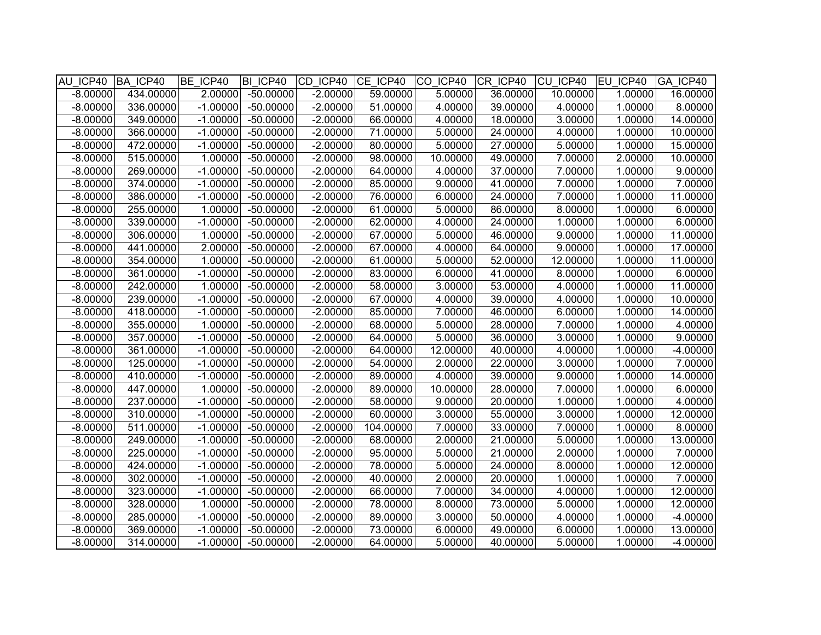| AU ICP40 BA ICP40 |           | BE ICP40   | BI ICP40    | CD ICP40   | CE ICP40 CO ICP40 |          | $ CR$ ICP40 | CU ICP40 EU ICP40 |         | GA ICP40   |
|-------------------|-----------|------------|-------------|------------|-------------------|----------|-------------|-------------------|---------|------------|
| $-8.00000$        | 434.00000 | 2.00000    | $-50.00000$ | $-2.00000$ | 59.00000          | 5.00000  | 36.00000    | 10.00000          | 1.00000 | 16.00000   |
| $-8.00000$        | 336.00000 | $-1.00000$ | $-50.00000$ | $-2.00000$ | 51.00000          | 4.00000  | 39.00000    | 4.00000           | 1.00000 | 8.00000    |
| $-8.00000$        | 349.00000 | $-1.00000$ | $-50.00000$ | $-2.00000$ | 66.00000          | 4.00000  | 18.00000    | 3.00000           | 1.00000 | 14.00000   |
| $-8.00000$        | 366.00000 | $-1.00000$ | $-50.00000$ | $-2.00000$ | 71.00000          | 5.00000  | 24.00000    | 4.00000           | 1.00000 | 10.00000   |
| $-8.00000$        | 472.00000 | $-1.00000$ | $-50.00000$ | $-2.00000$ | 80.00000          | 5.00000  | 27.00000    | 5.00000           | 1.00000 | 15.00000   |
| $-8.00000$        | 515.00000 | 1.00000    | $-50.00000$ | $-2.00000$ | 98.00000          | 10.00000 | 49.00000    | 7.00000           | 2.00000 | 10.00000   |
| $-8.00000$        | 269.00000 | $-1.00000$ | $-50.00000$ | $-2.00000$ | 64.00000          | 4.00000  | 37.00000    | 7.00000           | 1.00000 | 9.00000    |
| $-8.00000$        | 374.00000 | $-1.00000$ | $-50.00000$ | $-2.00000$ | 85.00000          | 9.00000  | 41.00000    | 7.00000           | 1.00000 | 7.00000    |
| $-8.00000$        | 386.00000 | $-1.00000$ | $-50.00000$ | $-2.00000$ | 76.00000          | 6.00000  | 24.00000    | 7.00000           | 1.00000 | 11.00000   |
| $-8.00000$        | 255.00000 | 1.00000    | $-50.00000$ | $-2.00000$ | 61.00000          | 5.00000  | 86.00000    | 8.00000           | 1.00000 | 6.00000    |
| $-8.00000$        | 339.00000 | $-1.00000$ | $-50.00000$ | $-2.00000$ | 62.00000          | 4.00000  | 24.00000    | 1.00000           | 1.00000 | 6.00000    |
| $-8.00000$        | 306.00000 | 1.00000    | $-50.00000$ | $-2.00000$ | 67.00000          | 5.00000  | 46.00000    | 9.00000           | 1.00000 | 11.00000   |
| $-8.00000$        | 441.00000 | 2.00000    | $-50.00000$ | $-2.00000$ | 67.00000          | 4.00000  | 64.00000    | 9.00000           | 1.00000 | 17.00000   |
| $-8.00000$        | 354.00000 | 1.00000    | $-50.00000$ | $-2.00000$ | 61.00000          | 5.00000  | 52.00000    | 12.00000          | 1.00000 | 11.00000   |
| $-8.00000$        | 361.00000 | $-1.00000$ | $-50.00000$ | $-2.00000$ | 83.00000          | 6.00000  | 41.00000    | 8.00000           | 1.00000 | 6.00000    |
| $-8.00000$        | 242.00000 | 1.00000    | $-50.00000$ | $-2.00000$ | 58.00000          | 3.00000  | 53.00000    | 4.00000           | 1.00000 | 11.00000   |
| $-8.00000$        | 239.00000 | $-1.00000$ | $-50.00000$ | $-2.00000$ | 67.00000          | 4.00000  | 39.00000    | 4.00000           | 1.00000 | 10.00000   |
| $-8.00000$        | 418.00000 | $-1.00000$ | $-50.00000$ | $-2.00000$ | 85.00000          | 7.00000  | 46.00000    | 6.00000           | 1.00000 | 14.00000   |
| $-8.00000$        | 355.00000 | 1.00000    | $-50.00000$ | $-2.00000$ | 68.00000          | 5.00000  | 28.00000    | 7.00000           | 1.00000 | 4.00000    |
| $-8.00000$        | 357.00000 | $-1.00000$ | $-50.00000$ | $-2.00000$ | 64.00000          | 5.00000  | 36.00000    | 3.00000           | 1.00000 | 9.00000    |
| $-8.00000$        | 361.00000 | $-1.00000$ | $-50.00000$ | $-2.00000$ | 64.00000          | 12.00000 | 40.00000    | 4.00000           | 1.00000 | $-4.00000$ |
| $-8.00000$        | 125.00000 | $-1.00000$ | $-50.00000$ | $-2.00000$ | 54.00000          | 2.00000  | 22.00000    | 3.00000           | 1.00000 | 7.00000    |
| $-8.00000$        | 410.00000 | $-1.00000$ | $-50.00000$ | $-2.00000$ | 89.00000          | 4.00000  | 39.00000    | 9.00000           | 1.00000 | 14.00000   |
| $-8.00000$        | 447.00000 | 1.00000    | $-50.00000$ | $-2.00000$ | 89.00000          | 10.00000 | 28.00000    | 7.00000           | 1.00000 | 6.00000    |
| $-8.00000$        | 237.00000 | $-1.00000$ | $-50.00000$ | $-2.00000$ | 58.00000          | 9.00000  | 20.00000    | 1.00000           | 1.00000 | 4.00000    |
| $-8.00000$        | 310.00000 | $-1.00000$ | $-50.00000$ | $-2.00000$ | 60.00000          | 3.00000  | 55.00000    | 3.00000           | 1.00000 | 12.00000   |
| $-8.00000$        | 511.00000 | $-1.00000$ | $-50.00000$ | $-2.00000$ | 104.00000         | 7.00000  | 33.00000    | 7.00000           | 1.00000 | 8.00000    |
| $-8.00000$        | 249.00000 | $-1.00000$ | $-50.00000$ | $-2.00000$ | 68.00000          | 2.00000  | 21.00000    | 5.00000           | 1.00000 | 13.00000   |
| $-8.00000$        | 225.00000 | $-1.00000$ | $-50.00000$ | $-2.00000$ | 95.00000          | 5.00000  | 21.00000    | 2.00000           | 1.00000 | 7.00000    |
| $-8.00000$        | 424.00000 | $-1.00000$ | $-50.00000$ | $-2.00000$ | 78.00000          | 5.00000  | 24.00000    | 8.00000           | 1.00000 | 12.00000   |
| $-8.00000$        | 302.00000 | $-1.00000$ | $-50.00000$ | $-2.00000$ | 40.00000          | 2.00000  | 20.00000    | 1.00000           | 1.00000 | 7.00000    |
| $-8.00000$        | 323.00000 | $-1.00000$ | $-50.00000$ | $-2.00000$ | 66.00000          | 7.00000  | 34.00000    | 4.00000           | 1.00000 | 12.00000   |
| $-8.00000$        | 328.00000 | 1.00000    | $-50.00000$ | $-2.00000$ | 78.00000          | 8.00000  | 73.00000    | 5.00000           | 1.00000 | 12.00000   |
| $-8.00000$        | 285.00000 | $-1.00000$ | $-50.00000$ | $-2.00000$ | 89.00000          | 3.00000  | 50.00000    | 4.00000           | 1.00000 | $-4.00000$ |
| $-8.00000$        | 369.00000 | $-1.00000$ | $-50.00000$ | $-2.00000$ | 73.00000          | 6.00000  | 49.00000    | 6.00000           | 1.00000 | 13.00000   |
| $-8.00000$        | 314.00000 | $-1.00000$ | $-50.00000$ | $-2.00000$ | 64.00000          | 5.00000  | 40.00000    | 5.00000           | 1.00000 | $-4.00000$ |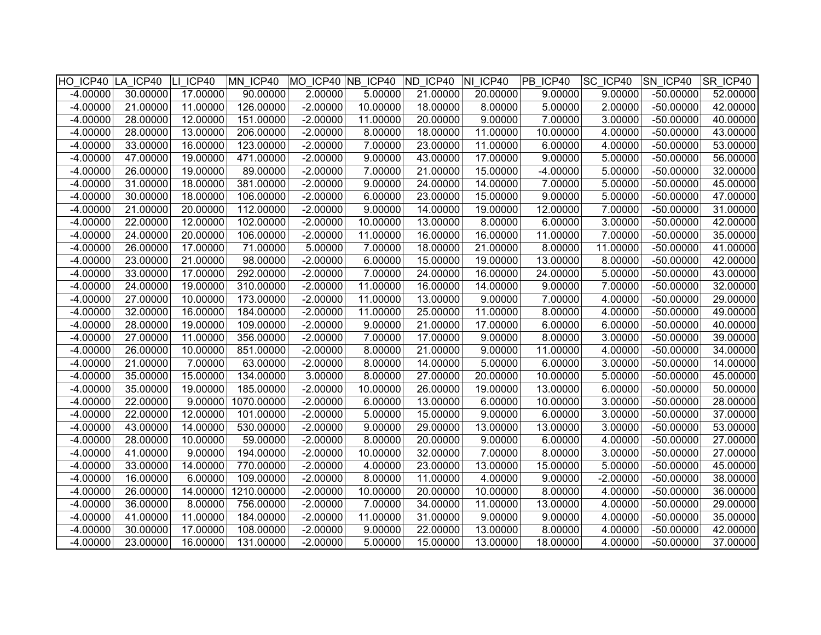|            | HO ICP40 LA ICP40 LI ICP40 |          | MN ICP40 MO ICP40 NB ICP40 ND ICP40 NI ICP40 |            |          |          |          | PB ICP40   | <b>SC ICP40</b> | SN ICP40    | SR ICP40 |
|------------|----------------------------|----------|----------------------------------------------|------------|----------|----------|----------|------------|-----------------|-------------|----------|
| $-4.00000$ | 30.00000                   | 17.00000 | 90.00000                                     | 2.00000    | 5.00000  | 21.00000 | 20.00000 | 9.00000    | 9.00000         | $-50.00000$ | 52.00000 |
| $-4.00000$ | 21.00000                   | 11.00000 | 126.00000                                    | $-2.00000$ | 10.00000 | 18.00000 | 8.00000  | 5.00000    | 2.00000         | $-50.00000$ | 42.00000 |
| $-4.00000$ | 28.00000                   | 12.00000 | 151.00000                                    | $-2.00000$ | 11.00000 | 20.00000 | 9.00000  | 7.00000    | 3.00000         | $-50.00000$ | 40.00000 |
| $-4.00000$ | 28.00000                   | 13.00000 | 206.00000                                    | $-2.00000$ | 8.00000  | 18.00000 | 11.00000 | 10.00000   | 4.00000         | $-50.00000$ | 43.00000 |
| $-4.00000$ | 33.00000                   | 16.00000 | 123.00000                                    | $-2.00000$ | 7.00000  | 23.00000 | 11.00000 | 6.00000    | 4.00000         | $-50.00000$ | 53.00000 |
| $-4.00000$ | 47.00000                   | 19.00000 | 471.00000                                    | $-2.00000$ | 9.00000  | 43.00000 | 17.00000 | 9.00000    | 5.00000         | $-50.00000$ | 56.00000 |
| $-4.00000$ | 26.00000                   | 19.00000 | 89.00000                                     | $-2.00000$ | 7.00000  | 21.00000 | 15.00000 | $-4.00000$ | 5.00000         | $-50.00000$ | 32.00000 |
| $-4.00000$ | 31.00000                   | 18.00000 | 381.00000                                    | $-2.00000$ | 9.00000  | 24.00000 | 14.00000 | 7.00000    | 5.00000         | $-50.00000$ | 45.00000 |
| $-4.00000$ | 30.00000                   | 18.00000 | 106.00000                                    | $-2.00000$ | 6.00000  | 23.00000 | 15.00000 | 9.00000    | 5.00000         | $-50.00000$ | 47.00000 |
| $-4.00000$ | 21.00000                   | 20.00000 | 112.00000                                    | $-2.00000$ | 9.00000  | 14.00000 | 19.00000 | 12.00000   | 7.00000         | $-50.00000$ | 31.00000 |
| $-4.00000$ | 22.00000                   | 12.00000 | 102.00000                                    | $-2.00000$ | 10.00000 | 13.00000 | 8.00000  | 6.00000    | 3.00000         | $-50.00000$ | 42.00000 |
| $-4.00000$ | 24.00000                   | 20.00000 | 106.00000                                    | $-2.00000$ | 11.00000 | 16.00000 | 16.00000 | 11.00000   | 7.00000         | $-50.00000$ | 35.00000 |
| $-4.00000$ | 26.00000                   | 17.00000 | 71.00000                                     | 5.00000    | 7.00000  | 18.00000 | 21.00000 | 8.00000    | 11.00000        | $-50.00000$ | 41.00000 |
| $-4.00000$ | 23.00000                   | 21.00000 | 98.00000                                     | $-2.00000$ | 6.00000  | 15.00000 | 19.00000 | 13.00000   | 8.00000         | $-50.00000$ | 42.00000 |
| $-4.00000$ | 33.00000                   | 17.00000 | 292.00000                                    | $-2.00000$ | 7.00000  | 24.00000 | 16.00000 | 24.00000   | 5.00000         | $-50.00000$ | 43.00000 |
| $-4.00000$ | 24.00000                   | 19.00000 | 310.00000                                    | $-2.00000$ | 11.00000 | 16.00000 | 14.00000 | 9.00000    | 7.00000         | $-50.00000$ | 32.00000 |
| $-4.00000$ | 27.00000                   | 10.00000 | 173.00000                                    | $-2.00000$ | 11.00000 | 13.00000 | 9.00000  | 7.00000    | 4.00000         | $-50.00000$ | 29.00000 |
| $-4.00000$ | 32.00000                   | 16.00000 | 184.00000                                    | $-2.00000$ | 11.00000 | 25.00000 | 11.00000 | 8.00000    | 4.00000         | $-50.00000$ | 49.00000 |
| $-4.00000$ | 28.00000                   | 19.00000 | 109.00000                                    | $-2.00000$ | 9.00000  | 21.00000 | 17.00000 | 6.00000    | 6.00000         | $-50.00000$ | 40.00000 |
| $-4.00000$ | 27.00000                   | 11.00000 | 356.00000                                    | $-2.00000$ | 7.00000  | 17.00000 | 9.00000  | 8.00000    | 3.00000         | $-50.00000$ | 39.00000 |
| $-4.00000$ | 26.00000                   | 10.00000 | 851.00000                                    | $-2.00000$ | 8.00000  | 21.00000 | 9.00000  | 11.00000   | 4.00000         | $-50.00000$ | 34.00000 |
| $-4.00000$ | 21.00000                   | 7.00000  | 63.00000                                     | $-2.00000$ | 8.00000  | 14.00000 | 5.00000  | 6.00000    | 3.00000         | $-50.00000$ | 14.00000 |
| $-4.00000$ | 35.00000                   | 15.00000 | 134.00000                                    | 3.00000    | 8.00000  | 27.00000 | 20.00000 | 10.00000   | 5.00000         | $-50.00000$ | 45.00000 |
| $-4.00000$ | 35.00000                   | 19.00000 | 185.00000                                    | $-2.00000$ | 10.00000 | 26.00000 | 19.00000 | 13.00000   | 6.00000         | $-50.00000$ | 50.00000 |
| $-4.00000$ | 22.00000                   | 9.00000  | 1070.00000                                   | $-2.00000$ | 6.00000  | 13.00000 | 6.00000  | 10.00000   | 3.00000         | $-50.00000$ | 28.00000 |
| $-4.00000$ | 22.00000                   | 12.00000 | 101.00000                                    | $-2.00000$ | 5.00000  | 15.00000 | 9.00000  | 6.00000    | 3.00000         | $-50.00000$ | 37.00000 |
| $-4.00000$ | 43.00000                   | 14.00000 | 530.00000                                    | $-2.00000$ | 9.00000  | 29.00000 | 13.00000 | 13.00000   | 3.00000         | $-50.00000$ | 53.00000 |
| $-4.00000$ | 28.00000                   | 10.00000 | 59.00000                                     | $-2.00000$ | 8.00000  | 20.00000 | 9.00000  | 6.00000    | 4.00000         | $-50.00000$ | 27.00000 |
| $-4.00000$ | 41.00000                   | 9.00000  | 194.00000                                    | $-2.00000$ | 10.00000 | 32.00000 | 7.00000  | 8.00000    | 3.00000         | $-50.00000$ | 27.00000 |
| $-4.00000$ | 33.00000                   | 14.00000 | 770.00000                                    | $-2.00000$ | 4.00000  | 23.00000 | 13.00000 | 15.00000   | 5.00000         | $-50.00000$ | 45.00000 |
| $-4.00000$ | 16.00000                   | 6.00000  | 109.00000                                    | $-2.00000$ | 8.00000  | 11.00000 | 4.00000  | 9.00000    | $-2.00000$      | $-50.00000$ | 38.00000 |
| $-4.00000$ | 26.00000                   | 14.00000 | 1210.00000                                   | $-2.00000$ | 10.00000 | 20.00000 | 10.00000 | 8.00000    | 4.00000         | $-50.00000$ | 36.00000 |
| $-4.00000$ | 36.00000                   | 8.00000  | 756.00000                                    | $-2.00000$ | 7.00000  | 34.00000 | 11.00000 | 13.00000   | 4.00000         | $-50.00000$ | 29.00000 |
| $-4.00000$ | 41.00000                   | 11.00000 | 184.00000                                    | $-2.00000$ | 11.00000 | 31.00000 | 9.00000  | 9.00000    | 4.00000         | $-50.00000$ | 35.00000 |
| $-4.00000$ | 30.00000                   | 17.00000 | 108.00000                                    | $-2.00000$ | 9.00000  | 22.00000 | 13.00000 | 8.00000    | 4.00000         | $-50.00000$ | 42.00000 |
| $-4.00000$ | 23.00000                   | 16.00000 | 131.00000                                    | $-2.00000$ | 5.00000  | 15.00000 | 13.00000 | 18.00000   | 4.00000         | $-50.00000$ | 37.00000 |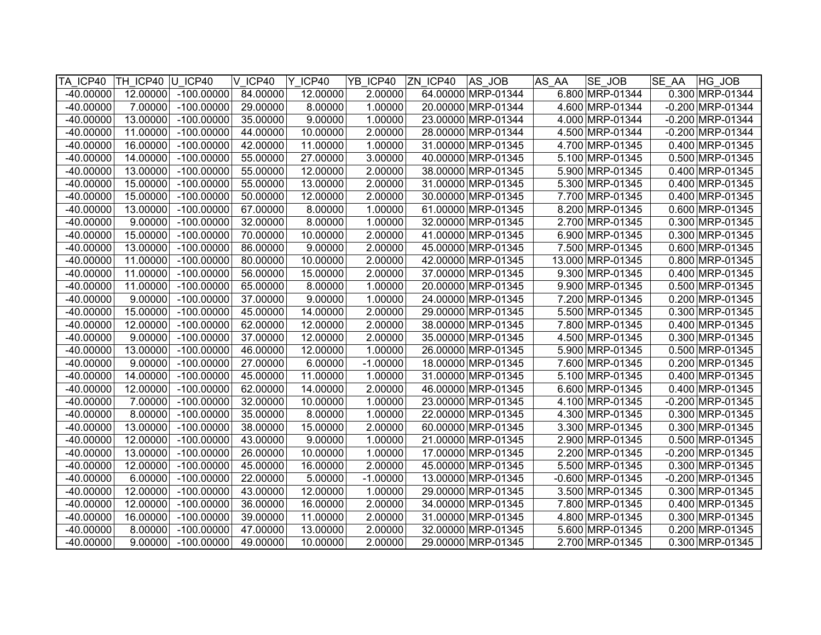| TA ICP40    | TH ICP40 U ICP40 |              | V ICP40  | Y ICP40  | YB ICP40   | ZN ICP40 | AS JOB             | AS AA | <b>SE JOB</b>      | <b>SE AA</b> | HG JOB             |
|-------------|------------------|--------------|----------|----------|------------|----------|--------------------|-------|--------------------|--------------|--------------------|
| $-40.00000$ | 12.00000         | $-100.00000$ | 84.00000 | 12.00000 | 2.00000    |          | 64.00000 MRP-01344 |       | 6.800 MRP-01344    |              | 0.300 MRP-01344    |
| $-40.00000$ | 7.00000          | $-100.00000$ | 29.00000 | 8.00000  | 1.00000    |          | 20.00000 MRP-01344 |       | 4.600 MRP-01344    |              | $-0.200$ MRP-01344 |
| $-40.00000$ | 13.00000         | $-100.00000$ | 35.00000 | 9.00000  | 1.00000    |          | 23.00000 MRP-01344 |       | 4.000 MRP-01344    |              | $-0.200$ MRP-01344 |
| $-40.00000$ | 11.00000         | $-100.00000$ | 44.00000 | 10.00000 | 2.00000    |          | 28.00000 MRP-01344 |       | 4.500 MRP-01344    |              | $-0.200$ MRP-01344 |
| $-40.00000$ | 16.00000         | $-100.00000$ | 42.00000 | 11.00000 | 1.00000    |          | 31.00000 MRP-01345 |       | 4.700 MRP-01345    |              | 0.400 MRP-01345    |
| $-40.00000$ | 14.00000         | $-100.00000$ | 55.00000 | 27.00000 | 3.00000    |          | 40.00000 MRP-01345 |       | 5.100 MRP-01345    |              | 0.500 MRP-01345    |
| $-40.00000$ | 13.00000         | $-100.00000$ | 55.00000 | 12.00000 | 2.00000    |          | 38.00000 MRP-01345 |       | 5.900 MRP-01345    |              | 0.400 MRP-01345    |
| $-40.00000$ | 15.00000         | $-100.00000$ | 55.00000 | 13.00000 | 2.00000    |          | 31.00000 MRP-01345 |       | 5.300 MRP-01345    |              | 0.400 MRP-01345    |
| $-40.00000$ | 15.00000         | $-100.00000$ | 50.00000 | 12.00000 | 2.00000    |          | 30.00000 MRP-01345 |       | 7.700 MRP-01345    |              | 0.400 MRP-01345    |
| $-40.00000$ | 13.00000         | $-100.00000$ | 67.00000 | 8.00000  | 1.00000    |          | 61.00000 MRP-01345 |       | 8.200 MRP-01345    |              | 0.600 MRP-01345    |
| $-40.00000$ | 9.00000          | $-100.00000$ | 32.00000 | 8.00000  | 1.00000    |          | 32.00000 MRP-01345 |       | 2.700 MRP-01345    |              | 0.300 MRP-01345    |
| $-40.00000$ | 15.00000         | $-100.00000$ | 70.00000 | 10.00000 | 2.00000    |          | 41.00000 MRP-01345 |       | 6.900 MRP-01345    |              | 0.300 MRP-01345    |
| $-40.00000$ | 13.00000         | $-100.00000$ | 86.00000 | 9.00000  | 2.00000    |          | 45.00000 MRP-01345 |       | 7.500 MRP-01345    |              | 0.600 MRP-01345    |
| $-40.00000$ | 11.00000         | $-100.00000$ | 80.00000 | 10.00000 | 2.00000    |          | 42.00000 MRP-01345 |       | 13.000 MRP-01345   |              | 0.800 MRP-01345    |
| -40.00000   | 11.00000         | $-100.00000$ | 56.00000 | 15.00000 | 2.00000    |          | 37.00000 MRP-01345 |       | 9.300 MRP-01345    |              | 0.400 MRP-01345    |
| $-40.00000$ | 11.00000         | $-100.00000$ | 65.00000 | 8.00000  | 1.00000    |          | 20.00000 MRP-01345 |       | 9.900 MRP-01345    |              | 0.500 MRP-01345    |
| $-40.00000$ | 9.00000          | $-100.00000$ | 37.00000 | 9.00000  | 1.00000    |          | 24.00000 MRP-01345 |       | 7.200 MRP-01345    |              | 0.200 MRP-01345    |
| $-40.00000$ | 15.00000         | $-100.00000$ | 45.00000 | 14.00000 | 2.00000    |          | 29.00000 MRP-01345 |       | 5.500 MRP-01345    |              | 0.300 MRP-01345    |
| $-40.00000$ | 12.00000         | $-100.00000$ | 62.00000 | 12.00000 | 2.00000    |          | 38.00000 MRP-01345 |       | 7.800 MRP-01345    |              | 0.400 MRP-01345    |
| $-40.00000$ | 9.00000          | $-100.00000$ | 37.00000 | 12.00000 | 2.00000    |          | 35.00000 MRP-01345 |       | 4.500 MRP-01345    |              | 0.300 MRP-01345    |
| $-40.00000$ | 13.00000         | $-100.00000$ | 46.00000 | 12.00000 | 1.00000    |          | 26.00000 MRP-01345 |       | 5.900 MRP-01345    |              | 0.500 MRP-01345    |
| $-40.00000$ | 9.00000          | $-100.00000$ | 27.00000 | 6.00000  | $-1.00000$ |          | 18.00000 MRP-01345 |       | 7.600 MRP-01345    |              | 0.200 MRP-01345    |
| $-40.00000$ | 14.00000         | $-100.00000$ | 45.00000 | 11.00000 | 1.00000    |          | 31.00000 MRP-01345 |       | 5.100 MRP-01345    |              | 0.400 MRP-01345    |
| $-40.00000$ | 12.00000         | $-100.00000$ | 62.00000 | 14.00000 | 2.00000    |          | 46.00000 MRP-01345 |       | 6.600 MRP-01345    |              | 0.400 MRP-01345    |
| $-40.00000$ | 7.00000          | $-100.00000$ | 32.00000 | 10.00000 | 1.00000    |          | 23.00000 MRP-01345 |       | 4.100 MRP-01345    |              | $-0.200$ MRP-01345 |
| $-40.00000$ | 8.00000          | $-100.00000$ | 35.00000 | 8.00000  | 1.00000    |          | 22.00000 MRP-01345 |       | 4.300 MRP-01345    |              | 0.300 MRP-01345    |
| $-40.00000$ | 13.00000         | $-100.00000$ | 38.00000 | 15.00000 | 2.00000    |          | 60.00000 MRP-01345 |       | 3.300 MRP-01345    |              | 0.300 MRP-01345    |
| $-40.00000$ | 12.00000         | $-100.00000$ | 43.00000 | 9.00000  | 1.00000    |          | 21.00000 MRP-01345 |       | 2.900 MRP-01345    |              | 0.500 MRP-01345    |
| $-40.00000$ | 13.00000         | $-100.00000$ | 26.00000 | 10.00000 | 1.00000    |          | 17.00000 MRP-01345 |       | 2.200 MRP-01345    |              | $-0.200$ MRP-01345 |
| $-40.00000$ | 12.00000         | $-100.00000$ | 45.00000 | 16.00000 | 2.00000    |          | 45.00000 MRP-01345 |       | 5.500 MRP-01345    |              | 0.300 MRP-01345    |
| $-40.00000$ | 6.00000          | $-100.00000$ | 22.00000 | 5.00000  | $-1.00000$ |          | 13.00000 MRP-01345 |       | $-0.600$ MRP-01345 |              | $-0.200$ MRP-01345 |
| $-40.00000$ | 12.00000         | $-100.00000$ | 43.00000 | 12.00000 | 1.00000    |          | 29.00000 MRP-01345 |       | 3.500 MRP-01345    |              | 0.300 MRP-01345    |
| $-40.00000$ | 12.00000         | $-100.00000$ | 36.00000 | 16.00000 | 2.00000    |          | 34.00000 MRP-01345 |       | 7.800 MRP-01345    |              | 0.400 MRP-01345    |
| $-40.00000$ | 16.00000         | $-100.00000$ | 39.00000 | 11.00000 | 2.00000    |          | 31.00000 MRP-01345 |       | 4.800 MRP-01345    |              | 0.300 MRP-01345    |
| $-40.00000$ | 8.00000          | $-100.00000$ | 47.00000 | 13.00000 | 2.00000    |          | 32.00000 MRP-01345 |       | 5.600 MRP-01345    |              | 0.200 MRP-01345    |
| $-40.00000$ | 9.00000          | $-100.00000$ | 49.00000 | 10.00000 | 2.00000    |          | 29.00000 MRP-01345 |       | 2.700 MRP-01345    |              | 0.300 MRP-01345    |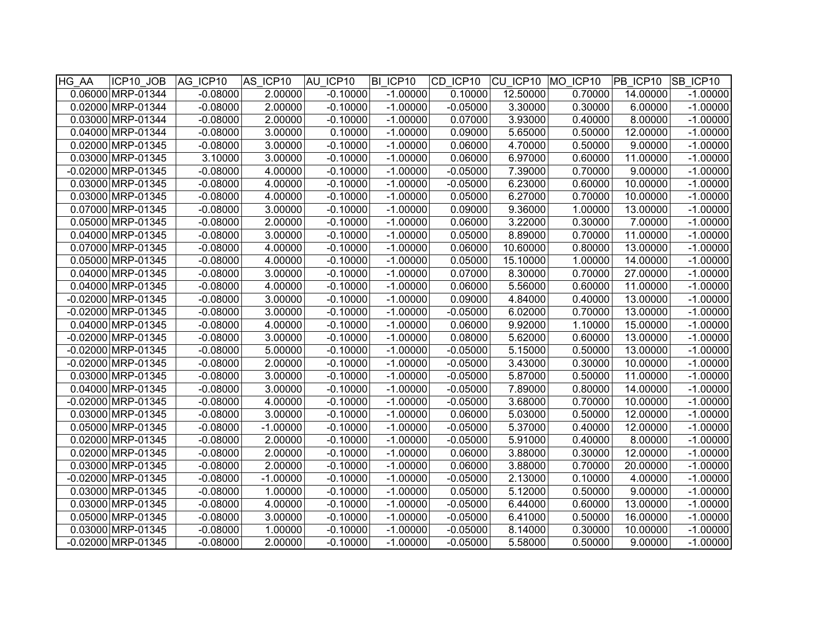| HG AA | ICP10 JOB            | AG ICP10   | AS ICP10   | AU ICP10   | BI ICP10   | CD ICP10   | CU ICP10 | MO ICP10 | PB ICP10 | SB ICP10   |
|-------|----------------------|------------|------------|------------|------------|------------|----------|----------|----------|------------|
|       | 0.06000 MRP-01344    | $-0.08000$ | 2.00000    | $-0.10000$ | $-1.00000$ | 0.10000    | 12.50000 | 0.70000  | 14.00000 | $-1.00000$ |
|       | 0.02000 MRP-01344    | $-0.08000$ | 2.00000    | $-0.10000$ | $-1.00000$ | $-0.05000$ | 3.30000  | 0.30000  | 6.00000  | $-1.00000$ |
|       | 0.03000 MRP-01344    | $-0.08000$ | 2.00000    | $-0.10000$ | $-1.00000$ | 0.07000    | 3.93000  | 0.40000  | 8.00000  | $-1.00000$ |
|       | 0.04000 MRP-01344    | $-0.08000$ | 3.00000    | 0.10000    | $-1.00000$ | 0.09000    | 5.65000  | 0.50000  | 12.00000 | $-1.00000$ |
|       | 0.02000 MRP-01345    | $-0.08000$ | 3.00000    | $-0.10000$ | $-1.00000$ | 0.06000    | 4.70000  | 0.50000  | 9.00000  | $-1.00000$ |
|       | 0.03000 MRP-01345    | 3.10000    | 3.00000    | $-0.10000$ | $-1.00000$ | 0.06000    | 6.97000  | 0.60000  | 11.00000 | $-1.00000$ |
|       | -0.02000 MRP-01345   | $-0.08000$ | 4.00000    | $-0.10000$ | $-1.00000$ | $-0.05000$ | 7.39000  | 0.70000  | 9.00000  | $-1.00000$ |
|       | 0.03000 MRP-01345    | $-0.08000$ | 4.00000    | $-0.10000$ | $-1.00000$ | $-0.05000$ | 6.23000  | 0.60000  | 10.00000 | $-1.00000$ |
|       | 0.03000 MRP-01345    | $-0.08000$ | 4.00000    | $-0.10000$ | $-1.00000$ | 0.05000    | 6.27000  | 0.70000  | 10.00000 | $-1.00000$ |
|       | 0.07000 MRP-01345    | $-0.08000$ | 3.00000    | $-0.10000$ | $-1.00000$ | 0.09000    | 9.36000  | 1.00000  | 13.00000 | $-1.00000$ |
|       | 0.05000 MRP-01345    | $-0.08000$ | 2.00000    | $-0.10000$ | $-1.00000$ | 0.06000    | 3.22000  | 0.30000  | 7.00000  | $-1.00000$ |
|       | 0.04000 MRP-01345    | $-0.08000$ | 3.00000    | $-0.10000$ | $-1.00000$ | 0.05000    | 8.89000  | 0.70000  | 11.00000 | $-1.00000$ |
|       | 0.07000 MRP-01345    | $-0.08000$ | 4.00000    | $-0.10000$ | $-1.00000$ | 0.06000    | 10.60000 | 0.80000  | 13.00000 | $-1.00000$ |
|       | 0.05000 MRP-01345    | $-0.08000$ | 4.00000    | $-0.10000$ | $-1.00000$ | 0.05000    | 15.10000 | 1.00000  | 14.00000 | $-1.00000$ |
|       | 0.04000 MRP-01345    | $-0.08000$ | 3.00000    | $-0.10000$ | $-1.00000$ | 0.07000    | 8.30000  | 0.70000  | 27.00000 | $-1.00000$ |
|       | 0.04000 MRP-01345    | $-0.08000$ | 4.00000    | $-0.10000$ | $-1.00000$ | 0.06000    | 5.56000  | 0.60000  | 11.00000 | $-1.00000$ |
|       | -0.02000 MRP-01345   | $-0.08000$ | 3.00000    | $-0.10000$ | $-1.00000$ | 0.09000    | 4.84000  | 0.40000  | 13.00000 | $-1.00000$ |
|       | $-0.02000$ MRP-01345 | $-0.08000$ | 3.00000    | $-0.10000$ | $-1.00000$ | $-0.05000$ | 6.02000  | 0.70000  | 13.00000 | $-1.00000$ |
|       | 0.04000 MRP-01345    | $-0.08000$ | 4.00000    | $-0.10000$ | $-1.00000$ | 0.06000    | 9.92000  | 1.10000  | 15.00000 | $-1.00000$ |
|       | -0.02000 MRP-01345   | $-0.08000$ | 3.00000    | $-0.10000$ | $-1.00000$ | 0.08000    | 5.62000  | 0.60000  | 13.00000 | $-1.00000$ |
|       | $-0.02000$ MRP-01345 | $-0.08000$ | 5.00000    | $-0.10000$ | $-1.00000$ | $-0.05000$ | 5.15000  | 0.50000  | 13.00000 | $-1.00000$ |
|       | -0.02000 MRP-01345   | $-0.08000$ | 2.00000    | $-0.10000$ | $-1.00000$ | $-0.05000$ | 3.43000  | 0.30000  | 10.00000 | $-1.00000$ |
|       | 0.03000 MRP-01345    | $-0.08000$ | 3.00000    | $-0.10000$ | $-1.00000$ | $-0.05000$ | 5.87000  | 0.50000  | 11.00000 | $-1.00000$ |
|       | 0.04000 MRP-01345    | $-0.08000$ | 3.00000    | $-0.10000$ | $-1.00000$ | $-0.05000$ | 7.89000  | 0.80000  | 14.00000 | $-1.00000$ |
|       | -0.02000 MRP-01345   | $-0.08000$ | 4.00000    | $-0.10000$ | $-1.00000$ | $-0.05000$ | 3.68000  | 0.70000  | 10.00000 | $-1.00000$ |
|       | 0.03000 MRP-01345    | $-0.08000$ | 3.00000    | $-0.10000$ | $-1.00000$ | 0.06000    | 5.03000  | 0.50000  | 12.00000 | $-1.00000$ |
|       | 0.05000 MRP-01345    | $-0.08000$ | $-1.00000$ | $-0.10000$ | $-1.00000$ | $-0.05000$ | 5.37000  | 0.40000  | 12.00000 | $-1.00000$ |
|       | 0.02000 MRP-01345    | $-0.08000$ | 2.00000    | $-0.10000$ | $-1.00000$ | $-0.05000$ | 5.91000  | 0.40000  | 8.00000  | $-1.00000$ |
|       | 0.02000 MRP-01345    | $-0.08000$ | 2.00000    | $-0.10000$ | $-1.00000$ | 0.06000    | 3.88000  | 0.30000  | 12.00000 | $-1.00000$ |
|       | 0.03000 MRP-01345    | $-0.08000$ | 2.00000    | $-0.10000$ | $-1.00000$ | 0.06000    | 3.88000  | 0.70000  | 20.00000 | $-1.00000$ |
|       | -0.02000 MRP-01345   | $-0.08000$ | $-1.00000$ | $-0.10000$ | $-1.00000$ | $-0.05000$ | 2.13000  | 0.10000  | 4.00000  | $-1.00000$ |
|       | 0.03000 MRP-01345    | $-0.08000$ | 1.00000    | $-0.10000$ | $-1.00000$ | 0.05000    | 5.12000  | 0.50000  | 9.00000  | $-1.00000$ |
|       | 0.03000 MRP-01345    | $-0.08000$ | 4.00000    | $-0.10000$ | $-1.00000$ | $-0.05000$ | 6.44000  | 0.60000  | 13.00000 | $-1.00000$ |
|       | 0.05000 MRP-01345    | $-0.08000$ | 3.00000    | $-0.10000$ | $-1.00000$ | $-0.05000$ | 6.41000  | 0.50000  | 16.00000 | $-1.00000$ |
|       | 0.03000 MRP-01345    | $-0.08000$ | 1.00000    | $-0.10000$ | $-1.00000$ | $-0.05000$ | 8.14000  | 0.30000  | 10.00000 | $-1.00000$ |
|       | -0.02000 MRP-01345   | $-0.08000$ | 2.00000    | $-0.10000$ | $-1.00000$ | $-0.05000$ | 5.58000  | 0.50000  | 9.00000  | $-1.00000$ |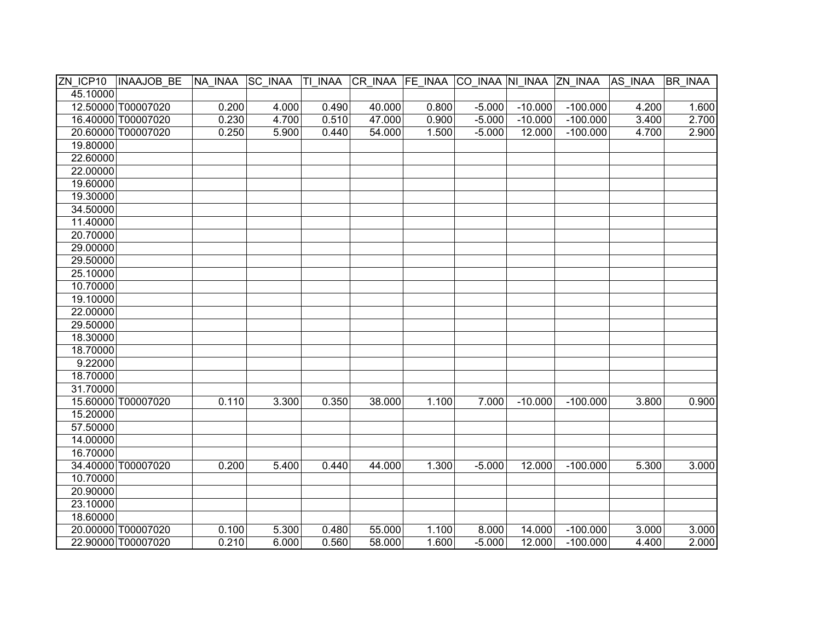| ZN ICP10 | <b>INAAJOB BE</b>  | NA INAA SC INAA |       |       | TI INAA CR INAA FE INAA CO INAA NI INAA ZN INAA |       |          |           |            | AS INAA | BR INAA |
|----------|--------------------|-----------------|-------|-------|-------------------------------------------------|-------|----------|-----------|------------|---------|---------|
| 45.10000 |                    |                 |       |       |                                                 |       |          |           |            |         |         |
|          | 12.50000 T00007020 | 0.200           | 4.000 | 0.490 | 40.000                                          | 0.800 | $-5.000$ | $-10.000$ | $-100.000$ | 4.200   | 1.600   |
|          | 16.40000 T00007020 | 0.230           | 4.700 | 0.510 | 47.000                                          | 0.900 | $-5.000$ | $-10.000$ | $-100.000$ | 3.400   | 2.700   |
|          | 20.60000 T00007020 | 0.250           | 5.900 | 0.440 | 54.000                                          | 1.500 | $-5.000$ | 12.000    | $-100.000$ | 4.700   | 2.900   |
| 19.80000 |                    |                 |       |       |                                                 |       |          |           |            |         |         |
| 22.60000 |                    |                 |       |       |                                                 |       |          |           |            |         |         |
| 22.00000 |                    |                 |       |       |                                                 |       |          |           |            |         |         |
| 19.60000 |                    |                 |       |       |                                                 |       |          |           |            |         |         |
| 19.30000 |                    |                 |       |       |                                                 |       |          |           |            |         |         |
| 34.50000 |                    |                 |       |       |                                                 |       |          |           |            |         |         |
| 11.40000 |                    |                 |       |       |                                                 |       |          |           |            |         |         |
| 20.70000 |                    |                 |       |       |                                                 |       |          |           |            |         |         |
| 29.00000 |                    |                 |       |       |                                                 |       |          |           |            |         |         |
| 29.50000 |                    |                 |       |       |                                                 |       |          |           |            |         |         |
| 25.10000 |                    |                 |       |       |                                                 |       |          |           |            |         |         |
| 10.70000 |                    |                 |       |       |                                                 |       |          |           |            |         |         |
| 19.10000 |                    |                 |       |       |                                                 |       |          |           |            |         |         |
| 22.00000 |                    |                 |       |       |                                                 |       |          |           |            |         |         |
| 29.50000 |                    |                 |       |       |                                                 |       |          |           |            |         |         |
| 18.30000 |                    |                 |       |       |                                                 |       |          |           |            |         |         |
| 18.70000 |                    |                 |       |       |                                                 |       |          |           |            |         |         |
| 9.22000  |                    |                 |       |       |                                                 |       |          |           |            |         |         |
| 18.70000 |                    |                 |       |       |                                                 |       |          |           |            |         |         |
| 31.70000 |                    |                 |       |       |                                                 |       |          |           |            |         |         |
|          | 15.60000 T00007020 | 0.110           | 3.300 | 0.350 | 38.000                                          | 1.100 | 7.000    | $-10.000$ | $-100.000$ | 3.800   | 0.900   |
| 15.20000 |                    |                 |       |       |                                                 |       |          |           |            |         |         |
| 57.50000 |                    |                 |       |       |                                                 |       |          |           |            |         |         |
| 14.00000 |                    |                 |       |       |                                                 |       |          |           |            |         |         |
| 16.70000 |                    |                 |       |       |                                                 |       |          |           |            |         |         |
|          | 34.40000 T00007020 | 0.200           | 5.400 | 0.440 | 44.000                                          | 1.300 | $-5.000$ | 12.000    | $-100.000$ | 5.300   | 3.000   |
| 10.70000 |                    |                 |       |       |                                                 |       |          |           |            |         |         |
| 20.90000 |                    |                 |       |       |                                                 |       |          |           |            |         |         |
| 23.10000 |                    |                 |       |       |                                                 |       |          |           |            |         |         |
| 18.60000 |                    |                 |       |       |                                                 |       |          |           |            |         |         |
|          | 20.00000 T00007020 | 0.100           | 5.300 | 0.480 | 55.000                                          | 1.100 | 8.000    | 14.000    | $-100.000$ | 3.000   | 3.000   |
|          | 22.90000 T00007020 | 0.210           | 6.000 | 0.560 | 58.000                                          | 1.600 | $-5.000$ | 12.000    | $-100.000$ | 4.400   | 2.000   |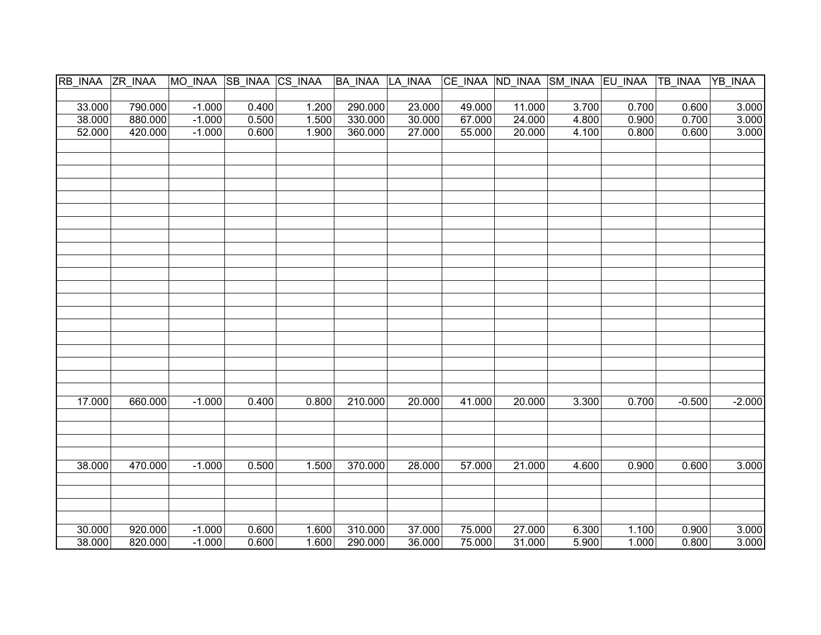| RB INAA ZR INAA |         | MO_INAA SB_INAA CS_INAA |       |       | BA INAA LA INAA |        |        |        |       | CE_INAA ND_INAA SM_INAA EU_INAA TB_INAA |          | YB INAA  |
|-----------------|---------|-------------------------|-------|-------|-----------------|--------|--------|--------|-------|-----------------------------------------|----------|----------|
|                 |         |                         |       |       |                 |        |        |        |       |                                         |          |          |
| 33.000          | 790.000 | $-1.000$                | 0.400 | 1.200 | 290.000         | 23.000 | 49.000 | 11.000 | 3.700 | 0.700                                   | 0.600    | 3.000    |
| 38.000          | 880.000 | $-1.000$                | 0.500 | 1.500 | 330.000         | 30.000 | 67.000 | 24.000 | 4.800 | 0.900                                   | 0.700    | 3.000    |
| 52.000          | 420.000 | $-1.000$                | 0.600 | 1.900 | 360.000         | 27.000 | 55.000 | 20.000 | 4.100 | 0.800                                   | 0.600    | 3.000    |
|                 |         |                         |       |       |                 |        |        |        |       |                                         |          |          |
|                 |         |                         |       |       |                 |        |        |        |       |                                         |          |          |
|                 |         |                         |       |       |                 |        |        |        |       |                                         |          |          |
|                 |         |                         |       |       |                 |        |        |        |       |                                         |          |          |
|                 |         |                         |       |       |                 |        |        |        |       |                                         |          |          |
|                 |         |                         |       |       |                 |        |        |        |       |                                         |          |          |
|                 |         |                         |       |       |                 |        |        |        |       |                                         |          |          |
|                 |         |                         |       |       |                 |        |        |        |       |                                         |          |          |
|                 |         |                         |       |       |                 |        |        |        |       |                                         |          |          |
|                 |         |                         |       |       |                 |        |        |        |       |                                         |          |          |
|                 |         |                         |       |       |                 |        |        |        |       |                                         |          |          |
|                 |         |                         |       |       |                 |        |        |        |       |                                         |          |          |
|                 |         |                         |       |       |                 |        |        |        |       |                                         |          |          |
|                 |         |                         |       |       |                 |        |        |        |       |                                         |          |          |
|                 |         |                         |       |       |                 |        |        |        |       |                                         |          |          |
|                 |         |                         |       |       |                 |        |        |        |       |                                         |          |          |
|                 |         |                         |       |       |                 |        |        |        |       |                                         |          |          |
|                 |         |                         |       |       |                 |        |        |        |       |                                         |          |          |
|                 |         |                         |       |       |                 |        |        |        |       |                                         |          |          |
|                 |         |                         |       |       |                 |        |        |        |       |                                         |          |          |
| 17.000          | 660.000 | $-1.000$                | 0.400 | 0.800 | 210.000         | 20.000 | 41.000 | 20.000 | 3.300 | 0.700                                   | $-0.500$ | $-2.000$ |
|                 |         |                         |       |       |                 |        |        |        |       |                                         |          |          |
|                 |         |                         |       |       |                 |        |        |        |       |                                         |          |          |
|                 |         |                         |       |       |                 |        |        |        |       |                                         |          |          |
|                 |         |                         |       |       |                 |        |        |        |       |                                         |          |          |
| 38.000          | 470.000 | $-1.000$                | 0.500 | 1.500 | 370.000         | 28.000 | 57.000 | 21.000 | 4.600 | 0.900                                   | 0.600    | 3.000    |
|                 |         |                         |       |       |                 |        |        |        |       |                                         |          |          |
|                 |         |                         |       |       |                 |        |        |        |       |                                         |          |          |
|                 |         |                         |       |       |                 |        |        |        |       |                                         |          |          |
|                 |         |                         |       |       |                 |        |        |        |       |                                         |          |          |
| 30.000          | 920.000 | $-1.000$                | 0.600 | 1.600 | 310.000         | 37.000 | 75.000 | 27.000 | 6.300 | 1.100                                   | 0.900    | 3.000    |
| 38.000          | 820.000 | $-1.000$                | 0.600 | 1.600 | 290.000         | 36.000 | 75.000 | 31.000 | 5.900 | 1.000                                   | 0.800    | 3.000    |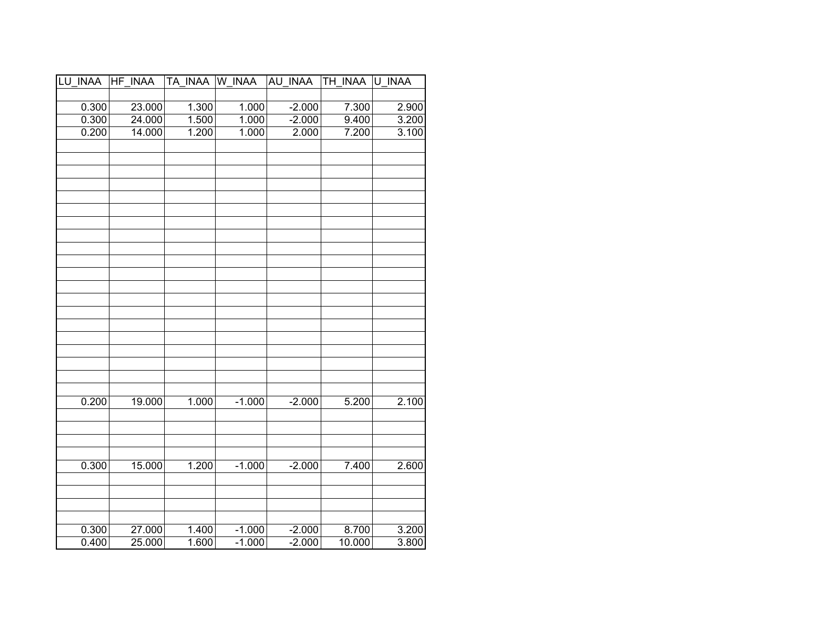| LU INAA | HF<br><b>INAA</b> | TA INAA | W INAA   | AU INAA  | TH_INAA | U INAA |
|---------|-------------------|---------|----------|----------|---------|--------|
|         |                   |         |          |          |         |        |
| 0.300   | 23.000            | 1.300   | 1.000    | $-2.000$ | 7.300   | 2.900  |
| 0.300   | 24.000            | 1.500   | 1.000    | $-2.000$ | 9.400   | 3.200  |
| 0.200   | 14.000            | 1.200   | 1.000    | 2.000    | 7.200   | 3.100  |
|         |                   |         |          |          |         |        |
|         |                   |         |          |          |         |        |
|         |                   |         |          |          |         |        |
|         |                   |         |          |          |         |        |
|         |                   |         |          |          |         |        |
|         |                   |         |          |          |         |        |
|         |                   |         |          |          |         |        |
|         |                   |         |          |          |         |        |
|         |                   |         |          |          |         |        |
|         |                   |         |          |          |         |        |
|         |                   |         |          |          |         |        |
|         |                   |         |          |          |         |        |
|         |                   |         |          |          |         |        |
|         |                   |         |          |          |         |        |
|         |                   |         |          |          |         |        |
|         |                   |         |          |          |         |        |
|         |                   |         |          |          |         |        |
|         |                   |         |          |          |         |        |
|         |                   |         |          |          |         |        |
| 0.200   | 19.000            | 1.000   | $-1.000$ |          |         | 2.100  |
|         |                   |         |          | $-2.000$ | 5.200   |        |
|         |                   |         |          |          |         |        |
|         |                   |         |          |          |         |        |
|         |                   |         |          |          |         |        |
| 0.300   | 15.000            | 1.200   | $-1.000$ | $-2.000$ | 7.400   | 2.600  |
|         |                   |         |          |          |         |        |
|         |                   |         |          |          |         |        |
|         |                   |         |          |          |         |        |
|         |                   |         |          |          |         |        |
| 0.300   | 27.000            | 1.400   | $-1.000$ | $-2.000$ | 8.700   | 3.200  |
| 0.400   | 25.000            | 1.600   | $-1.000$ | $-2.000$ | 10.000  | 3.800  |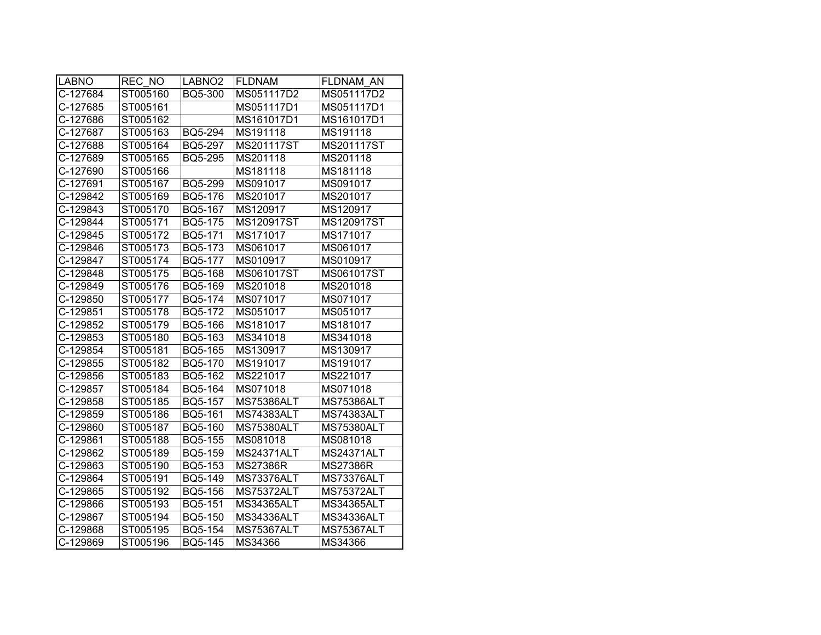| <b>LABNO</b> | REC NO   | LABNO <sub>2</sub> | <b>FLDNAM</b>     | FLDNAM AN         |
|--------------|----------|--------------------|-------------------|-------------------|
| C-127684     | ST005160 | BQ5-300            | MS051117D2        | MS051117D2        |
| C-127685     | ST005161 |                    | MS051117D1        | MS051117D1        |
| C-127686     | ST005162 |                    | MS161017D1        | MS161017D1        |
| C-127687     | ST005163 | <b>BQ5-294</b>     | MS191118          | MS191118          |
| C-127688     | ST005164 | BQ5-297            | MS201117ST        | MS201117ST        |
| C-127689     | ST005165 | <b>BQ5-295</b>     | MS201118          | MS201118          |
| C-127690     | ST005166 |                    | MS181118          | MS181118          |
| C-127691     | ST005167 | <b>BQ5-299</b>     | MS091017          | MS091017          |
| C-129842     | ST005169 | BQ5-176            | MS201017          | MS201017          |
| C-129843     | ST005170 | BQ5-167            | MS120917          | MS120917          |
| C-129844     | ST005171 | BQ5-175            | MS120917ST        | MS120917ST        |
| C-129845     | ST005172 | BQ5-171            | MS171017          | MS171017          |
| C-129846     | ST005173 | BQ5-173            | MS061017          | MS061017          |
| C-129847     | ST005174 | BQ5-177            | MS010917          | MS010917          |
| C-129848     | ST005175 | BQ5-168            | MS061017ST        | MS061017ST        |
| C-129849     | ST005176 | BQ5-169            | MS201018          | MS201018          |
| C-129850     | ST005177 | BQ5-174            | MS071017          | MS071017          |
| C-129851     | ST005178 | BQ5-172            | MS051017          | MS051017          |
| C-129852     | ST005179 | BQ5-166            | MS181017          | MS181017          |
| C-129853     | ST005180 | BQ5-163            | MS341018          | MS341018          |
| C-129854     | ST005181 | BQ5-165            | MS130917          | MS130917          |
| C-129855     | ST005182 | BQ5-170            | MS191017          | MS191017          |
| C-129856     | ST005183 | BQ5-162            | MS221017          | MS221017          |
| C-129857     | ST005184 | BQ5-164            | MS071018          | MS071018          |
| C-129858     | ST005185 | BQ5-157            | <b>MS75386ALT</b> | <b>MS75386ALT</b> |
| C-129859     | ST005186 | BQ5-161            | <b>MS74383ALT</b> | <b>MS74383ALT</b> |
| C-129860     | ST005187 | BQ5-160            | <b>MS75380ALT</b> | <b>MS75380ALT</b> |
| C-129861     | ST005188 | <b>BQ5-155</b>     | MS081018          | MS081018          |
| C-129862     | ST005189 | BQ5-159            | <b>MS24371ALT</b> | <b>MS24371ALT</b> |
| C-129863     | ST005190 | BQ5-153            | <b>MS27386R</b>   | <b>MS27386R</b>   |
| C-129864     | ST005191 | BQ5-149            | MS73376ALT        | MS73376ALT        |
| C-129865     | ST005192 | BQ5-156            | <b>MS75372ALT</b> | <b>MS75372ALT</b> |
| C-129866     | ST005193 | BQ5-151            | <b>MS34365ALT</b> | <b>MS34365ALT</b> |
| C-129867     | ST005194 | BQ5-150            | <b>MS34336ALT</b> | <b>MS34336ALT</b> |
| C-129868     | ST005195 | BQ5-154            | <b>MS75367ALT</b> | <b>MS75367ALT</b> |
| C-129869     | ST005196 | BQ5-145            | MS34366           | MS34366           |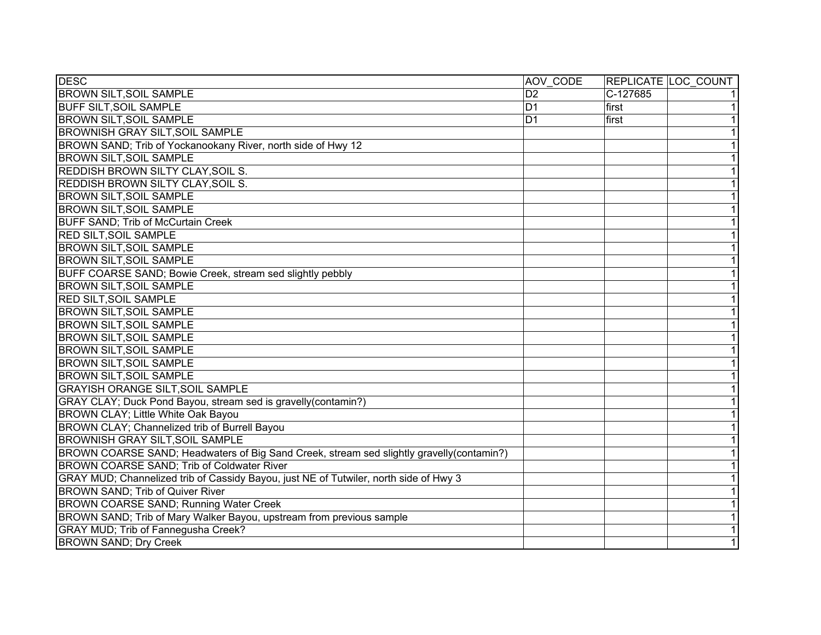| <b>DESC</b>                                                                               | AOV CODE       |          | REPLICATE LOC COUNT |
|-------------------------------------------------------------------------------------------|----------------|----------|---------------------|
| <b>BROWN SILT, SOIL SAMPLE</b>                                                            | D <sub>2</sub> | C-127685 | 1                   |
| <b>BUFF SILT, SOIL SAMPLE</b>                                                             | D <sub>1</sub> | first    | $\overline{1}$      |
| <b>BROWN SILT, SOIL SAMPLE</b>                                                            | D <sub>1</sub> | first    | $\overline{1}$      |
| <b>BROWNISH GRAY SILT, SOIL SAMPLE</b>                                                    |                |          | $\overline{1}$      |
| BROWN SAND; Trib of Yockanookany River, north side of Hwy 12                              |                |          | $\overline{1}$      |
| <b>BROWN SILT, SOIL SAMPLE</b>                                                            |                |          | 1                   |
| <b>REDDISH BROWN SILTY CLAY, SOIL S.</b>                                                  |                |          | 1                   |
| <b>REDDISH BROWN SILTY CLAY, SOIL S.</b>                                                  |                |          | $\overline{1}$      |
| <b>BROWN SILT, SOIL SAMPLE</b>                                                            |                |          | $\overline{1}$      |
| <b>BROWN SILT, SOIL SAMPLE</b>                                                            |                |          | $\overline{1}$      |
| <b>BUFF SAND; Trib of McCurtain Creek</b>                                                 |                |          | $\overline{1}$      |
| <b>RED SILT, SOIL SAMPLE</b>                                                              |                |          | $\overline{1}$      |
| <b>BROWN SILT, SOIL SAMPLE</b>                                                            |                |          | $\overline{1}$      |
| <b>BROWN SILT, SOIL SAMPLE</b>                                                            |                |          | $\overline{1}$      |
| BUFF COARSE SAND; Bowie Creek, stream sed slightly pebbly                                 |                |          | 1                   |
| <b>BROWN SILT, SOIL SAMPLE</b>                                                            |                |          | $\overline{1}$      |
| <b>RED SILT, SOIL SAMPLE</b>                                                              |                |          | $\overline{1}$      |
| <b>BROWN SILT, SOIL SAMPLE</b>                                                            |                |          | $\overline{1}$      |
| <b>BROWN SILT, SOIL SAMPLE</b>                                                            |                |          | $\overline{1}$      |
| <b>BROWN SILT, SOIL SAMPLE</b>                                                            |                |          | 1                   |
| <b>BROWN SILT, SOIL SAMPLE</b>                                                            |                |          | $\overline{1}$      |
| <b>BROWN SILT, SOIL SAMPLE</b>                                                            |                |          | 1                   |
| <b>BROWN SILT, SOIL SAMPLE</b>                                                            |                |          | 1                   |
| <b>GRAYISH ORANGE SILT, SOIL SAMPLE</b>                                                   |                |          | 1                   |
| GRAY CLAY; Duck Pond Bayou, stream sed is gravelly(contamin?)                             |                |          | 1                   |
| BROWN CLAY; Little White Oak Bayou                                                        |                |          | 1                   |
| BROWN CLAY; Channelized trib of Burrell Bayou                                             |                |          | 1                   |
| <b>BROWNISH GRAY SILT, SOIL SAMPLE</b>                                                    |                |          | $\overline{1}$      |
| BROWN COARSE SAND; Headwaters of Big Sand Creek, stream sed slightly gravelly (contamin?) |                |          | $\overline{1}$      |
| BROWN COARSE SAND; Trib of Coldwater River                                                |                |          | $\overline{1}$      |
| GRAY MUD; Channelized trib of Cassidy Bayou, just NE of Tutwiler, north side of Hwy 3     |                |          | $\overline{1}$      |
| BROWN SAND; Trib of Quiver River                                                          |                |          | $\overline{1}$      |
| BROWN COARSE SAND; Running Water Creek                                                    |                |          | $\overline{1}$      |
| BROWN SAND; Trib of Mary Walker Bayou, upstream from previous sample                      |                |          | $\overline{1}$      |
| GRAY MUD; Trib of Fannegusha Creek?                                                       |                |          | $\overline{1}$      |
| <b>BROWN SAND; Dry Creek</b>                                                              |                |          | $\overline{1}$      |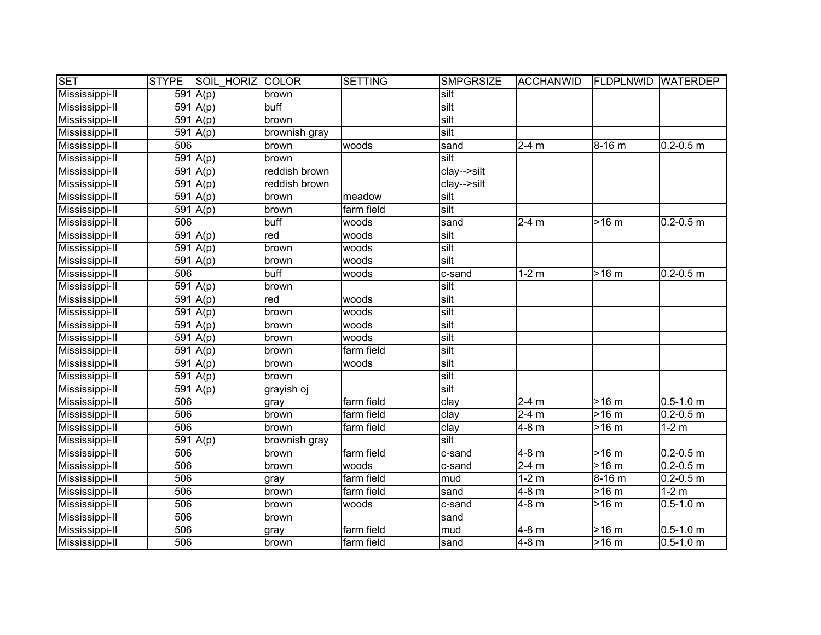| <b>SET</b>     | <b>STYPE</b> |                       | <b>SOIL HORIZ</b> | <b>COLOR</b>  | <b>SETTING</b> | <b>SMPGRSIZE</b> | <b>ACCHANWID</b> | <b>FLDPLNWID WATERDEP</b> |               |
|----------------|--------------|-----------------------|-------------------|---------------|----------------|------------------|------------------|---------------------------|---------------|
| Mississippi-II |              | 591 $A(p)$            |                   | brown         |                | silt             |                  |                           |               |
| Mississippi-II |              | 591   A(p)            |                   | buff          |                | silt             |                  |                           |               |
| Mississippi-II |              | $591 \mid A(p)$       |                   | brown         |                | silt             |                  |                           |               |
| Mississippi-II |              | 591   A(p)            |                   | brownish gray |                | silt             |                  |                           |               |
| Mississippi-II | 506          |                       |                   | brown         | woods          | sand             | $2-4$ m          | 8-16 m                    | $0.2 - 0.5$ m |
| Mississippi-II |              | $591 \overline{A(p)}$ |                   | brown         |                | silt             |                  |                           |               |
| Mississippi-II |              | $591 \overline{A(p)}$ |                   | reddish brown |                | clay-->silt      |                  |                           |               |
| Mississippi-II |              | $591 \overline{A(p)}$ |                   | reddish brown |                | clay-->silt      |                  |                           |               |
| Mississippi-II |              | 591   A(p)            |                   | brown         | meadow         | silt             |                  |                           |               |
| Mississippi-II |              | $591 \mid A(p)$       |                   | brown         | farm field     | silt             |                  |                           |               |
| Mississippi-II | 506          |                       |                   | buff          | woods          | sand             | $2-4$ m          | $>16 \text{ m}$           | $0.2 - 0.5$ m |
| Mississippi-II |              | 591 $A(p)$            |                   | red           | woods          | silt             |                  |                           |               |
| Mississippi-II |              | 591 $A(p)$            |                   | brown         | woods          | silt             |                  |                           |               |
| Mississippi-II |              | 591 $A(p)$            |                   | brown         | woods          | silt             |                  |                           |               |
| Mississippi-II | 506          |                       |                   | buff          | woods          | c-sand           | $1-2$ m          | $>16$ m                   | $0.2 - 0.5$ m |
| Mississippi-II |              | 591 $A(p)$            |                   | brown         |                | silt             |                  |                           |               |
| Mississippi-II |              | 591 $A(p)$            |                   | red           | woods          | silt             |                  |                           |               |
| Mississippi-II |              | 591   A(p)            |                   | brown         | woods          | silt             |                  |                           |               |
| Mississippi-II |              | 591 $A(p)$            |                   | brown         | woods          | silt             |                  |                           |               |
| Mississippi-II |              | 591 $A(p)$            |                   | brown         | woods          | silt             |                  |                           |               |
| Mississippi-II |              | 591 $A(p)$            |                   | brown         | farm field     | silt             |                  |                           |               |
| Mississippi-II |              | 591 $A(p)$            |                   | brown         | woods          | silt             |                  |                           |               |
| Mississippi-II |              | 591   A(p)            |                   | brown         |                | silt             |                  |                           |               |
| Mississippi-II |              | 591 $A(p)$            |                   | grayish oj    |                | silt             |                  |                           |               |
| Mississippi-II | 506          |                       |                   | gray          | farm field     | clay             | $2-4$ m          | $>16 \text{ m}$           | $0.5 - 1.0$ m |
| Mississippi-II | 506          |                       |                   | brown         | farm field     | clay             | $2-4$ m          | $>16 \text{ m}$           | $0.2 - 0.5$ m |
| Mississippi-II | 506          |                       |                   | brown         | farm field     | clay             | 4-8 m            | $>16 \text{ m}$           | $1-2$ m       |
| Mississippi-II |              | $591 \overline{A(p)}$ |                   | brownish gray |                | silt             |                  |                           |               |
| Mississippi-II | 506          |                       |                   | brown         | farm field     | c-sand           | $4-8$ m          | >16 m                     | $0.2 - 0.5$ m |
| Mississippi-II | 506          |                       |                   | brown         | woods          | c-sand           | $2-4$ m          | >16 m                     | $0.2 - 0.5$ m |
| Mississippi-II | 506          |                       |                   | gray          | farm field     | mud              | $1-2m$           | $8 - 16$ m                | $0.2 - 0.5$ m |
| Mississippi-II | 506          |                       |                   | brown         | farm field     | sand             | $4-8$ m          | >16 m                     | $1-2m$        |
| Mississippi-II | 506          |                       |                   | brown         | woods          | c-sand           | $4-8$ m          | >16 m                     | $0.5 - 1.0$ m |
| Mississippi-II | 506          |                       |                   | brown         |                | sand             |                  |                           |               |
| Mississippi-II | 506          |                       |                   | gray          | farm field     | mud              | $\sqrt{4}$ -8 m  | >16 m                     | $0.5 - 1.0$ m |
| Mississippi-II | 506          |                       |                   | brown         | farm field     | sand             | 4-8 m            | $>16$ m                   | $0.5 - 1.0$ m |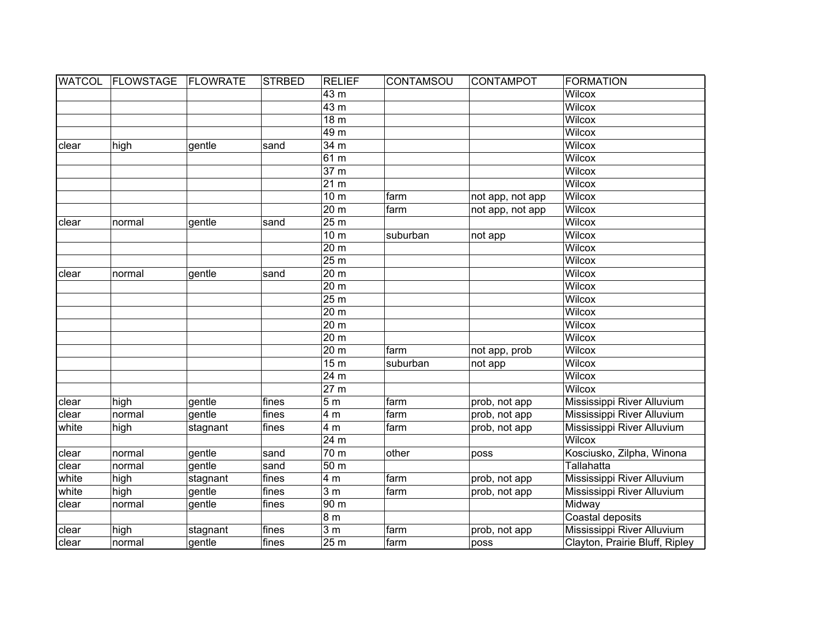| <b>WATCOL</b> | <b>FLOWSTAGE</b> | FLOWRATE | <b>STRBED</b> | <b>RELIEF</b>    | CONTAMSOU   | <b>CONTAMPOT</b> | <b>FORMATION</b>               |
|---------------|------------------|----------|---------------|------------------|-------------|------------------|--------------------------------|
|               |                  |          |               | 43 m             |             |                  | <b>Wilcox</b>                  |
|               |                  |          |               | 43 <sub>m</sub>  |             |                  | <b>Wilcox</b>                  |
|               |                  |          |               | 18 <sub>m</sub>  |             |                  | <b>Wilcox</b>                  |
|               |                  |          |               | 49 <sub>m</sub>  |             |                  | <b>Wilcox</b>                  |
| clear         | high             | gentle   | sand          | 34 <sub>m</sub>  |             |                  | <b>Wilcox</b>                  |
|               |                  |          |               | 61 <sub>m</sub>  |             |                  | <b>Wilcox</b>                  |
|               |                  |          |               | 37 <sub>m</sub>  |             |                  | <b>Wilcox</b>                  |
|               |                  |          |               | 21 <sub>m</sub>  |             |                  | <b>Wilcox</b>                  |
|               |                  |          |               | 10 <sub>m</sub>  | farm        | not app, not app | <b>Wilcox</b>                  |
|               |                  |          |               | 20 <sub>m</sub>  | farm        | not app, not app | <b>Wilcox</b>                  |
| clear         | normal           | gentle   | sand          | 25 <sub>m</sub>  |             |                  | <b>Wilcox</b>                  |
|               |                  |          |               | 10 <sub>m</sub>  | suburban    | not app          | <b>Wilcox</b>                  |
|               |                  |          |               | 20 m             |             |                  | <b>Wilcox</b>                  |
|               |                  |          |               | 25 m             |             |                  | <b>Wilcox</b>                  |
| clear         | normal           | gentle   | sand          | 20 m             |             |                  | <b>Wilcox</b>                  |
|               |                  |          |               | 20 m             |             |                  | <b>Wilcox</b>                  |
|               |                  |          |               | 25 m             |             |                  | <b>Wilcox</b>                  |
|               |                  |          |               | 20 m             |             |                  | Wilcox                         |
|               |                  |          |               | 20 m             |             |                  | <b>Wilcox</b>                  |
|               |                  |          |               | 20 m             |             |                  | <b>Wilcox</b>                  |
|               |                  |          |               | 20 m             | <b>farm</b> | not app, prob    | <b>Wilcox</b>                  |
|               |                  |          |               | 15 <sub>m</sub>  | suburban    | not app          | <b>Wilcox</b>                  |
|               |                  |          |               | 24 m             |             |                  | Wilcox                         |
|               |                  |          |               | 27 m             |             |                  | <b>Wilcox</b>                  |
| clear         | high             | gentle   | fines         | 5 <sub>m</sub>   | farm        | prob, not app    | Mississippi River Alluvium     |
| clear         | normal           | gentle   | fines         | 4 m              | farm        | prob, not app    | Mississippi River Alluvium     |
| white         | high             | stagnant | fines         | 4 m              | farm        | prob, not app    | Mississippi River Alluvium     |
|               |                  |          |               | 24 <sub>m</sub>  |             |                  | <b>Wilcox</b>                  |
| clear         | normal           | gentle   | sand          | 70 <sub>m</sub>  | other       | poss             | Kosciusko, Zilpha, Winona      |
| clear         | normal           | gentle   | sand          | 50 <sub>m</sub>  |             |                  | Tallahatta                     |
| white         | high             | stagnant | fines         | 4 m              | farm        | prob, not app    | Mississippi River Alluvium     |
| white         | high             | gentle   | fines         | 3 <sub>m</sub>   | farm        | prob, not app    | Mississippi River Alluvium     |
| clear         | normal           | gentle   | fines         | 90 <sub>m</sub>  |             |                  | Midway                         |
|               |                  |          |               | 8 <sub>m</sub>   |             |                  | Coastal deposits               |
| clear         | high             | stagnant | fines         | $\overline{3}$ m | farm        | prob, not app    | Mississippi River Alluvium     |
| clear         | normal           | gentle   | fines         | 25 m             | farm        | poss             | Clayton, Prairie Bluff, Ripley |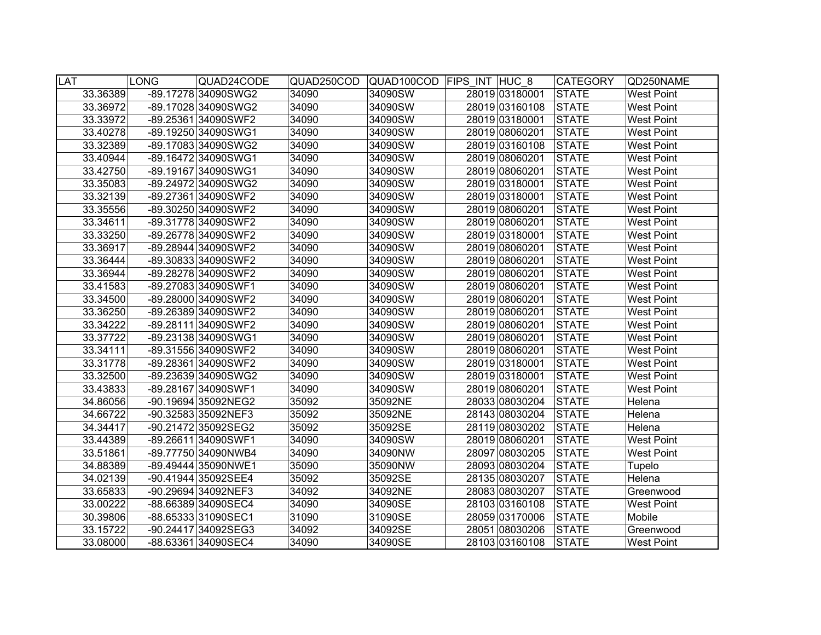| <b>LAT</b> |          | <b>LONG</b> | QUAD24CODE          | QUAD250COD |         | QUAD100COD FIPS INT HUC 8 | <b>CATEGORY</b> | QD250NAME         |
|------------|----------|-------------|---------------------|------------|---------|---------------------------|-----------------|-------------------|
|            | 33.36389 |             | -89.17278 34090SWG2 | 34090      | 34090SW | 28019 03180001            | <b>STATE</b>    | <b>West Point</b> |
|            | 33.36972 |             | -89.17028 34090SWG2 | 34090      | 34090SW | 28019 03160108            | <b>STATE</b>    | <b>West Point</b> |
|            | 33.33972 |             | -89.25361 34090SWF2 | 34090      | 34090SW | 28019 03180001            | <b>STATE</b>    | <b>West Point</b> |
|            | 33.40278 |             | -89.19250 34090SWG1 | 34090      | 34090SW | 28019 08060201            | <b>STATE</b>    | <b>West Point</b> |
|            | 33.32389 |             | -89.17083 34090SWG2 | 34090      | 34090SW | 28019 03160108            | <b>STATE</b>    | <b>West Point</b> |
|            | 33.40944 |             | -89.16472 34090SWG1 | 34090      | 34090SW | 28019 08060201            | <b>STATE</b>    | <b>West Point</b> |
|            | 33.42750 |             | -89.19167 34090SWG1 | 34090      | 34090SW | 28019 08060201            | <b>STATE</b>    | <b>West Point</b> |
|            | 33.35083 |             | -89.24972 34090SWG2 | 34090      | 34090SW | 28019 03180001            | <b>STATE</b>    | <b>West Point</b> |
|            | 33.32139 |             | -89.27361 34090SWF2 | 34090      | 34090SW | 28019 03180001            | <b>STATE</b>    | <b>West Point</b> |
|            | 33.35556 |             | -89.30250 34090SWF2 | 34090      | 34090SW | 28019 08060201            | <b>STATE</b>    | <b>West Point</b> |
|            | 33.34611 |             | -89.31778 34090SWF2 | 34090      | 34090SW | 28019 08060201            | <b>STATE</b>    | <b>West Point</b> |
|            | 33.33250 |             | -89.26778 34090SWF2 | 34090      | 34090SW | 28019 03180001            | <b>STATE</b>    | <b>West Point</b> |
|            | 33.36917 |             | -89.28944 34090SWF2 | 34090      | 34090SW | 28019 08060201            | <b>STATE</b>    | <b>West Point</b> |
|            | 33.36444 |             | -89.30833 34090SWF2 | 34090      | 34090SW | 28019 08060201            | <b>STATE</b>    | <b>West Point</b> |
|            | 33.36944 |             | -89.28278 34090SWF2 | 34090      | 34090SW | 28019 08060201            | <b>STATE</b>    | <b>West Point</b> |
|            | 33.41583 |             | -89.27083 34090SWF1 | 34090      | 34090SW | 28019 08060201            | <b>STATE</b>    | <b>West Point</b> |
|            | 33.34500 |             | -89.28000 34090SWF2 | 34090      | 34090SW | 28019 08060201            | <b>STATE</b>    | <b>West Point</b> |
|            | 33.36250 |             | -89.26389 34090SWF2 | 34090      | 34090SW | 28019 08060201            | <b>STATE</b>    | <b>West Point</b> |
|            | 33.34222 |             | -89.28111 34090SWF2 | 34090      | 34090SW | 28019 08060201            | <b>STATE</b>    | <b>West Point</b> |
|            | 33.37722 |             | -89.23138 34090SWG1 | 34090      | 34090SW | 28019 08060201            | <b>STATE</b>    | <b>West Point</b> |
|            | 33.34111 |             | -89.31556 34090SWF2 | 34090      | 34090SW | 28019 08060201            | <b>STATE</b>    | West Point        |
|            | 33.31778 |             | -89.28361 34090SWF2 | 34090      | 34090SW | 28019 03180001            | <b>STATE</b>    | West Point        |
|            | 33.32500 |             | -89.23639 34090SWG2 | 34090      | 34090SW | 28019 03180001            | <b>STATE</b>    | <b>West Point</b> |
|            | 33.43833 |             | -89.28167 34090SWF1 | 34090      | 34090SW | 28019 08060201            | <b>STATE</b>    | <b>West Point</b> |
|            | 34.86056 |             | -90.19694 35092NEG2 | 35092      | 35092NE | 28033 08030204            | <b>STATE</b>    | Helena            |
|            | 34.66722 |             | -90.32583 35092NEF3 | 35092      | 35092NE | 28143 08030204            | <b>STATE</b>    | Helena            |
|            | 34.34417 |             | -90.21472 35092SEG2 | 35092      | 35092SE | 28119 08030202            | <b>STATE</b>    | Helena            |
|            | 33.44389 |             | -89.26611 34090SWF1 | 34090      | 34090SW | 28019 08060201            | <b>STATE</b>    | <b>West Point</b> |
|            | 33.51861 |             | -89.77750 34090NWB4 | 34090      | 34090NW | 28097 08030205            | <b>STATE</b>    | <b>West Point</b> |
|            | 34.88389 |             | -89.49444 35090NWE1 | 35090      | 35090NW | 28093 08030204            | <b>STATE</b>    | Tupelo            |
|            | 34.02139 |             | -90.41944 35092SEE4 | 35092      | 35092SE | 28135 08030207            | <b>STATE</b>    | Helena            |
|            | 33.65833 |             | -90.29694 34092NEF3 | 34092      | 34092NE | 28083 08030207            | <b>STATE</b>    | Greenwood         |
|            | 33.00222 |             | -88.66389 34090SEC4 | 34090      | 34090SE | 28103 03160108            | <b>STATE</b>    | <b>West Point</b> |
|            | 30.39806 |             | -88.65333 31090SEC1 | 31090      | 31090SE | 28059 03170006            | <b>STATE</b>    | Mobile            |
|            | 33.15722 |             | -90.24417 34092SEG3 | 34092      | 34092SE | 28051 08030206            | <b>STATE</b>    | Greenwood         |
|            | 33.08000 |             | -88.63361 34090SEC4 | 34090      | 34090SE | 28103 03160108            | <b>STATE</b>    | <b>West Point</b> |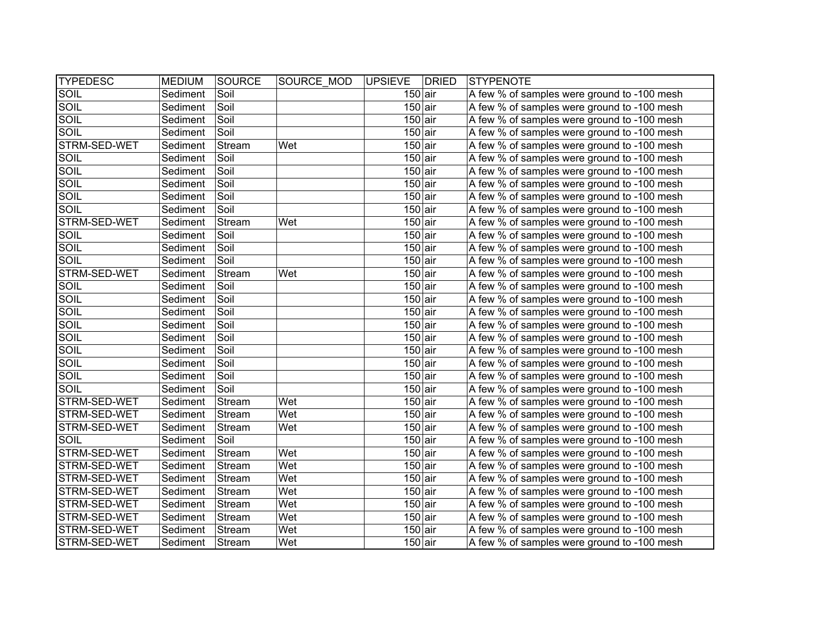| <b>TYPEDESC</b> | <b>MEDIUM</b> | SOURCE | SOURCE MOD | <b>UPSIEVE</b>       | <b>DRIED</b> | STYPENOTE                                   |
|-----------------|---------------|--------|------------|----------------------|--------------|---------------------------------------------|
| SOIL            | Sediment      | Soil   |            | $150$ air            |              | A few % of samples were ground to -100 mesh |
| <b>SOIL</b>     | Sediment      | Soil   |            | $150$ air            |              | A few % of samples were ground to -100 mesh |
| <b>SOIL</b>     | Sediment      | Soil   |            | $150$ air            |              | A few % of samples were ground to -100 mesh |
| <b>SOIL</b>     | Sediment      | Soil   |            | $150$ air            |              | A few % of samples were ground to -100 mesh |
| STRM-SED-WET    | Sediment      | Stream | Wet        | $150$ air            |              | A few % of samples were ground to -100 mesh |
| <b>SOIL</b>     | Sediment      | Soil   |            | $150$ air            |              | A few % of samples were ground to -100 mesh |
| SOIL            | Sediment      | Soil   |            | $150$ air            |              | A few % of samples were ground to -100 mesh |
| <b>SOIL</b>     | Sediment      | Soil   |            | $150$ air            |              | A few % of samples were ground to -100 mesh |
| SOIL            | Sediment      | Soil   |            | $150$ air            |              | A few % of samples were ground to -100 mesh |
| <b>SOIL</b>     | Sediment      | Soil   |            | $150$ air            |              | A few % of samples were ground to -100 mesh |
| STRM-SED-WET    | Sediment      | Stream | Wet        | $150$ air            |              | A few % of samples were ground to -100 mesh |
| SOIL            | Sediment      | Soil   |            | $150$ air            |              | A few % of samples were ground to -100 mesh |
| SOIL            | Sediment      | Soil   |            | $150$ air            |              | A few % of samples were ground to -100 mesh |
| SOIL            | Sediment      | Soil   |            | $150$ air            |              | A few % of samples were ground to -100 mesh |
| STRM-SED-WET    | Sediment      | Stream | Wet        | $150$ air            |              | A few % of samples were ground to -100 mesh |
| SOIL            | Sediment      | Soil   |            | $150$ air            |              | A few % of samples were ground to -100 mesh |
| SOIL            | Sediment      | Soil   |            | $150$ air            |              | A few % of samples were ground to -100 mesh |
| SOIL            | Sediment      | Soil   |            | $150$ air            |              | A few % of samples were ground to -100 mesh |
| <b>SOIL</b>     | Sediment      | Soil   |            | $150$ air            |              | A few % of samples were ground to -100 mesh |
| SOIL            | Sediment      | Soil   |            | $150$ air            |              | A few % of samples were ground to -100 mesh |
| SOIL            | Sediment      | Soil   |            | $150$ air            |              | A few % of samples were ground to -100 mesh |
| SOIL            | Sediment      | Soil   |            | $150$ air            |              | A few % of samples were ground to -100 mesh |
| SOIL            | Sediment      | Soil   |            | $150$ air            |              | A few % of samples were ground to -100 mesh |
| SOIL            | Sediment      | Soil   |            | $150$ air            |              | A few % of samples were ground to -100 mesh |
| STRM-SED-WET    | Sediment      | Stream | Wet        | $150$ air            |              | A few % of samples were ground to -100 mesh |
| STRM-SED-WET    | Sediment      | Stream | Wet        | $150$ air            |              | A few % of samples were ground to -100 mesh |
| STRM-SED-WET    | Sediment      | Stream | Wet        | $150$ air            |              | A few % of samples were ground to -100 mesh |
| SOIL            | Sediment      | Soil   |            | $150$ air            |              | A few % of samples were ground to -100 mesh |
| STRM-SED-WET    | Sediment      | Stream | Wet        | $150$ air            |              | A few % of samples were ground to -100 mesh |
| STRM-SED-WET    | Sediment      | Stream | Wet        | $150$ air            |              | A few % of samples were ground to -100 mesh |
| STRM-SED-WET    | Sediment      | Stream | Wet        | $150$ air            |              | A few % of samples were ground to -100 mesh |
| STRM-SED-WET    | Sediment      | Stream | Wet        | $150$ air            |              | A few % of samples were ground to -100 mesh |
| STRM-SED-WET    | Sediment      | Stream | Wet        | $150$ air            |              | A few % of samples were ground to -100 mesh |
| STRM-SED-WET    | Sediment      | Stream | Wet        | $150$ air            |              | A few % of samples were ground to -100 mesh |
| STRM-SED-WET    | Sediment      | Stream | Wet        | $\overline{150}$ air |              | A few % of samples were ground to -100 mesh |
| STRM-SED-WET    | Sediment      | Stream | Wet        | $150$ air            |              | A few % of samples were ground to -100 mesh |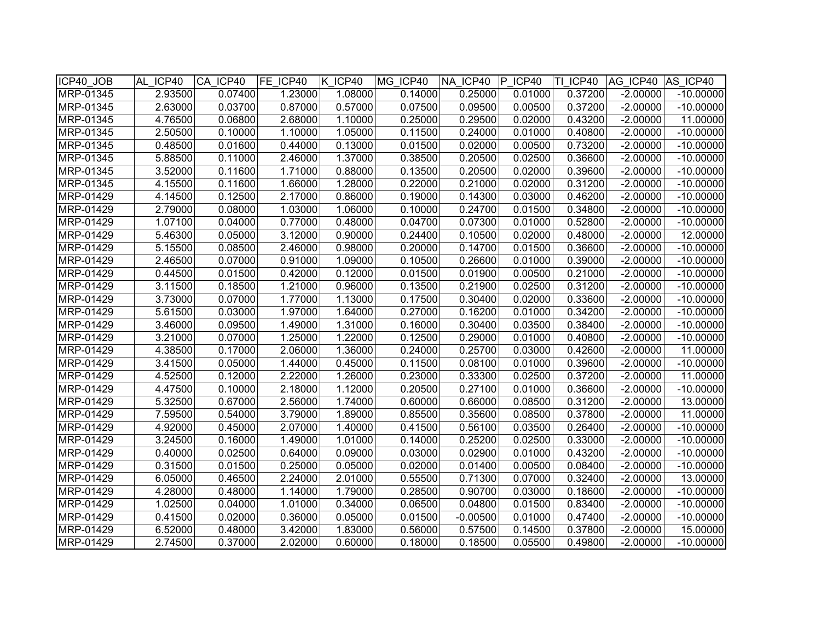| ICP40_JOB | AL ICP40              | CA ICP40 | FE ICP40 | K ICP40 | MG ICP40 | NA ICP40   | IP.<br>ICP40 | TI ICP40 | AG ICP40   | AS ICP40    |
|-----------|-----------------------|----------|----------|---------|----------|------------|--------------|----------|------------|-------------|
| MRP-01345 | 2.93500               | 0.07400  | 1.23000  | 1.08000 | 0.14000  | 0.25000    | 0.01000      | 0.37200  | $-2.00000$ | $-10.00000$ |
| MRP-01345 | 2.63000               | 0.03700  | 0.87000  | 0.57000 | 0.07500  | 0.09500    | 0.00500      | 0.37200  | $-2.00000$ | $-10.00000$ |
| MRP-01345 | 4.76500               | 0.06800  | 2.68000  | 1.10000 | 0.25000  | 0.29500    | 0.02000      | 0.43200  | $-2.00000$ | 11.00000    |
| MRP-01345 | 2.50500               | 0.10000  | 1.10000  | 1.05000 | 0.11500  | 0.24000    | 0.01000      | 0.40800  | $-2.00000$ | $-10.00000$ |
| MRP-01345 | 0.48500               | 0.01600  | 0.44000  | 0.13000 | 0.01500  | 0.02000    | 0.00500      | 0.73200  | $-2.00000$ | $-10.00000$ |
| MRP-01345 | 5.88500               | 0.11000  | 2.46000  | 1.37000 | 0.38500  | 0.20500    | 0.02500      | 0.36600  | $-2.00000$ | $-10.00000$ |
| MRP-01345 | 3.52000               | 0.11600  | 1.71000  | 0.88000 | 0.13500  | 0.20500    | 0.02000      | 0.39600  | $-2.00000$ | $-10.00000$ |
| MRP-01345 | $\overline{4}$ .15500 | 0.11600  | 1.66000  | 1.28000 | 0.22000  | 0.21000    | 0.02000      | 0.31200  | $-2.00000$ | $-10.00000$ |
| MRP-01429 | 4.14500               | 0.12500  | 2.17000  | 0.86000 | 0.19000  | 0.14300    | 0.03000      | 0.46200  | $-2.00000$ | $-10.00000$ |
| MRP-01429 | 2.79000               | 0.08000  | 1.03000  | 1.06000 | 0.10000  | 0.24700    | 0.01500      | 0.34800  | $-2.00000$ | $-10.00000$ |
| MRP-01429 | 1.07100               | 0.04000  | 0.77000  | 0.48000 | 0.04700  | 0.07300    | 0.01000      | 0.52800  | $-2.00000$ | $-10.00000$ |
| MRP-01429 | 5.46300               | 0.05000  | 3.12000  | 0.90000 | 0.24400  | 0.10500    | 0.02000      | 0.48000  | $-2.00000$ | 12.00000    |
| MRP-01429 | 5.15500               | 0.08500  | 2.46000  | 0.98000 | 0.20000  | 0.14700    | 0.01500      | 0.36600  | $-2.00000$ | $-10.00000$ |
| MRP-01429 | 2.46500               | 0.07000  | 0.91000  | 1.09000 | 0.10500  | 0.26600    | 0.01000      | 0.39000  | $-2.00000$ | $-10.00000$ |
| MRP-01429 | 0.44500               | 0.01500  | 0.42000  | 0.12000 | 0.01500  | 0.01900    | 0.00500      | 0.21000  | $-2.00000$ | $-10.00000$ |
| MRP-01429 | 3.11500               | 0.18500  | 1.21000  | 0.96000 | 0.13500  | 0.21900    | 0.02500      | 0.31200  | $-2.00000$ | $-10.00000$ |
| MRP-01429 | 3.73000               | 0.07000  | 1.77000  | 1.13000 | 0.17500  | 0.30400    | 0.02000      | 0.33600  | $-2.00000$ | $-10.00000$ |
| MRP-01429 | 5.61500               | 0.03000  | 1.97000  | 1.64000 | 0.27000  | 0.16200    | 0.01000      | 0.34200  | $-2.00000$ | $-10.00000$ |
| MRP-01429 | 3.46000               | 0.09500  | 1.49000  | 1.31000 | 0.16000  | 0.30400    | 0.03500      | 0.38400  | $-2.00000$ | $-10.00000$ |
| MRP-01429 | 3.21000               | 0.07000  | 1.25000  | 1.22000 | 0.12500  | 0.29000    | 0.01000      | 0.40800  | $-2.00000$ | $-10.00000$ |
| MRP-01429 | 4.38500               | 0.17000  | 2.06000  | 1.36000 | 0.24000  | 0.25700    | 0.03000      | 0.42600  | $-2.00000$ | 11.00000    |
| MRP-01429 | 3.41500               | 0.05000  | 1.44000  | 0.45000 | 0.11500  | 0.08100    | 0.01000      | 0.39600  | $-2.00000$ | $-10.00000$ |
| MRP-01429 | 4.52500               | 0.12000  | 2.22000  | 1.26000 | 0.23000  | 0.33300    | 0.02500      | 0.37200  | $-2.00000$ | 11.00000    |
| MRP-01429 | 4.47500               | 0.10000  | 2.18000  | 1.12000 | 0.20500  | 0.27100    | 0.01000      | 0.36600  | $-2.00000$ | $-10.00000$ |
| MRP-01429 | 5.32500               | 0.67000  | 2.56000  | 1.74000 | 0.60000  | 0.66000    | 0.08500      | 0.31200  | $-2.00000$ | 13.00000    |
| MRP-01429 | 7.59500               | 0.54000  | 3.79000  | 1.89000 | 0.85500  | 0.35600    | 0.08500      | 0.37800  | $-2.00000$ | 11.00000    |
| MRP-01429 | 4.92000               | 0.45000  | 2.07000  | 1.40000 | 0.41500  | 0.56100    | 0.03500      | 0.26400  | $-2.00000$ | $-10.00000$ |
| MRP-01429 | 3.24500               | 0.16000  | 1.49000  | 1.01000 | 0.14000  | 0.25200    | 0.02500      | 0.33000  | $-2.00000$ | $-10.00000$ |
| MRP-01429 | 0.40000               | 0.02500  | 0.64000  | 0.09000 | 0.03000  | 0.02900    | 0.01000      | 0.43200  | $-2.00000$ | $-10.00000$ |
| MRP-01429 | 0.31500               | 0.01500  | 0.25000  | 0.05000 | 0.02000  | 0.01400    | 0.00500      | 0.08400  | $-2.00000$ | $-10.00000$ |
| MRP-01429 | 6.05000               | 0.46500  | 2.24000  | 2.01000 | 0.55500  | 0.71300    | 0.07000      | 0.32400  | $-2.00000$ | 13.00000    |
| MRP-01429 | 4.28000               | 0.48000  | 1.14000  | 1.79000 | 0.28500  | 0.90700    | 0.03000      | 0.18600  | $-2.00000$ | $-10.00000$ |
| MRP-01429 | 1.02500               | 0.04000  | 1.01000  | 0.34000 | 0.06500  | 0.04800    | 0.01500      | 0.83400  | $-2.00000$ | $-10.00000$ |
| MRP-01429 | 0.41500               | 0.02000  | 0.36000  | 0.05000 | 0.01500  | $-0.00500$ | 0.01000      | 0.47400  | $-2.00000$ | $-10.00000$ |
| MRP-01429 | 6.52000               | 0.48000  | 3.42000  | 1.83000 | 0.56000  | 0.57500    | 0.14500      | 0.37800  | $-2.00000$ | 15.00000    |
| MRP-01429 | 2.74500               | 0.37000  | 2.02000  | 0.60000 | 0.18000  | 0.18500    | 0.05500      | 0.49800  | $-2.00000$ | $-10.00000$ |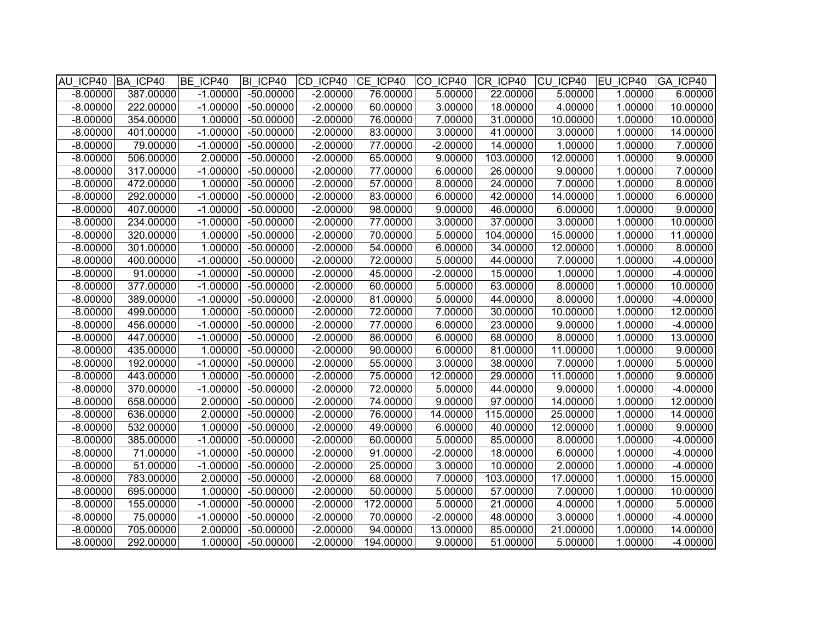| AU ICP40   | BA ICP40  | BE ICP40   | BI ICP40    | CD ICP40   | CE ICP40  | CO ICP40   | CR ICP40  | CU ICP40 | <b>IEU ICP40</b> | GA ICP40   |
|------------|-----------|------------|-------------|------------|-----------|------------|-----------|----------|------------------|------------|
| $-8.00000$ | 387.00000 | $-1.00000$ | $-50.00000$ | $-2.00000$ | 76.00000  | 5.00000    | 22.00000  | 5.00000  | 1.00000          | 6.00000    |
| $-8.00000$ | 222.00000 | $-1.00000$ | $-50.00000$ | $-2.00000$ | 60.00000  | 3.00000    | 18.00000  | 4.00000  | 1.00000          | 10.00000   |
| $-8.00000$ | 354.00000 | 1.00000    | $-50.00000$ | $-2.00000$ | 76.00000  | 7.00000    | 31.00000  | 10.00000 | 1.00000          | 10.00000   |
| $-8.00000$ | 401.00000 | $-1.00000$ | $-50.00000$ | $-2.00000$ | 83.00000  | 3.00000    | 41.00000  | 3.00000  | 1.00000          | 14.00000   |
| $-8.00000$ | 79.00000  | $-1.00000$ | $-50.00000$ | $-2.00000$ | 77.00000  | $-2.00000$ | 14.00000  | 1.00000  | 1.00000          | 7.00000    |
| $-8.00000$ | 506.00000 | 2.00000    | $-50.00000$ | $-2.00000$ | 65.00000  | 9.00000    | 103.00000 | 12.00000 | 1.00000          | 9.00000    |
| $-8.00000$ | 317.00000 | $-1.00000$ | $-50.00000$ | $-2.00000$ | 77.00000  | 6.00000    | 26.00000  | 9.00000  | 1.00000          | 7.00000    |
| $-8.00000$ | 472.00000 | 1.00000    | $-50.00000$ | $-2.00000$ | 57.00000  | 8.00000    | 24.00000  | 7.00000  | 1.00000          | 8.00000    |
| $-8.00000$ | 292.00000 | $-1.00000$ | $-50.00000$ | $-2.00000$ | 83.00000  | 6.00000    | 42.00000  | 14.00000 | 1.00000          | 6.00000    |
| $-8.00000$ | 407.00000 | $-1.00000$ | $-50.00000$ | $-2.00000$ | 98.00000  | 9.00000    | 46.00000  | 6.00000  | 1.00000          | 9.00000    |
| $-8.00000$ | 234.00000 | $-1.00000$ | $-50.00000$ | $-2.00000$ | 77.00000  | 3.00000    | 37.00000  | 3.00000  | 1.00000          | 10.00000   |
| $-8.00000$ | 320.00000 | 1.00000    | $-50.00000$ | $-2.00000$ | 70.00000  | 5.00000    | 104.00000 | 15.00000 | 1.00000          | 11.00000   |
| $-8.00000$ | 301.00000 | 1.00000    | $-50.00000$ | $-2.00000$ | 54.00000  | 6.00000    | 34.00000  | 12.00000 | 1.00000          | 8.00000    |
| $-8.00000$ | 400.00000 | $-1.00000$ | $-50.00000$ | $-2.00000$ | 72.00000  | 5.00000    | 44.00000  | 7.00000  | 1.00000          | $-4.00000$ |
| $-8.00000$ | 91.00000  | $-1.00000$ | $-50.00000$ | $-2.00000$ | 45.00000  | $-2.00000$ | 15.00000  | 1.00000  | 1.00000          | $-4.00000$ |
| $-8.00000$ | 377.00000 | $-1.00000$ | $-50.00000$ | $-2.00000$ | 60.00000  | 5.00000    | 63.00000  | 8.00000  | 1.00000          | 10.00000   |
| $-8.00000$ | 389.00000 | $-1.00000$ | $-50.00000$ | $-2.00000$ | 81.00000  | 5.00000    | 44.00000  | 8.00000  | 1.00000          | $-4.00000$ |
| $-8.00000$ | 499.00000 | 1.00000    | $-50.00000$ | $-2.00000$ | 72.00000  | 7.00000    | 30.00000  | 10.00000 | 1.00000          | 12.00000   |
| $-8.00000$ | 456.00000 | $-1.00000$ | $-50.00000$ | $-2.00000$ | 77.00000  | 6.00000    | 23.00000  | 9.00000  | 1.00000          | $-4.00000$ |
| $-8.00000$ | 447.00000 | $-1.00000$ | $-50.00000$ | $-2.00000$ | 86.00000  | 6.00000    | 68.00000  | 8.00000  | 1.00000          | 13.00000   |
| $-8.00000$ | 435.00000 | 1.00000    | $-50.00000$ | $-2.00000$ | 90.00000  | 6.00000    | 81.00000  | 11.00000 | 1.00000          | 9.00000    |
| $-8.00000$ | 192.00000 | $-1.00000$ | $-50.00000$ | $-2.00000$ | 55.00000  | 3.00000    | 38.00000  | 7.00000  | 1.00000          | 5.00000    |
| $-8.00000$ | 443.00000 | 1.00000    | $-50.00000$ | $-2.00000$ | 75.00000  | 12.00000   | 29.00000  | 11.00000 | 1.00000          | 9.00000    |
| $-8.00000$ | 370.00000 | $-1.00000$ | $-50.00000$ | $-2.00000$ | 72.00000  | 5.00000    | 44.00000  | 9.00000  | 1.00000          | $-4.00000$ |
| $-8.00000$ | 658.00000 | 2.00000    | $-50.00000$ | $-2.00000$ | 74.00000  | 9.00000    | 97.00000  | 14.00000 | 1.00000          | 12.00000   |
| $-8.00000$ | 636.00000 | 2.00000    | $-50.00000$ | $-2.00000$ | 76.00000  | 14.00000   | 115.00000 | 25.00000 | 1.00000          | 14.00000   |
| $-8.00000$ | 532.00000 | 1.00000    | $-50.00000$ | $-2.00000$ | 49.00000  | 6.00000    | 40.00000  | 12.00000 | 1.00000          | 9.00000    |
| $-8.00000$ | 385.00000 | $-1.00000$ | $-50.00000$ | $-2.00000$ | 60.00000  | 5.00000    | 85.00000  | 8.00000  | 1.00000          | $-4.00000$ |
| $-8.00000$ | 71.00000  | $-1.00000$ | $-50.00000$ | $-2.00000$ | 91.00000  | $-2.00000$ | 18.00000  | 6.00000  | 1.00000          | $-4.00000$ |
| $-8.00000$ | 51.00000  | $-1.00000$ | $-50.00000$ | $-2.00000$ | 25.00000  | 3.00000    | 10.00000  | 2.00000  | 1.00000          | $-4.00000$ |
| $-8.00000$ | 783.00000 | 2.00000    | $-50.00000$ | $-2.00000$ | 68.00000  | 7.00000    | 103.00000 | 17.00000 | 1.00000          | 15.00000   |
| $-8.00000$ | 695.00000 | 1.00000    | $-50.00000$ | $-2.00000$ | 50.00000  | 5.00000    | 57.00000  | 7.00000  | 1.00000          | 10.00000   |
| $-8.00000$ | 155.00000 | $-1.00000$ | $-50.00000$ | $-2.00000$ | 172.00000 | 5.00000    | 21.00000  | 4.00000  | 1.00000          | 5.00000    |
| $-8.00000$ | 75.00000  | $-1.00000$ | $-50.00000$ | $-2.00000$ | 70.00000  | $-2.00000$ | 48.00000  | 3.00000  | 1.00000          | $-4.00000$ |
| $-8.00000$ | 705.00000 | 2.00000    | $-50.00000$ | $-2.00000$ | 94.00000  | 13.00000   | 85.00000  | 21.00000 | 1.00000          | 14.00000   |
| $-8.00000$ | 292.00000 | 1.00000    | $-50.00000$ | $-2.00000$ | 194.00000 | 9.00000    | 51.00000  | 5.00000  | 1.00000          | $-4.00000$ |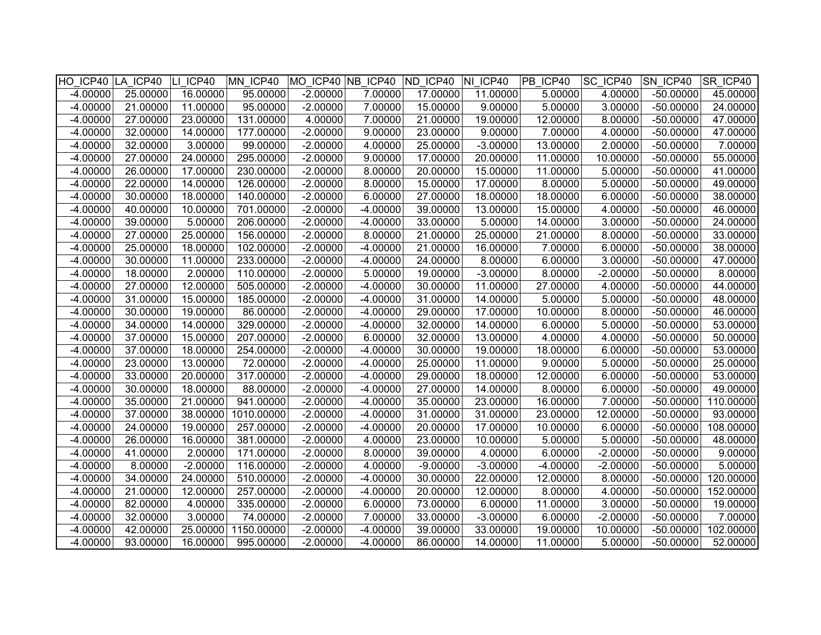|            | HO ICP40 LA ICP40 LI ICP40 |            | MN ICP40   |            |            | $MO$ ICP40 $NB$ ICP40 $ND$ ICP40 $NI$ ICP40 |            | PB ICP40   | <b>SC ICP40</b> | <b>SN ICP40</b> | SR ICP40  |
|------------|----------------------------|------------|------------|------------|------------|---------------------------------------------|------------|------------|-----------------|-----------------|-----------|
| $-4.00000$ | 25.00000                   | 16.00000   | 95.00000   | $-2.00000$ | 7.00000    | 17.00000                                    | 11.00000   | 5.00000    | 4.00000         | $-50.00000$     | 45.00000  |
| $-4.00000$ | 21.00000                   | 11.00000   | 95.00000   | $-2.00000$ | 7.00000    | 15.00000                                    | 9.00000    | 5.00000    | 3.00000         | $-50.00000$     | 24.00000  |
| $-4.00000$ | 27.00000                   | 23.00000   | 131.00000  | 4.00000    | 7.00000    | 21.00000                                    | 19.00000   | 12.00000   | 8.00000         | $-50.00000$     | 47.00000  |
| $-4.00000$ | 32.00000                   | 14.00000   | 177.00000  | $-2.00000$ | 9.00000    | 23.00000                                    | 9.00000    | 7.00000    | 4.00000         | $-50.00000$     | 47.00000  |
| $-4.00000$ | 32.00000                   | 3.00000    | 99.00000   | $-2.00000$ | 4.00000    | 25.00000                                    | $-3.00000$ | 13.00000   | 2.00000         | $-50.00000$     | 7.00000   |
| $-4.00000$ | 27.00000                   | 24.00000   | 295.00000  | $-2.00000$ | 9.00000    | 17.00000                                    | 20.00000   | 11.00000   | 10.00000        | $-50.00000$     | 55.00000  |
| $-4.00000$ | 26.00000                   | 17.00000   | 230.00000  | $-2.00000$ | 8.00000    | 20.00000                                    | 15.00000   | 11.00000   | 5.00000         | $-50.00000$     | 41.00000  |
| $-4.00000$ | 22.00000                   | 14.00000   | 126.00000  | $-2.00000$ | 8.00000    | 15.00000                                    | 17.00000   | 8.00000    | 5.00000         | $-50.00000$     | 49.00000  |
| $-4.00000$ | 30.00000                   | 18.00000   | 140.00000  | $-2.00000$ | 6.00000    | 27.00000                                    | 18.00000   | 18.00000   | 6.00000         | $-50.00000$     | 38.00000  |
| $-4.00000$ | 40.00000                   | 10.00000   | 701.00000  | $-2.00000$ | $-4.00000$ | 39.00000                                    | 13.00000   | 15.00000   | 4.00000         | $-50.00000$     | 46.00000  |
| $-4.00000$ | 39.00000                   | 5.00000    | 206.00000  | $-2.00000$ | $-4.00000$ | 33.00000                                    | 5.00000    | 14.00000   | 3.00000         | $-50.00000$     | 24.00000  |
| $-4.00000$ | 27.00000                   | 25.00000   | 156.00000  | $-2.00000$ | 8.00000    | 21.00000                                    | 25.00000   | 21.00000   | 8.00000         | $-50.00000$     | 33.00000  |
| $-4.00000$ | 25.00000                   | 18.00000   | 102.00000  | $-2.00000$ | $-4.00000$ | 21.00000                                    | 16.00000   | 7.00000    | 6.00000         | $-50.00000$     | 38.00000  |
| $-4.00000$ | 30.00000                   | 11.00000   | 233.00000  | $-2.00000$ | $-4.00000$ | 24.00000                                    | 8.00000    | 6.00000    | 3.00000         | $-50.00000$     | 47.00000  |
| $-4.00000$ | 18.00000                   | 2.00000    | 110.00000  | $-2.00000$ | 5.00000    | 19.00000                                    | $-3.00000$ | 8.00000    | $-2.00000$      | $-50.00000$     | 8.00000   |
| $-4.00000$ | 27.00000                   | 12.00000   | 505.00000  | $-2.00000$ | $-4.00000$ | 30.00000                                    | 11.00000   | 27.00000   | 4.00000         | $-50.00000$     | 44.00000  |
| $-4.00000$ | 31.00000                   | 15.00000   | 185.00000  | $-2.00000$ | $-4.00000$ | 31.00000                                    | 14.00000   | 5.00000    | 5.00000         | $-50.00000$     | 48.00000  |
| $-4.00000$ | 30.00000                   | 19.00000   | 86.00000   | $-2.00000$ | $-4.00000$ | 29.00000                                    | 17.00000   | 10.00000   | 8.00000         | $-50.00000$     | 46.00000  |
| $-4.00000$ | 34.00000                   | 14.00000   | 329.00000  | $-2.00000$ | $-4.00000$ | 32.00000                                    | 14.00000   | 6.00000    | 5.00000         | $-50.00000$     | 53.00000  |
| $-4.00000$ | 37.00000                   | 15.00000   | 207.00000  | $-2.00000$ | 6.00000    | 32.00000                                    | 13.00000   | 4.00000    | 4.00000         | $-50.00000$     | 50.00000  |
| $-4.00000$ | 37.00000                   | 18.00000   | 254.00000  | $-2.00000$ | $-4.00000$ | 30.00000                                    | 19.00000   | 18.00000   | 6.00000         | $-50.00000$     | 53.00000  |
| $-4.00000$ | 23.00000                   | 13.00000   | 72.00000   | $-2.00000$ | $-4.00000$ | 25.00000                                    | 11.00000   | 9.00000    | 5.00000         | $-50.00000$     | 25.00000  |
| $-4.00000$ | 33.00000                   | 20.00000   | 317.00000  | $-2.00000$ | $-4.00000$ | 29.00000                                    | 18.00000   | 12.00000   | 6.00000         | $-50.00000$     | 53.00000  |
| $-4.00000$ | 30.00000                   | 18.00000   | 88.00000   | $-2.00000$ | $-4.00000$ | 27.00000                                    | 14.00000   | 8.00000    | 6.00000         | $-50.00000$     | 49.00000  |
| $-4.00000$ | 35.00000                   | 21.00000   | 941.00000  | $-2.00000$ | $-4.00000$ | 35.00000                                    | 23.00000   | 16.00000   | 7.00000         | $-50.00000$     | 110.00000 |
| $-4.00000$ | 37.00000                   | 38.00000   | 1010.00000 | $-2.00000$ | $-4.00000$ | 31.00000                                    | 31.00000   | 23.00000   | 12.00000        | $-50.00000$     | 93.00000  |
| $-4.00000$ | 24.00000                   | 19.00000   | 257.00000  | $-2.00000$ | $-4.00000$ | 20.00000                                    | 17.00000   | 10.00000   | 6.00000         | $-50.00000$     | 108.00000 |
| $-4.00000$ | 26.00000                   | 16.00000   | 381.00000  | $-2.00000$ | 4.00000    | 23.00000                                    | 10.00000   | 5.00000    | 5.00000         | $-50.00000$     | 48.00000  |
| $-4.00000$ | 41.00000                   | 2.00000    | 171.00000  | $-2.00000$ | 8.00000    | 39.00000                                    | 4.00000    | 6.00000    | $-2.00000$      | $-50.00000$     | 9.00000   |
| $-4.00000$ | 8.00000                    | $-2.00000$ | 116.00000  | $-2.00000$ | 4.00000    | $-9.00000$                                  | $-3.00000$ | $-4.00000$ | $-2.00000$      | $-50.00000$     | 5.00000   |
| $-4.00000$ | 34.00000                   | 24.00000   | 510.00000  | $-2.00000$ | $-4.00000$ | 30.00000                                    | 22.00000   | 12.00000   | 8.00000         | $-50.00000$     | 120.00000 |
| $-4.00000$ | 21.00000                   | 12.00000   | 257.00000  | $-2.00000$ | $-4.00000$ | 20.00000                                    | 12.00000   | 8.00000    | 4.00000         | $-50.00000$     | 152.00000 |
| $-4.00000$ | 82.00000                   | 4.00000    | 335.00000  | $-2.00000$ | 6.00000    | 73.00000                                    | 6.00000    | 11.00000   | 3.00000         | $-50.00000$     | 19.00000  |
| $-4.00000$ | 32.00000                   | 3.00000    | 74.00000   | $-2.00000$ | 7.00000    | 33.00000                                    | $-3.00000$ | 6.00000    | $-2.00000$      | $-50.00000$     | 7.00000   |
| $-4.00000$ | 42.00000                   | 25.00000   | 1150.00000 | $-2.00000$ | $-4.00000$ | 39.00000                                    | 33.00000   | 19.00000   | 10.00000        | $-50.00000$     | 102.00000 |
| $-4.00000$ | 93.00000                   | 16.00000   | 995.00000  | $-2.00000$ | $-4.00000$ | 86.00000                                    | 14.00000   | 11.00000   | 5.00000         | $-50.00000$     | 52.00000  |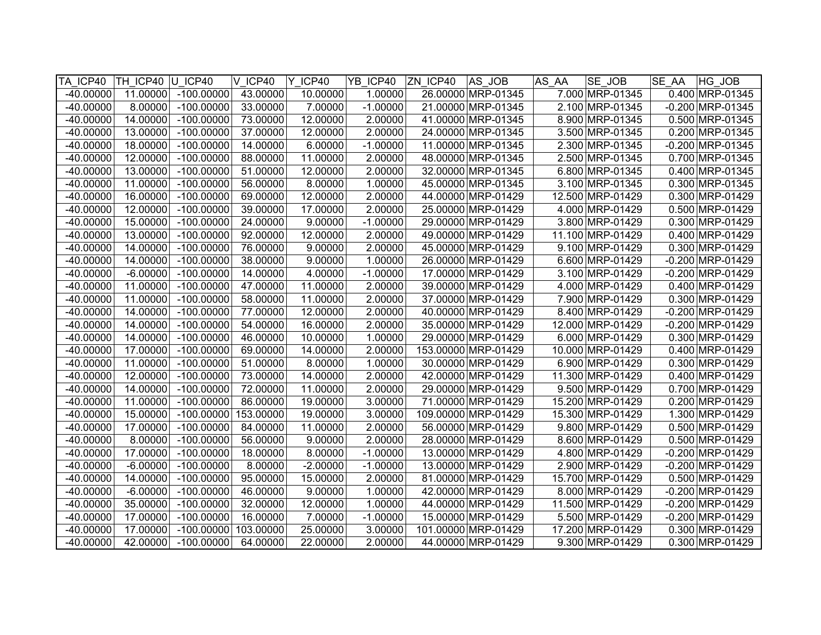| TA ICP40    | TH ICP40 U ICP40 |              | V ICP40   | Y ICP40    | YB ICP40   | ZN ICP40 | AS JOB              | AS AA | SE JOB           | <b>SE AA</b> | HG JOB                |
|-------------|------------------|--------------|-----------|------------|------------|----------|---------------------|-------|------------------|--------------|-----------------------|
| $-40.00000$ | 11.00000         | $-100.00000$ | 43.00000  | 10.00000   | 1.00000    |          | 26.00000 MRP-01345  |       | 7.000 MRP-01345  |              | 0.400 MRP-01345       |
| $-40.00000$ | 8.00000          | $-100.00000$ | 33.00000  | 7.00000    | $-1.00000$ |          | 21.00000 MRP-01345  |       | 2.100 MRP-01345  |              | $-0.200$ MRP-01345    |
| $-40.00000$ | 14.00000         | $-100.00000$ | 73.00000  | 12.00000   | 2.00000    |          | 41.00000 MRP-01345  |       | 8.900 MRP-01345  |              | 0.500 MRP-01345       |
| $-40.00000$ | 13.00000         | $-100.00000$ | 37.00000  | 12.00000   | 2.00000    |          | 24.00000 MRP-01345  |       | 3.500 MRP-01345  |              | 0.200 MRP-01345       |
| $-40.00000$ | 18.00000         | $-100.00000$ | 14.00000  | 6.00000    | $-1.00000$ |          | 11.00000 MRP-01345  |       | 2.300 MRP-01345  |              | $-0.200$ MRP-01345    |
| $-40.00000$ | 12.00000         | $-100.00000$ | 88.00000  | 11.00000   | 2.00000    |          | 48.00000 MRP-01345  |       | 2.500 MRP-01345  |              | 0.700 MRP-01345       |
| $-40.00000$ | 13.00000         | $-100.00000$ | 51.00000  | 12.00000   | 2.00000    |          | 32.00000 MRP-01345  |       | 6.800 MRP-01345  |              | 0.400 MRP-01345       |
| $-40.00000$ | 11.00000         | $-100.00000$ | 56.00000  | 8.00000    | 1.00000    |          | 45.00000 MRP-01345  |       | 3.100 MRP-01345  |              | 0.300 MRP-01345       |
| $-40.00000$ | 16.00000         | $-100.00000$ | 69.00000  | 12.00000   | 2.00000    |          | 44.00000 MRP-01429  |       | 12.500 MRP-01429 |              | 0.300 MRP-01429       |
| $-40.00000$ | 12.00000         | $-100.00000$ | 39.00000  | 17.00000   | 2.00000    |          | 25.00000 MRP-01429  |       | 4.000 MRP-01429  |              | 0.500 MRP-01429       |
| $-40.00000$ | 15.00000         | $-100.00000$ | 24.00000  | 9.00000    | $-1.00000$ |          | 29.00000 MRP-01429  |       | 3.800 MRP-01429  |              | 0.300 MRP-01429       |
| $-40.00000$ | 13.00000         | $-100.00000$ | 92.00000  | 12.00000   | 2.00000    |          | 49.00000 MRP-01429  |       | 11.100 MRP-01429 |              | 0.400 MRP-01429       |
| $-40.00000$ | 14.00000         | $-100.00000$ | 76.00000  | 9.00000    | 2.00000    |          | 45.00000 MRP-01429  |       | 9.100 MRP-01429  |              | 0.300 MRP-01429       |
| $-40.00000$ | 14.00000         | $-100.00000$ | 38.00000  | 9.00000    | 1.00000    |          | 26.00000 MRP-01429  |       | 6.600 MRP-01429  |              | -0.200 MRP-01429      |
| -40.00000   | $-6.00000$       | $-100.00000$ | 14.00000  | 4.00000    | $-1.00000$ |          | 17.00000 MRP-01429  |       | 3.100 MRP-01429  |              | $-0.200$ MRP-01429    |
| $-40.00000$ | 11.00000         | $-100.00000$ | 47.00000  | 11.00000   | 2.00000    |          | 39.00000 MRP-01429  |       | 4.000 MRP-01429  |              | 0.400 MRP-01429       |
| $-40.00000$ | 11.00000         | $-100.00000$ | 58.00000  | 11.00000   | 2.00000    |          | 37.00000 MRP-01429  |       | 7.900 MRP-01429  |              | 0.300 MRP-01429       |
| $-40.00000$ | 14.00000         | $-100.00000$ | 77.00000  | 12.00000   | 2.00000    |          | 40.00000 MRP-01429  |       | 8.400 MRP-01429  |              | $-0.200$ MRP-01429    |
| $-40.00000$ | 14.00000         | $-100.00000$ | 54.00000  | 16.00000   | 2.00000    |          | 35.00000 MRP-01429  |       | 12.000 MRP-01429 |              | $-0.200$ MRP $-01429$ |
| $-40.00000$ | 14.00000         | $-100.00000$ | 46.00000  | 10.00000   | 1.00000    |          | 29.00000 MRP-01429  |       | 6.000 MRP-01429  |              | 0.300 MRP-01429       |
| $-40.00000$ | 17.00000         | $-100.00000$ | 69.00000  | 14.00000   | 2.00000    |          | 153.00000 MRP-01429 |       | 10.000 MRP-01429 |              | 0.400 MRP-01429       |
| $-40.00000$ | 11.00000         | $-100.00000$ | 51.00000  | 8.00000    | 1.00000    |          | 30.00000 MRP-01429  |       | 6.900 MRP-01429  |              | 0.300 MRP-01429       |
| $-40.00000$ | 12.00000         | $-100.00000$ | 73.00000  | 14.00000   | 2.00000    |          | 42.00000 MRP-01429  |       | 11.300 MRP-01429 |              | 0.400 MRP-01429       |
| $-40.00000$ | 14.00000         | $-100.00000$ | 72.00000  | 11.00000   | 2.00000    |          | 29.00000 MRP-01429  |       | 9.500 MRP-01429  |              | 0.700 MRP-01429       |
| $-40.00000$ | 11.00000         | $-100.00000$ | 86.00000  | 19.00000   | 3.00000    |          | 71.00000 MRP-01429  |       | 15.200 MRP-01429 |              | 0.200 MRP-01429       |
| $-40.00000$ | 15.00000         | $-100.00000$ | 153.00000 | 19.00000   | 3.00000    |          | 109.00000 MRP-01429 |       | 15.300 MRP-01429 |              | 1.300 MRP-01429       |
| $-40.00000$ | 17.00000         | $-100.00000$ | 84.00000  | 11.00000   | 2.00000    |          | 56.00000 MRP-01429  |       | 9.800 MRP-01429  |              | 0.500 MRP-01429       |
| $-40.00000$ | 8.00000          | $-100.00000$ | 56.00000  | 9.00000    | 2.00000    |          | 28.00000 MRP-01429  |       | 8.600 MRP-01429  |              | 0.500 MRP-01429       |
| $-40.00000$ | 17.00000         | $-100.00000$ | 18.00000  | 8.00000    | $-1.00000$ |          | 13.00000 MRP-01429  |       | 4.800 MRP-01429  |              | $-0.200$ MRP-01429    |
| $-40.00000$ | $-6.00000$       | $-100.00000$ | 8.00000   | $-2.00000$ | $-1.00000$ |          | 13.00000 MRP-01429  |       | 2.900 MRP-01429  |              | $-0.200$ MRP-01429    |
| $-40.00000$ | 14.00000         | $-100.00000$ | 95.00000  | 15.00000   | 2.00000    |          | 81.00000 MRP-01429  |       | 15.700 MRP-01429 |              | 0.500 MRP-01429       |
| $-40.00000$ | $-6.00000$       | $-100.00000$ | 46.00000  | 9.00000    | 1.00000    |          | 42.00000 MRP-01429  |       | 8.000 MRP-01429  |              | $-0.200$ MRP-01429    |
| $-40.00000$ | 35.00000         | $-100.00000$ | 32.00000  | 12.00000   | 1.00000    |          | 44.00000 MRP-01429  |       | 11.500 MRP-01429 |              | $-0.200$ MRP-01429    |
| $-40.00000$ | 17.00000         | $-100.00000$ | 16.00000  | 7.00000    | $-1.00000$ |          | 15.00000 MRP-01429  |       | 5.500 MRP-01429  |              | $-0.200$ MRP-01429    |
| $-40.00000$ | 17.00000         | $-100.00000$ | 103.00000 | 25.00000   | 3.00000    |          | 101.00000 MRP-01429 |       | 17.200 MRP-01429 |              | 0.300 MRP-01429       |
| $-40.00000$ | 42.00000         | $-100.00000$ | 64.00000  | 22.00000   | 2.00000    |          | 44.00000 MRP-01429  |       | 9.300 MRP-01429  |              | 0.300 MRP-01429       |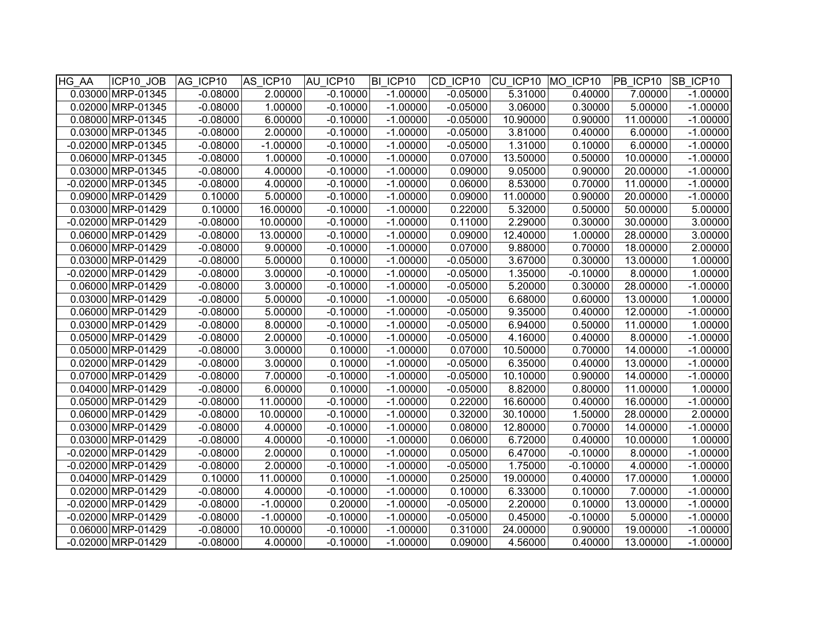| HG_AA | ICP10 JOB            | AG ICP10   | AS ICP10   | AU ICP10   | BI ICP10   | CD ICP10 CU ICP10 MO ICP10 |          |            | <b>PB ICP10 SB ICP10</b> |            |
|-------|----------------------|------------|------------|------------|------------|----------------------------|----------|------------|--------------------------|------------|
|       | 0.03000 MRP-01345    | $-0.08000$ | 2.00000    | $-0.10000$ | $-1.00000$ | $-0.05000$                 | 5.31000  | 0.40000    | 7.00000                  | $-1.00000$ |
|       | 0.02000 MRP-01345    | $-0.08000$ | 1.00000    | $-0.10000$ | $-1.00000$ | $-0.05000$                 | 3.06000  | 0.30000    | 5.00000                  | $-1.00000$ |
|       | 0.08000 MRP-01345    | $-0.08000$ | 6.00000    | $-0.10000$ | $-1.00000$ | $-0.05000$                 | 10.90000 | 0.90000    | 11.00000                 | $-1.00000$ |
|       | 0.03000 MRP-01345    | $-0.08000$ | 2.00000    | $-0.10000$ | $-1.00000$ | $-0.05000$                 | 3.81000  | 0.40000    | 6.00000                  | $-1.00000$ |
|       | -0.02000 MRP-01345   | $-0.08000$ | $-1.00000$ | $-0.10000$ | $-1.00000$ | $-0.05000$                 | 1.31000  | 0.10000    | 6.00000                  | $-1.00000$ |
|       | 0.06000 MRP-01345    | $-0.08000$ | 1.00000    | $-0.10000$ | $-1.00000$ | 0.07000                    | 13.50000 | 0.50000    | 10.00000                 | $-1.00000$ |
|       | 0.03000 MRP-01345    | $-0.08000$ | 4.00000    | $-0.10000$ | $-1.00000$ | 0.09000                    | 9.05000  | 0.90000    | 20.00000                 | $-1.00000$ |
|       | -0.02000 MRP-01345   | $-0.08000$ | 4.00000    | $-0.10000$ | $-1.00000$ | 0.06000                    | 8.53000  | 0.70000    | 11.00000                 | $-1.00000$ |
|       | 0.09000 MRP-01429    | 0.10000    | 5.00000    | $-0.10000$ | $-1.00000$ | 0.09000                    | 11.00000 | 0.90000    | 20.00000                 | $-1.00000$ |
|       | 0.03000 MRP-01429    | 0.10000    | 16.00000   | $-0.10000$ | $-1.00000$ | 0.22000                    | 5.32000  | 0.50000    | 50.00000                 | 5.00000    |
|       | -0.02000 MRP-01429   | $-0.08000$ | 10.00000   | $-0.10000$ | $-1.00000$ | 0.11000                    | 2.29000  | 0.30000    | 30.00000                 | 3.00000    |
|       | 0.06000 MRP-01429    | $-0.08000$ | 13.00000   | $-0.10000$ | $-1.00000$ | 0.09000                    | 12.40000 | 1.00000    | 28.00000                 | 3.00000    |
|       | 0.06000 MRP-01429    | $-0.08000$ | 9.00000    | $-0.10000$ | $-1.00000$ | 0.07000                    | 9.88000  | 0.70000    | 18.00000                 | 2.00000    |
|       | 0.03000 MRP-01429    | $-0.08000$ | 5.00000    | 0.10000    | $-1.00000$ | $-0.05000$                 | 3.67000  | 0.30000    | 13.00000                 | 1.00000    |
|       | -0.02000 MRP-01429   | $-0.08000$ | 3.00000    | $-0.10000$ | $-1.00000$ | $-0.05000$                 | 1.35000  | $-0.10000$ | 8.00000                  | 1.00000    |
|       | 0.06000 MRP-01429    | $-0.08000$ | 3.00000    | $-0.10000$ | $-1.00000$ | $-0.05000$                 | 5.20000  | 0.30000    | 28.00000                 | $-1.00000$ |
|       | 0.03000 MRP-01429    | $-0.08000$ | 5.00000    | $-0.10000$ | $-1.00000$ | $-0.05000$                 | 6.68000  | 0.60000    | 13.00000                 | 1.00000    |
|       | 0.06000 MRP-01429    | $-0.08000$ | 5.00000    | $-0.10000$ | $-1.00000$ | $-0.05000$                 | 9.35000  | 0.40000    | 12.00000                 | $-1.00000$ |
|       | 0.03000 MRP-01429    | $-0.08000$ | 8.00000    | $-0.10000$ | $-1.00000$ | $-0.05000$                 | 6.94000  | 0.50000    | 11.00000                 | 1.00000    |
|       | 0.05000 MRP-01429    | $-0.08000$ | 2.00000    | $-0.10000$ | $-1.00000$ | $-0.05000$                 | 4.16000  | 0.40000    | 8.00000                  | $-1.00000$ |
|       | 0.05000 MRP-01429    | $-0.08000$ | 3.00000    | 0.10000    | $-1.00000$ | 0.07000                    | 10.50000 | 0.70000    | 14.00000                 | $-1.00000$ |
|       | 0.02000 MRP-01429    | $-0.08000$ | 3.00000    | 0.10000    | $-1.00000$ | $-0.05000$                 | 6.35000  | 0.40000    | 13.00000                 | $-1.00000$ |
|       | 0.07000 MRP-01429    | $-0.08000$ | 7.00000    | $-0.10000$ | $-1.00000$ | $-0.05000$                 | 10.10000 | 0.90000    | 14.00000                 | $-1.00000$ |
|       | 0.04000 MRP-01429    | $-0.08000$ | 6.00000    | 0.10000    | $-1.00000$ | $-0.05000$                 | 8.82000  | 0.80000    | 11.00000                 | 1.00000    |
|       | 0.05000 MRP-01429    | $-0.08000$ | 11.00000   | $-0.10000$ | $-1.00000$ | 0.22000                    | 16.60000 | 0.40000    | 16.00000                 | $-1.00000$ |
|       | 0.06000 MRP-01429    | $-0.08000$ | 10.00000   | $-0.10000$ | $-1.00000$ | 0.32000                    | 30.10000 | 1.50000    | 28.00000                 | 2.00000    |
|       | 0.03000 MRP-01429    | $-0.08000$ | 4.00000    | $-0.10000$ | $-1.00000$ | 0.08000                    | 12.80000 | 0.70000    | 14.00000                 | $-1.00000$ |
|       | 0.03000 MRP-01429    | $-0.08000$ | 4.00000    | $-0.10000$ | $-1.00000$ | 0.06000                    | 6.72000  | 0.40000    | 10.00000                 | 1.00000    |
|       | -0.02000 MRP-01429   | $-0.08000$ | 2.00000    | 0.10000    | $-1.00000$ | 0.05000                    | 6.47000  | $-0.10000$ | 8.00000                  | $-1.00000$ |
|       | -0.02000 MRP-01429   | $-0.08000$ | 2.00000    | $-0.10000$ | $-1.00000$ | $-0.05000$                 | 1.75000  | $-0.10000$ | 4.00000                  | $-1.00000$ |
|       | 0.04000 MRP-01429    | 0.10000    | 11.00000   | 0.10000    | $-1.00000$ | 0.25000                    | 19.00000 | 0.40000    | 17.00000                 | 1.00000    |
|       | 0.02000 MRP-01429    | $-0.08000$ | 4.00000    | $-0.10000$ | $-1.00000$ | 0.10000                    | 6.33000  | 0.10000    | 7.00000                  | $-1.00000$ |
|       | -0.02000 MRP-01429   | $-0.08000$ | $-1.00000$ | 0.20000    | $-1.00000$ | $-0.05000$                 | 2.20000  | 0.10000    | 13.00000                 | $-1.00000$ |
|       | $-0.02000$ MRP-01429 | $-0.08000$ | $-1.00000$ | $-0.10000$ | $-1.00000$ | $-0.05000$                 | 0.45000  | $-0.10000$ | 5.00000                  | $-1.00000$ |
|       | 0.06000 MRP-01429    | $-0.08000$ | 10.00000   | $-0.10000$ | $-1.00000$ | 0.31000                    | 24.00000 | 0.90000    | 19.00000                 | $-1.00000$ |
|       | $-0.02000$ MRP-01429 | $-0.08000$ | 4.00000    | $-0.10000$ | $-1.00000$ | 0.09000                    | 4.56000  | 0.40000    | 13.00000                 | $-1.00000$ |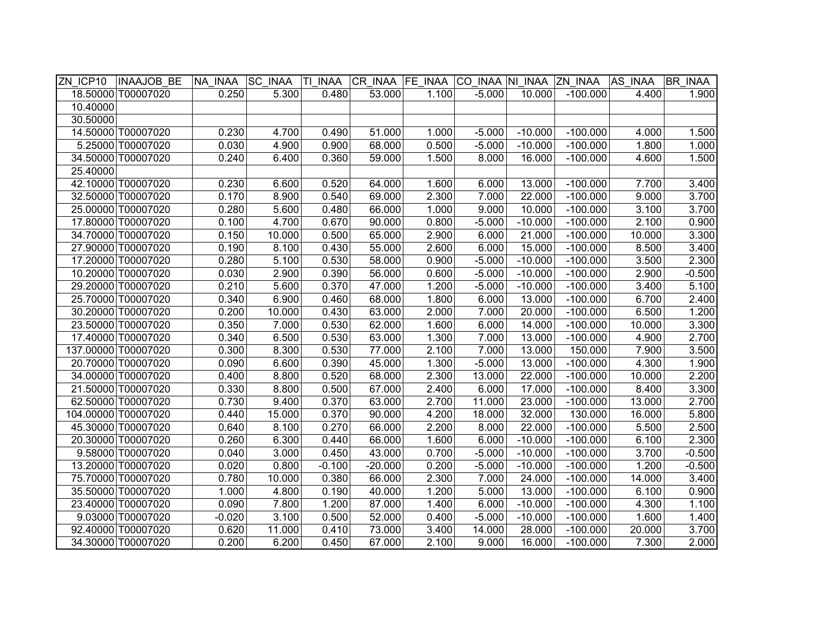|          | ZN ICP10  INAAJOB BE | NA INAA  | <b>SC INAA</b> | TI INAA  |           |       |          |           | CR INAA FE INAA CO INAA NI INAA ZN INAA AS INAA |        | <b>BR INAA</b> |
|----------|----------------------|----------|----------------|----------|-----------|-------|----------|-----------|-------------------------------------------------|--------|----------------|
|          | 18.50000 T00007020   | 0.250    | 5.300          | 0.480    | 53.000    | 1.100 | $-5.000$ | 10.000    | $-100.000$                                      | 4.400  | 1.900          |
| 10.40000 |                      |          |                |          |           |       |          |           |                                                 |        |                |
| 30.50000 |                      |          |                |          |           |       |          |           |                                                 |        |                |
|          | 14.50000 T00007020   | 0.230    | 4.700          | 0.490    | 51.000    | 1.000 | $-5.000$ | $-10.000$ | $-100.000$                                      | 4.000  | 1.500          |
|          | 5.25000 T00007020    | 0.030    | 4.900          | 0.900    | 68.000    | 0.500 | $-5.000$ | $-10.000$ | $-100.000$                                      | 1.800  | 1.000          |
|          | 34.50000 T00007020   | 0.240    | 6.400          | 0.360    | 59.000    | 1.500 | 8.000    | 16.000    | $-100.000$                                      | 4.600  | 1.500          |
| 25.40000 |                      |          |                |          |           |       |          |           |                                                 |        |                |
|          | 42.10000 T00007020   | 0.230    | 6.600          | 0.520    | 64.000    | 1.600 | 6.000    | 13.000    | $-100.000$                                      | 7.700  | 3.400          |
|          | 32.50000 T00007020   | 0.170    | 8.900          | 0.540    | 69.000    | 2.300 | 7.000    | 22.000    | $-100.000$                                      | 9.000  | 3.700          |
|          | 25.00000 T00007020   | 0.280    | 5.600          | 0.480    | 66.000    | 1.000 | 9.000    | 10.000    | $-100.000$                                      | 3.100  | 3.700          |
|          | 17.80000 T00007020   | 0.100    | 4.700          | 0.670    | 90.000    | 0.800 | $-5.000$ | $-10.000$ | $-100.000$                                      | 2.100  | 0.900          |
|          | 34.70000 T00007020   | 0.150    | 10.000         | 0.500    | 65.000    | 2.900 | 6.000    | 21.000    | $-100.000$                                      | 10.000 | 3.300          |
|          | 27.90000 T00007020   | 0.190    | 8.100          | 0.430    | 55.000    | 2.600 | 6.000    | 15.000    | $-100.000$                                      | 8.500  | 3.400          |
|          | 17.20000 T00007020   | 0.280    | 5.100          | 0.530    | 58.000    | 0.900 | $-5.000$ | $-10.000$ | $-100.000$                                      | 3.500  | 2.300          |
|          | 10.20000 T00007020   | 0.030    | 2.900          | 0.390    | 56.000    | 0.600 | $-5.000$ | $-10.000$ | $-100.000$                                      | 2.900  | $-0.500$       |
|          | 29.20000 T00007020   | 0.210    | 5.600          | 0.370    | 47.000    | 1.200 | $-5.000$ | $-10.000$ | $-100.000$                                      | 3.400  | 5.100          |
|          | 25.70000 T00007020   | 0.340    | 6.900          | 0.460    | 68.000    | 1.800 | 6.000    | 13.000    | $-100.000$                                      | 6.700  | 2.400          |
|          | 30.20000 T00007020   | 0.200    | 10.000         | 0.430    | 63.000    | 2.000 | 7.000    | 20.000    | $-100.000$                                      | 6.500  | 1.200          |
|          | 23.50000 T00007020   | 0.350    | 7.000          | 0.530    | 62.000    | 1.600 | 6.000    | 14.000    | $-100.000$                                      | 10.000 | 3.300          |
|          | 17.40000 T00007020   | 0.340    | 6.500          | 0.530    | 63.000    | 1.300 | 7.000    | 13.000    | $-100.000$                                      | 4.900  | 2.700          |
|          | 137.00000 T00007020  | 0.300    | 8.300          | 0.530    | 77.000    | 2.100 | 7.000    | 13.000    | 150.000                                         | 7.900  | 3.500          |
|          | 20.70000 T00007020   | 0.090    | 6.600          | 0.390    | 45.000    | 1.300 | $-5.000$ | 13.000    | $-100.000$                                      | 4.300  | 1.900          |
|          | 34.00000 T00007020   | 0.400    | 8.800          | 0.520    | 68.000    | 2.300 | 13.000   | 22.000    | $-100.000$                                      | 10.000 | 2.200          |
|          | 21.50000 T00007020   | 0.330    | 8.800          | 0.500    | 67.000    | 2.400 | 6.000    | 17.000    | $-100.000$                                      | 8.400  | 3.300          |
|          | 62.50000 T00007020   | 0.730    | 9.400          | 0.370    | 63.000    | 2.700 | 11.000   | 23.000    | $-100.000$                                      | 13.000 | 2.700          |
|          | 104.00000 T00007020  | 0.440    | 15.000         | 0.370    | 90.000    | 4.200 | 18.000   | 32.000    | 130.000                                         | 16.000 | 5.800          |
|          | 45.30000 T00007020   | 0.640    | 8.100          | 0.270    | 66.000    | 2.200 | 8.000    | 22.000    | $-100.000$                                      | 5.500  | 2.500          |
|          | 20.30000 T00007020   | 0.260    | 6.300          | 0.440    | 66.000    | 1.600 | 6.000    | $-10.000$ | $-100.000$                                      | 6.100  | 2.300          |
|          | 9.58000 T00007020    | 0.040    | 3.000          | 0.450    | 43.000    | 0.700 | $-5.000$ | $-10.000$ | $-100.000$                                      | 3.700  | $-0.500$       |
|          | 13.20000 T00007020   | 0.020    | 0.800          | $-0.100$ | $-20.000$ | 0.200 | $-5.000$ | $-10.000$ | $-100.000$                                      | 1.200  | $-0.500$       |
|          | 75.70000 T00007020   | 0.780    | 10.000         | 0.380    | 66.000    | 2.300 | 7.000    | 24.000    | $-100.000$                                      | 14.000 | 3.400          |
|          | 35.50000 T00007020   | 1.000    | 4.800          | 0.190    | 40.000    | 1.200 | 5.000    | 13.000    | $-100.000$                                      | 6.100  | 0.900          |
|          | 23.40000 T00007020   | 0.090    | 7.800          | 1.200    | 87.000    | 1.400 | 6.000    | $-10.000$ | $-100.000$                                      | 4.300  | 1.100          |
|          | 9.03000 T00007020    | $-0.020$ | 3.100          | 0.500    | 52.000    | 0.400 | $-5.000$ | $-10.000$ | $-100.000$                                      | 1.600  | 1.400          |
|          | 92.40000 T00007020   | 0.620    | 11.000         | 0.410    | 73.000    | 3.400 | 14.000   | 28.000    | $-100.000$                                      | 20.000 | 3.700          |
|          | 34.30000 T00007020   | 0.200    | 6.200          | 0.450    | 67.000    | 2.100 | 9.000    | 16.000    | $-100.000$                                      | 7.300  | 2.000          |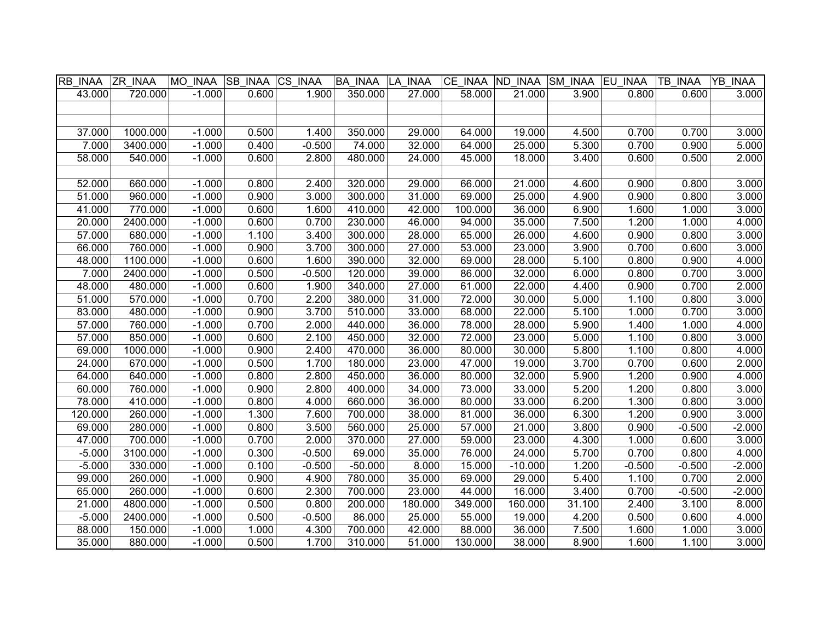| RB INAA  | <b>ZR INAA</b> | MO INAA  | SB INAA CS INAA |          | <b>BA INAA</b> | LA INAA | CE INAA ND INAA |           | SM_INAA   EU_INAA |          | TB INAA  | YB INAA  |
|----------|----------------|----------|-----------------|----------|----------------|---------|-----------------|-----------|-------------------|----------|----------|----------|
| 43.000   | 720.000        | $-1.000$ | 0.600           | 1.900    | 350.000        | 27.000  | 58.000          | 21.000    | 3.900             | 0.800    | 0.600    | 3.000    |
|          |                |          |                 |          |                |         |                 |           |                   |          |          |          |
|          |                |          |                 |          |                |         |                 |           |                   |          |          |          |
| 37.000   | 1000.000       | $-1.000$ | 0.500           | 1.400    | 350.000        | 29.000  | 64.000          | 19.000    | 4.500             | 0.700    | 0.700    | 3.000    |
| 7.000    | 3400.000       | $-1.000$ | 0.400           | $-0.500$ | 74.000         | 32.000  | 64.000          | 25.000    | 5.300             | 0.700    | 0.900    | 5.000    |
| 58.000   | 540.000        | $-1.000$ | 0.600           | 2.800    | 480.000        | 24.000  | 45.000          | 18.000    | 3.400             | 0.600    | 0.500    | 2.000    |
|          |                |          |                 |          |                |         |                 |           |                   |          |          |          |
| 52.000   | 660.000        | $-1.000$ | 0.800           | 2.400    | 320.000        | 29.000  | 66.000          | 21.000    | 4.600             | 0.900    | 0.800    | 3.000    |
| 51.000   | 960.000        | $-1.000$ | 0.900           | 3.000    | 300.000        | 31.000  | 69.000          | 25.000    | 4.900             | 0.900    | 0.800    | 3.000    |
| 41.000   | 770.000        | $-1.000$ | 0.600           | 1.600    | 410.000        | 42.000  | 100.000         | 36.000    | 6.900             | 1.600    | 1.000    | 3.000    |
| 20.000   | 2400.000       | $-1.000$ | 0.600           | 0.700    | 230.000        | 46.000  | 94.000          | 35.000    | 7.500             | 1.200    | 1.000    | 4.000    |
| 57.000   | 680.000        | $-1.000$ | 1.100           | 3.400    | 300.000        | 28.000  | 65.000          | 26.000    | 4.600             | 0.900    | 0.800    | 3.000    |
| 66.000   | 760.000        | $-1.000$ | 0.900           | 3.700    | 300.000        | 27.000  | 53.000          | 23.000    | 3.900             | 0.700    | 0.600    | 3.000    |
| 48.000   | 1100.000       | $-1.000$ | 0.600           | 1.600    | 390.000        | 32.000  | 69.000          | 28.000    | 5.100             | 0.800    | 0.900    | 4.000    |
| 7.000    | 2400.000       | $-1.000$ | 0.500           | $-0.500$ | 120.000        | 39.000  | 86.000          | 32.000    | 6.000             | 0.800    | 0.700    | 3.000    |
| 48.000   | 480.000        | $-1.000$ | 0.600           | 1.900    | 340.000        | 27.000  | 61.000          | 22.000    | 4.400             | 0.900    | 0.700    | 2.000    |
| 51.000   | 570.000        | $-1.000$ | 0.700           | 2.200    | 380.000        | 31.000  | 72.000          | 30.000    | 5.000             | 1.100    | 0.800    | 3.000    |
| 83.000   | 480.000        | $-1.000$ | 0.900           | 3.700    | 510.000        | 33.000  | 68.000          | 22.000    | 5.100             | 1.000    | 0.700    | 3.000    |
| 57.000   | 760.000        | $-1.000$ | 0.700           | 2.000    | 440.000        | 36.000  | 78.000          | 28.000    | 5.900             | 1.400    | 1.000    | 4.000    |
| 57.000   | 850.000        | $-1.000$ | 0.600           | 2.100    | 450.000        | 32.000  | 72.000          | 23.000    | 5.000             | 1.100    | 0.800    | 3.000    |
| 69.000   | 1000.000       | $-1.000$ | 0.900           | 2.400    | 470.000        | 36.000  | 80.000          | 30.000    | 5.800             | 1.100    | 0.800    | 4.000    |
| 24.000   | 670.000        | $-1.000$ | 0.500           | 1.700    | 180.000        | 23.000  | 47.000          | 19.000    | 3.700             | 0.700    | 0.600    | 2.000    |
| 64.000   | 640.000        | $-1.000$ | 0.800           | 2.800    | 450.000        | 36.000  | 80.000          | 32.000    | 5.900             | 1.200    | 0.900    | 4.000    |
| 60.000   | 760.000        | $-1.000$ | 0.900           | 2.800    | 400.000        | 34.000  | 73.000          | 33.000    | 5.200             | 1.200    | 0.800    | 3.000    |
| 78.000   | 410.000        | $-1.000$ | 0.800           | 4.000    | 660.000        | 36.000  | 80.000          | 33.000    | 6.200             | 1.300    | 0.800    | 3.000    |
| 120.000  | 260.000        | $-1.000$ | 1.300           | 7.600    | 700.000        | 38.000  | 81.000          | 36.000    | 6.300             | 1.200    | 0.900    | 3.000    |
| 69.000   | 280.000        | $-1.000$ | 0.800           | 3.500    | 560.000        | 25.000  | 57.000          | 21.000    | 3.800             | 0.900    | $-0.500$ | $-2.000$ |
| 47.000   | 700.000        | $-1.000$ | 0.700           | 2.000    | 370.000        | 27.000  | 59.000          | 23.000    | 4.300             | 1.000    | 0.600    | 3.000    |
| $-5.000$ | 3100.000       | $-1.000$ | 0.300           | $-0.500$ | 69.000         | 35.000  | 76.000          | 24.000    | 5.700             | 0.700    | 0.800    | 4.000    |
| $-5.000$ | 330.000        | $-1.000$ | 0.100           | $-0.500$ | $-50.000$      | 8.000   | 15.000          | $-10.000$ | 1.200             | $-0.500$ | $-0.500$ | $-2.000$ |
| 99.000   | 260.000        | $-1.000$ | 0.900           | 4.900    | 780.000        | 35.000  | 69.000          | 29.000    | 5.400             | 1.100    | 0.700    | 2.000    |
| 65.000   | 260.000        | $-1.000$ | 0.600           | 2.300    | 700.000        | 23.000  | 44.000          | 16.000    | 3.400             | 0.700    | $-0.500$ | $-2.000$ |
| 21.000   | 4800.000       | $-1.000$ | 0.500           | 0.800    | 200.000        | 180.000 | 349.000         | 160.000   | 31.100            | 2.400    | 3.100    | 8.000    |
| $-5.000$ | 2400.000       | $-1.000$ | 0.500           | $-0.500$ | 86.000         | 25.000  | 55.000          | 19.000    | 4.200             | 0.500    | 0.600    | 4.000    |
| 88.000   | 150.000        | $-1.000$ | 1.000           | 4.300    | 700.000        | 42.000  | 88.000          | 36.000    | 7.500             | 1.600    | 1.000    | 3.000    |
| 35.000   | 880.000        | $-1.000$ | 0.500           | 1.700    | 310.000        | 51.000  | 130.000         | 38.000    | 8.900             | 1.600    | 1.100    | 3.000    |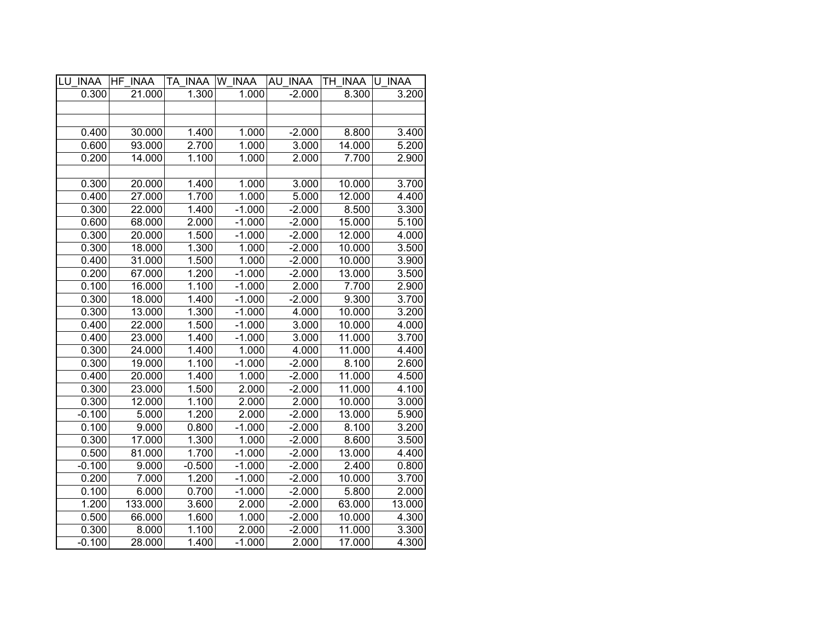| LU INAA  | HF INAA | TA INAA W INAA |          | AU INAA  | TH INAA U INAA |        |
|----------|---------|----------------|----------|----------|----------------|--------|
| 0.300    | 21.000  | 1.300          | 1.000    | $-2.000$ | 8.300          | 3.200  |
|          |         |                |          |          |                |        |
|          |         |                |          |          |                |        |
| 0.400    | 30.000  | 1.400          | 1.000    | $-2.000$ | 8.800          | 3.400  |
| 0.600    | 93.000  | 2.700          | 1.000    | 3.000    | 14.000         | 5.200  |
| 0.200    | 14.000  | 1.100          | 1.000    | 2.000    | 7.700          | 2.900  |
|          |         |                |          |          |                |        |
| 0.300    | 20.000  | 1.400          | 1.000    | 3.000    | 10.000         | 3.700  |
| 0.400    | 27.000  | 1.700          | 1.000    | 5.000    | 12.000         | 4.400  |
| 0.300    | 22.000  | 1.400          | $-1.000$ | $-2.000$ | 8.500          | 3.300  |
| 0.600    | 68.000  | 2.000          | $-1.000$ | $-2.000$ | 15.000         | 5.100  |
| 0.300    | 20.000  | 1.500          | $-1.000$ | $-2.000$ | 12.000         | 4.000  |
| 0.300    | 18.000  | 1.300          | 1.000    | $-2.000$ | 10.000         | 3.500  |
| 0.400    | 31.000  | 1.500          | 1.000    | $-2.000$ | 10.000         | 3.900  |
| 0.200    | 67.000  | 1.200          | $-1.000$ | $-2.000$ | 13.000         | 3.500  |
| 0.100    | 16.000  | 1.100          | $-1.000$ | 2.000    | 7.700          | 2.900  |
| 0.300    | 18.000  | 1.400          | $-1.000$ | $-2.000$ | 9.300          | 3.700  |
| 0.300    | 13.000  | 1.300          | $-1.000$ | 4.000    | 10.000         | 3.200  |
| 0.400    | 22.000  | 1.500          | $-1.000$ | 3.000    | 10.000         | 4.000  |
| 0.400    | 23.000  | 1.400          | $-1.000$ | 3.000    | 11.000         | 3.700  |
| 0.300    | 24.000  | 1.400          | 1.000    | 4.000    | 11.000         | 4.400  |
| 0.300    | 19.000  | 1.100          | $-1.000$ | $-2.000$ | 8.100          | 2.600  |
| 0.400    | 20.000  | 1.400          | 1.000    | $-2.000$ | 11.000         | 4.500  |
| 0.300    | 23.000  | 1.500          | 2.000    | $-2.000$ | 11.000         | 4.100  |
| 0.300    | 12.000  | 1.100          | 2.000    | 2.000    | 10.000         | 3.000  |
| $-0.100$ | 5.000   | 1.200          | 2.000    | $-2.000$ | 13.000         | 5.900  |
| 0.100    | 9.000   | 0.800          | $-1.000$ | $-2.000$ | 8.100          | 3.200  |
| 0.300    | 17.000  | 1.300          | 1.000    | $-2.000$ | 8.600          | 3.500  |
| 0.500    | 81.000  | 1.700          | $-1.000$ | $-2.000$ | 13.000         | 4.400  |
| $-0.100$ | 9.000   | $-0.500$       | $-1.000$ | $-2.000$ | 2.400          | 0.800  |
| 0.200    | 7.000   | 1.200          | $-1.000$ | $-2.000$ | 10.000         | 3.700  |
| 0.100    | 6.000   | 0.700          | $-1.000$ | $-2.000$ | 5.800          | 2.000  |
| 1.200    | 133.000 | 3.600          | 2.000    | $-2.000$ | 63.000         | 13.000 |
| 0.500    | 66.000  | 1.600          | 1.000    | $-2.000$ | 10.000         | 4.300  |
| 0.300    | 8.000   | 1.100          | 2.000    | $-2.000$ | 11.000         | 3.300  |
| $-0.100$ | 28.000  | 1.400          | $-1.000$ | 2.000    | 17.000         | 4.300  |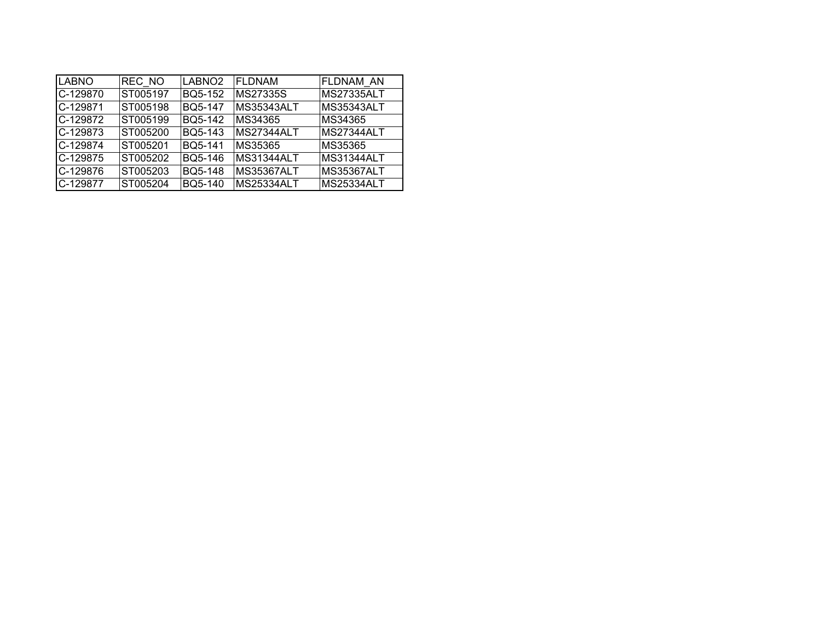| <b>LABNO</b> | REC NO   | LABNO <sub>2</sub> | <b>FLDNAM</b>   | <b>FLDNAM AN</b>  |
|--------------|----------|--------------------|-----------------|-------------------|
| C-129870     | ST005197 | BQ5-152            | <b>MS27335S</b> | <b>MS27335ALT</b> |
| C-129871     | ST005198 | <b>BQ5-147</b>     | MS35343ALT      | <b>MS35343ALT</b> |
| C-129872     | ST005199 | BQ5-142            | MS34365         | MS34365           |
| C-129873     | ST005200 | BQ5-143            | MS27344ALT      | MS27344ALT        |
| C-129874     | ST005201 | BQ5-141            | MS35365         | MS35365           |
| C-129875     | ST005202 | BQ5-146            | MS31344ALT      | MS31344ALT        |
| C-129876     | ST005203 | BQ5-148            | MS35367ALT      | <b>MS35367ALT</b> |
| C-129877     | ST005204 | BQ5-140            | MS25334ALT      | <b>MS25334ALT</b> |
|              |          |                    |                 |                   |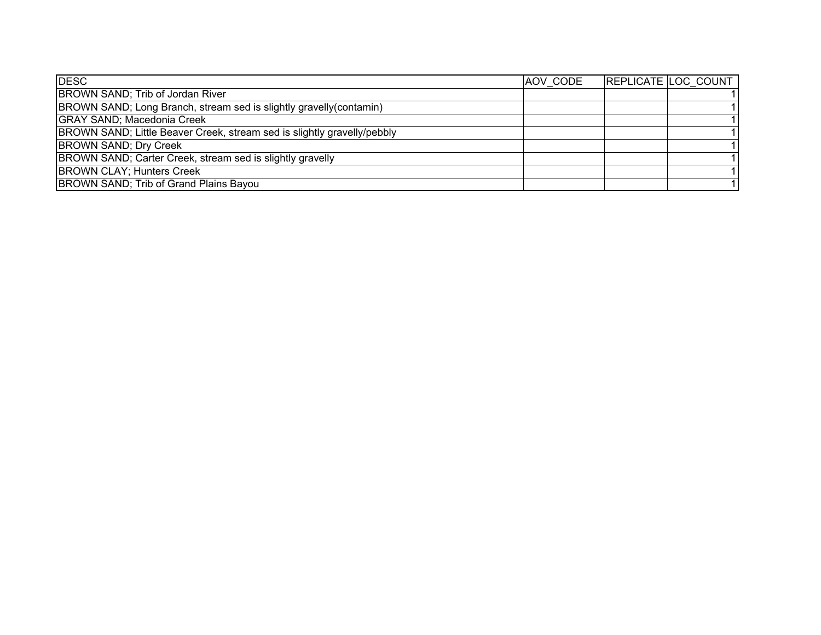| <b>DESC</b>                                                             | AOV CODE | REPLICATE LOC COUNT |
|-------------------------------------------------------------------------|----------|---------------------|
| BROWN SAND; Trib of Jordan River                                        |          |                     |
| BROWN SAND; Long Branch, stream sed is slightly gravelly (contamin)     |          |                     |
| <b>GRAY SAND; Macedonia Creek</b>                                       |          |                     |
| BROWN SAND; Little Beaver Creek, stream sed is slightly gravelly/pebbly |          |                     |
| <b>BROWN SAND; Dry Creek</b>                                            |          |                     |
| BROWN SAND; Carter Creek, stream sed is slightly gravelly               |          |                     |
| <b>BROWN CLAY; Hunters Creek</b>                                        |          |                     |
| BROWN SAND; Trib of Grand Plains Bayou                                  |          |                     |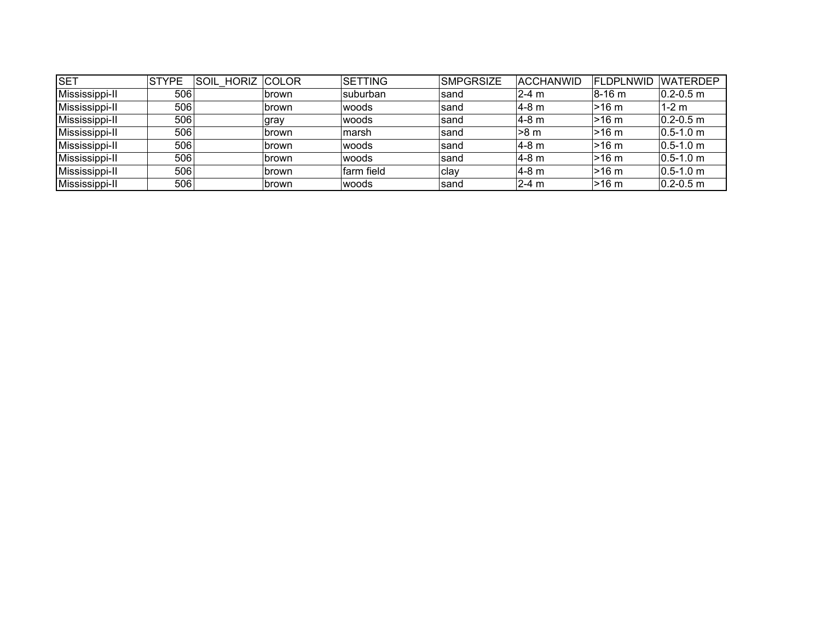| <b>SET</b>     | <b>STYPE</b> | SOIL HORIZ COLOR |              | <b>SETTING</b> | <b>SMPGRSIZE</b> | ACCHANWID | <b>FLDPLNWID</b> | <b>WATERDEP</b>         |
|----------------|--------------|------------------|--------------|----------------|------------------|-----------|------------------|-------------------------|
| Mississippi-II | 506          |                  | <b>brown</b> | Isuburban      | sand             | $2-4$ m   | 18-16 m          | $ 0.2 - 0.5$ m          |
| Mississippi-II | 506          |                  | Ibrown       | woods          | sand             | ∣4-8 m    | l>16 m           | $1-2$ m                 |
| Mississippi-II | 506          |                  | gray         | woods          | sand             | l4-8 m    | l>16 m           | $ 0.2 - 0.5$ m          |
| Mississippi-II | 506          |                  | <b>brown</b> | marsh          | sand             | l>8 m     | l>16 m           | $ 0.5 - 1.0 \text{ m} $ |
| Mississippi-II | 506          |                  | <b>brown</b> | woods          | sand             | l4-8 m    | l>16 m           | $ 0.5 - 1.0 \text{ m} $ |
| Mississippi-II | 506          |                  | <b>brown</b> | woods          | sand             | ∣4-8 m    | l>16 m           | $ 0.5 - 1.0 \text{ m} $ |
| Mississippi-II | 506          |                  | brown        | farm field     | ∣clay            | l4-8 m    | l>16 m           | $ 0.5 - 1.0 \text{ m} $ |
| Mississippi-II | 506          |                  | brown        | woods          | sand             | $2 - 4$ m | l>16 m           | $ 0.2 - 0.5$ m          |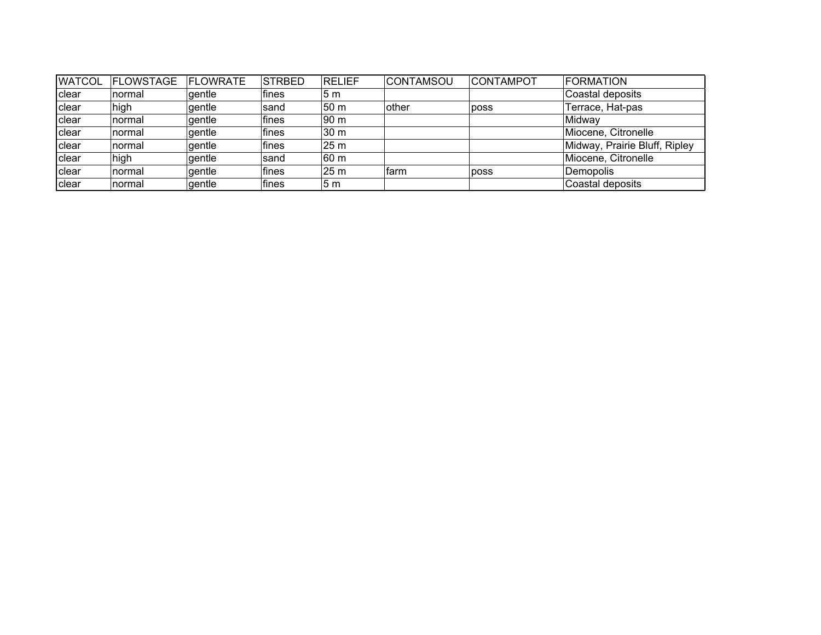| <b>WATCOL</b> | <b>FLOWSTAGE</b> | <b>IFLOWRATE</b> | <b>STRBED</b> | <b>RELIEF</b>   | <b>CONTAMSOU</b> | <b>CONTAMPOT</b> | <b>FORMATION</b>              |
|---------------|------------------|------------------|---------------|-----------------|------------------|------------------|-------------------------------|
| clear         | normal           | gentle           | fines         | 5 m             |                  |                  | Coastal deposits              |
| clear         | high             | gentle           | sand          | 50 <sub>m</sub> | other            | poss             | Terrace, Hat-pas              |
| <b>clear</b>  | normal           | gentle           | fines         | 90 <sub>m</sub> |                  |                  | Midway                        |
| clear         | normal           | gentle           | fines         | 30 <sub>m</sub> |                  |                  | Miocene, Citronelle           |
| <b>clear</b>  | normal           | gentle           | fines         | 25 <sub>m</sub> |                  |                  | Midway, Prairie Bluff, Ripley |
| <b>clear</b>  | high             | gentle           | sand          | 60 m            |                  |                  | Miocene, Citronelle           |
| clear         | normal           | gentle           | fines         | 25 <sub>m</sub> | farm             | poss             | Demopolis                     |
| clear         | normal           | gentle           | fines         | 5 <sub>m</sub>  |                  |                  | Coastal deposits              |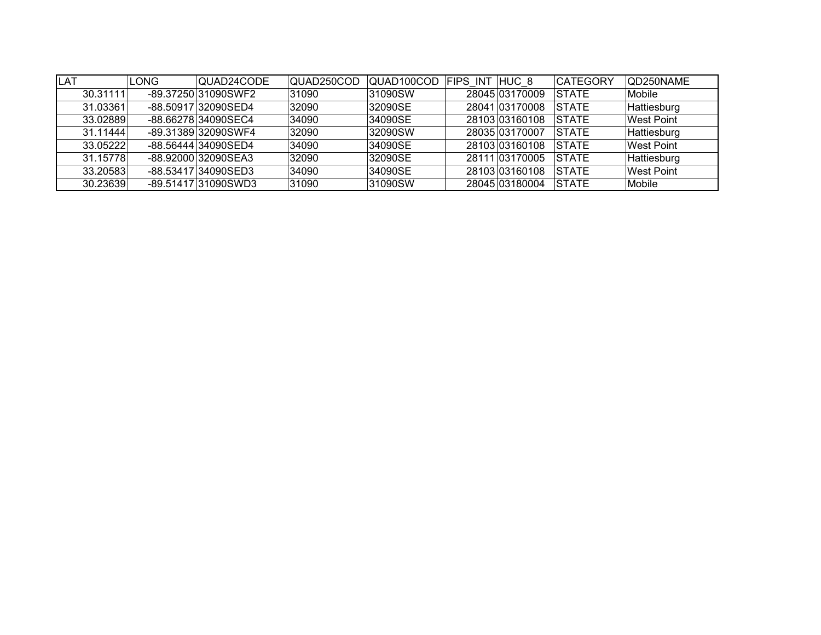| <b>ILAT</b> | LONG | QUAD24CODE          | QUAD250COD | QUAD100COD FIPS INT HUC 8 |                | <b>CATEGORY</b> | QD250NAME         |
|-------------|------|---------------------|------------|---------------------------|----------------|-----------------|-------------------|
| 30.31111    |      | -89.37250 31090SWF2 | 31090      | 31090SW                   | 28045 03170009 | <b>STATE</b>    | Mobile            |
| 31.03361    |      | -88.50917 32090SED4 | 32090      | 32090SE                   | 28041 03170008 | <b>STATE</b>    | Hattiesburg       |
| 33.02889    |      | -88.66278 34090SEC4 | 34090      | 34090SE                   | 28103 03160108 | <b>STATE</b>    | <b>West Point</b> |
| 31.11444    |      | -89.31389 32090SWF4 | 32090      | 32090SW                   | 28035 03170007 | <b>STATE</b>    | Hattiesburg       |
| 33.05222    |      | -88.56444 34090SED4 | 34090      | 34090SE                   | 28103 03160108 | <b>STATE</b>    | <b>West Point</b> |
| 31.15778    |      | -88.92000 32090SEA3 | 32090      | 32090SE                   | 28111 03170005 | <b>STATE</b>    | Hattiesburg       |
| 33.20583    |      | -88.53417 34090SED3 | 34090      | 34090SE                   | 28103 03160108 | <b>ISTATE</b>   | <b>West Point</b> |
| 30.23639    |      | -89.51417 31090SWD3 | 31090      | 31090SW                   | 28045 03180004 | <b>STATE</b>    | Mobile            |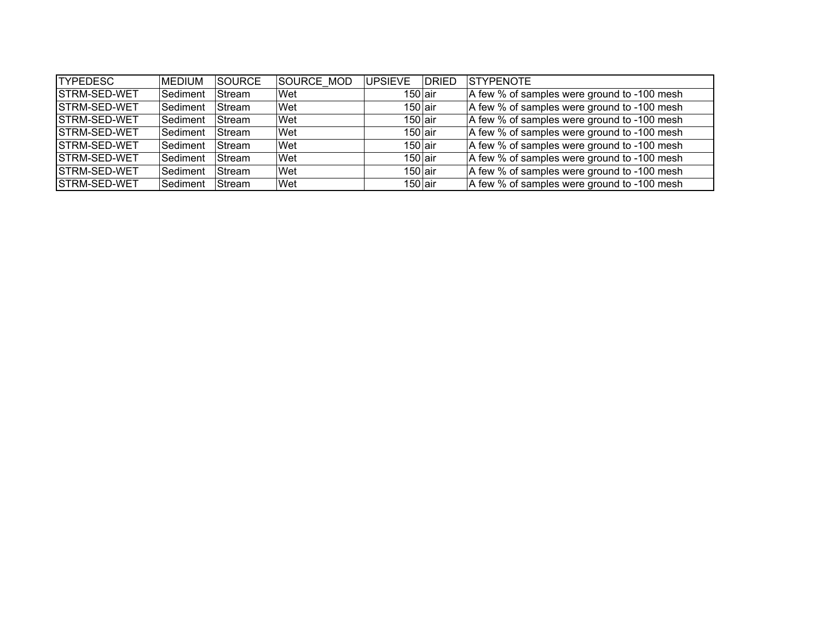| <b>TYPEDESC</b>      | <b>MEDIUM</b> | SOURCE        | SOURCE MOD | <b>UPSIEVE</b> | <b>DRIED</b> | <b>STYPENOTE</b>                            |
|----------------------|---------------|---------------|------------|----------------|--------------|---------------------------------------------|
| <b>STRM-SED-WET</b>  | Sediment      | Stream        | Wet        | $150$ air      |              | A few % of samples were ground to -100 mesh |
| <b>ISTRM-SED-WET</b> | Sediment      | lStream       | Wet        | $150$ air      |              | A few % of samples were ground to -100 mesh |
| <b>ISTRM-SED-WET</b> | Sediment      | Stream        | Wet        | $150$ air      |              | A few % of samples were ground to -100 mesh |
| <b>ISTRM-SED-WET</b> | Sediment      | <b>Stream</b> | Wet        | $150$ air      |              | A few % of samples were ground to -100 mesh |
| <b>ISTRM-SED-WET</b> | Sediment      | Stream        | Wet        | $150$ air      |              | A few % of samples were ground to -100 mesh |
| <b>ISTRM-SED-WET</b> | Sediment      | Stream        | Wet        | $150$ air      |              | A few % of samples were ground to -100 mesh |
| <b>ISTRM-SED-WET</b> | Sediment      | Stream        | Wet        | 150 air        |              | A few % of samples were ground to -100 mesh |
| <b>ISTRM-SED-WET</b> | Sediment      | Stream        | Wet        | $150$ air      |              | A few % of samples were ground to -100 mesh |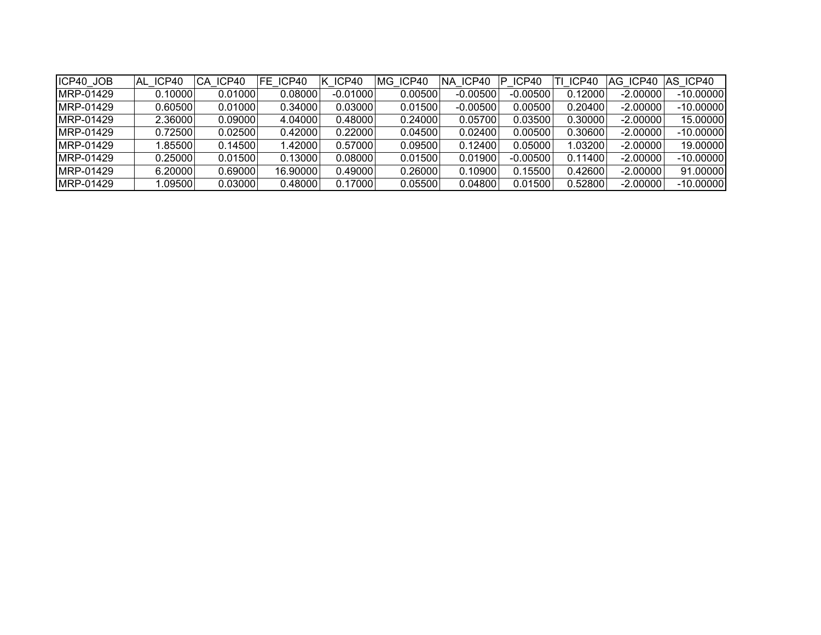| ICP40 JOB         | AL ICP40 | CA ICP40 | FE ICP40 | K ICP40   | MG ICP40 | NA ICP40   | ICP40<br>P | ICP40      | AG ICP40   | AS ICP40    |
|-------------------|----------|----------|----------|-----------|----------|------------|------------|------------|------------|-------------|
| <b>IMRP-01429</b> | 0.10000  | 0.01000  | 0.08000  | -0.010001 | 0.00500  | $-0.00500$ | $-0.00500$ | 0.12000    | $-2.00000$ | $-10.00000$ |
| <b>IMRP-01429</b> | 0.60500  | 0.01000  | 0.34000  | 0.03000   | 0.01500  | $-0.00500$ | 0.00500    | 0.20400    | $-2.00000$ | $-10.00000$ |
| IMRP-01429        | 2.36000  | 0.09000  | 4.04000  | 0.48000   | 0.24000  | 0.05700    | 0.03500    | 0.30000    | $-2.00000$ | 15.00000    |
| IMRP-01429        | 0.72500  | 0.02500  | 0.42000  | 0.22000   | 0.04500  | 0.02400    | 0.00500    | 0.30600    | $-2.00000$ | $-10.00000$ |
| IMRP-01429        | .85500   | 0.14500  | 1.42000  | 0.57000   | 0.09500  | 0.12400    | 0.05000    | ا 03200. ا | $-2.00000$ | 19.00000    |
| <b>IMRP-01429</b> | 0.25000  | 0.01500  | 0.13000  | 0.08000   | 0.01500  | 0.01900    | $-0.00500$ | 0.11400    | $-2.00000$ | $-10.00000$ |
| IMRP-01429        | 6.20000  | 0.69000  | 16.90000 | 0.49000   | 0.26000  | 0.10900    | 0.15500    | 0.42600    | $-2.00000$ | 91.00000    |
| MRP-01429         | .09500   | 0.03000  | 0.48000  | 0.17000   | 0.05500  | 0.04800    | 0.01500    | 0.52800    | $-2.00000$ | $-10.00000$ |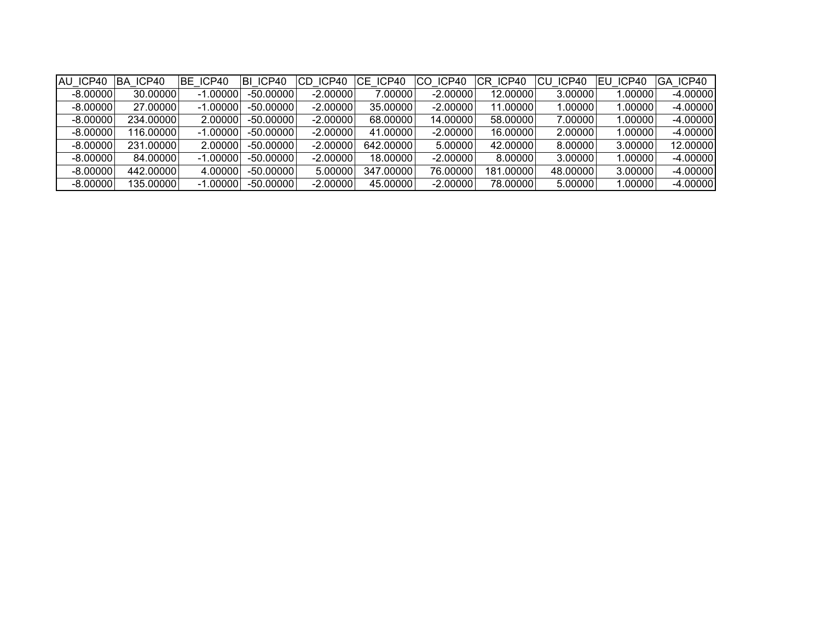| AU ICP40   | ICP40<br>BA | BE ICP40   | BI ICP40    | ICP40<br>CD. | CE ICP40  | ICP40<br>CO. | CR ICP40  | ICP40<br>CU. | EU ICP40 | GA ICP40   |
|------------|-------------|------------|-------------|--------------|-----------|--------------|-----------|--------------|----------|------------|
| $-8.00000$ | 30.00000    | $-1.00000$ | $-50.00000$ | $-2.00000$   | 7.00000   | $-2.00000$   | 12.00000  | 3.00000      | 1.00000  | $-4.00000$ |
| $-8.00000$ | 27.00000    | $-1.00000$ | $-50.00000$ | $-2.00000$   | 35.00000  | $-2.00000$   | 11.00000  | 1.00000      | 1.00000  | $-4.00000$ |
| $-8.00000$ | 234.00000   | 2.00000    | $-50.00000$ | $-2.00000$   | 68.00000  | 14.00000     | 58.00000  | 7.00000      | 1.00000  | $-4.00000$ |
| $-8.00000$ | 116.00000   | $-1.00000$ | $-50.00000$ | $-2.00000$   | 41.00000  | $-2.00000$   | 16.00000  | 2.00000      | 1.00000  | $-4.00000$ |
| $-8.00000$ | 231.00000   | 2.00000    | $-50.00000$ | $-2.00000$   | 642.00000 | 5.00000      | 42.00000  | 8.00000      | 3.00000  | 12.00000   |
| $-8.00000$ | 84.00000    | $-1.00000$ | $-50.00000$ | $-2.00000$   | 18.00000  | $-2.00000$   | 8.00000   | 3.00000      | 1.00000  | $-4.00000$ |
| $-8.00000$ | 442.00000   | 4.00000    | $-50.00000$ | 5.00000      | 347.00000 | 76.00000     | 181.00000 | 48.00000     | 3.00000  | $-4.00000$ |
| $-8.00000$ | 135.00000   | $-1.00000$ | $-50.00000$ | $-2.00000$   | 45.00000  | $-2.00000$   | 78.00000  | 5.00000      | 1.00000  | $-4.00000$ |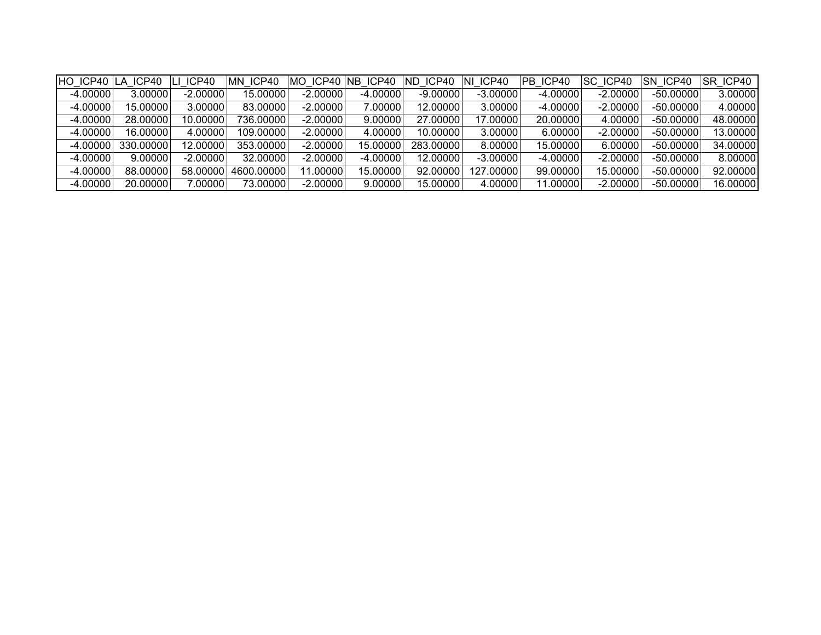| HO ICP40 LA ICP40 |           | LI ICP40   | MN ICP40   | MO ICP40 NB ICP40 |            | ND ICP40   | NI ICP40   | PB ICP40   | SC ICP40   | <b>ISN ICP40</b> | SR ICP40 |
|-------------------|-----------|------------|------------|-------------------|------------|------------|------------|------------|------------|------------------|----------|
| $-4.00000$        | 3.00000   | $-2.00000$ | 15.00000   | $-2.00000$        | $-4.00000$ | $-9.00000$ | $-3.00000$ | $-4.00000$ | $-2.00000$ | $-50.00000$      | 3.00000  |
| $-4.00000$        | 15.00000  | 3.00000    | 83.00000   | $-2.00000$        | 7.00000    | 12.00000   | 3.00000    | $-4.00000$ | $-2.00000$ | $-50.00000$      | 4.00000  |
| $-4.00000$        | 28.00000  | 10.00000   | 736.00000  | $-2.00000$        | 9.00000    | 27.00000   | 17.00000   | 20.00000   | 4.00000    | $-50.00000$      | 48.00000 |
| $-4.00000$        | 16.00000  | 4.00000    | 109.00000  | $-2.00000$        | 4.00000    | 10.00000   | 3.00000    | 6.00000    | $-2.00000$ | $-50.00000$      | 13.00000 |
| $-4.00000$        | 330.00000 | 12.00000   | 353.00000  | $-2.00000$        | 15.00000   | 283.00000  | 8.00000    | 15.00000   | 6.00000    | $-50.00000$      | 34.00000 |
| $-4.00000$        | 9.00000   | $-2.00000$ | 32.00000   | $-2.00000$        | $-4.00000$ | 12.00000   | $-3.00000$ | $-4.00000$ | $-2.00000$ | $-50.00000$      | 8.00000  |
| $-4.00000$        | 88.00000  | 58.00000   | 4600.00000 | 11.00000          | 15.00000   | 92.00000   | 127.00000  | 99.00000   | 15.00000   | $-50.00000$      | 92.00000 |
| $-4.00000$        | 20.00000  | 7.00000    | 73.00000   | $-2.00000$        | 9.00000    | 15.00000   | 4.00000    | 11.00000   | $-2.00000$ | $-50.00000$      | 16.00000 |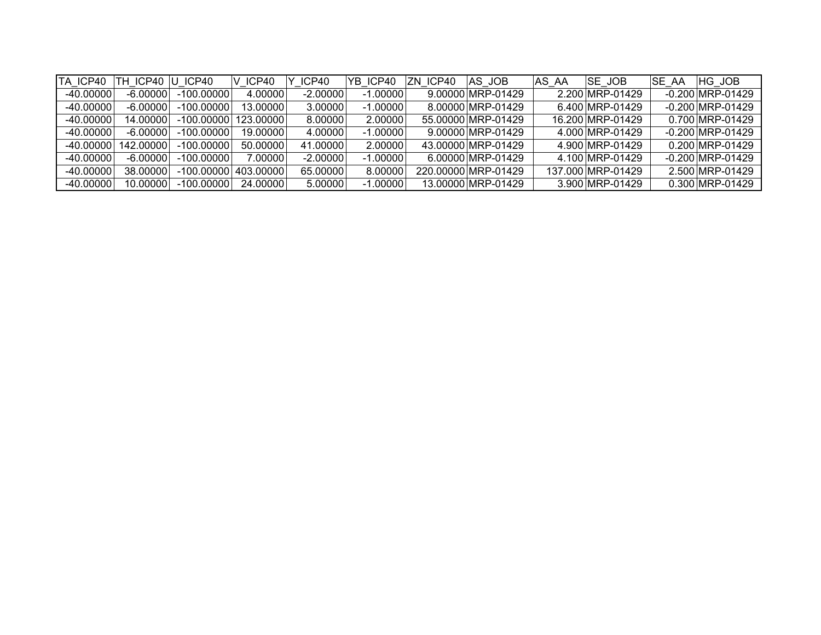| TA ICP40    | ICP40<br>H | ICP40        | V ICP40    | ICP40      | YB ICP40   | ZN ICP40 | IAS JOB             | <b>SE JOB</b><br>AS AA | SE AA<br>HG JOB        |
|-------------|------------|--------------|------------|------------|------------|----------|---------------------|------------------------|------------------------|
| $-40.00000$ | -6.000001  | -100.00000   | 4.00000    | $-2.00000$ | $-1.00000$ |          | 9.00000 MRP-01429   | 2.200 MRP-01429        | $-0.200$ MRP-01429     |
| -40.00000   | -6.000001  | -100.00000   | 13.00000   | 3.00000    | $-1.00000$ |          | 8.00000 MRP-01429   | 6.400 MRP-01429        | $-0.200$ MRP-01429     |
| -40.00000   | 14.000001  | -100.00000   | 123.000001 | 8.000001   | 2.00000    |          | 55.00000 MRP-01429  | 16.200 MRP-01429       | 0.700 MRP-01429        |
| -40.00000   | -6.000001  | $-100.00000$ | 19.00000   | 4.00000    | $-1.00000$ |          | 9.00000 MRP-01429   | 4.000 MRP-01429        | $-0.200$ MRP $-0.1429$ |
| -40.00000   | 142.00000  | -100.00000   | 50.00000   | 41.00000   | 2.00000    |          | 43.00000 MRP-01429  | 4.900 MRP-01429        | 0.200 MRP-01429        |
| -40.00000   | -6.000001  | $-100.00000$ | 7.00000    | $-2.00000$ | $-1.00000$ |          | 6.00000 MRP-01429   | 4.100 MRP-01429        | $-0.200$ MRP $-0.1429$ |
| -40.00000   | 38.000001  | -100.00000   | 403.00000  | 65.00000   | 8.00000    |          | 220.00000 MRP-01429 | 137.000 MRP-01429      | 2.500 MRP-01429        |
| -40.00000   | 10.00000   | $-100.00000$ | 24.00000   | 5.00000    | $-1.00000$ |          | 13.00000 MRP-01429  | 3.900 MRP-01429        | 0.300 MRP-01429        |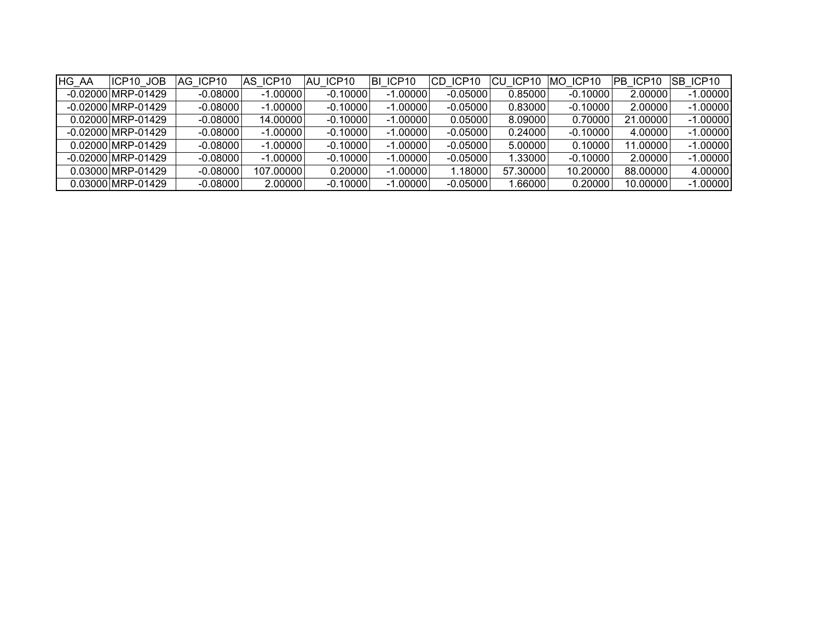| <b>HG AA</b> | ICP10 JOB            | AG ICP10   | IAS ICP10  | IAU ICP10  | BI ICP10   | CD ICP10   | <b>CU ICP10</b> | MO ICP10   | PB ICP10 | ISB ICP10  |
|--------------|----------------------|------------|------------|------------|------------|------------|-----------------|------------|----------|------------|
|              | $-0.02000$ MRP-01429 | $-0.08000$ | $-1.00000$ | $-0.10000$ | $-1.00000$ | $-0.05000$ | 0.85000         | $-0.10000$ | 2.00000  | $-1.00000$ |
|              | $-0.02000$ MRP-01429 | $-0.08000$ | $-1.00000$ | $-0.10000$ | $-1.00000$ | $-0.05000$ | 0.83000         | $-0.10000$ | 2.00000  | $-1.00000$ |
|              | 0.02000 MRP-01429    | $-0.08000$ | 14.00000   | $-0.10000$ | $-1.00000$ | 0.05000    | 8.09000         | 0.70000    | 21.00000 | $-1.00000$ |
|              | -0.02000 MRP-01429   | $-0.08000$ | $-1.00000$ | $-0.10000$ | $-1.00000$ | $-0.05000$ | 0.24000         | $-0.10000$ | 4.00000  | $-1.00000$ |
|              | 0.02000 MRP-01429    | $-0.08000$ | $-1.00000$ | $-0.10000$ | $-1.00000$ | $-0.05000$ | 5.00000         | 0.10000    | 11.00000 | $-1.00000$ |
|              | -0.02000 MRP-01429   | $-0.08000$ | $-1.00000$ | $-0.10000$ | $-1.00000$ | $-0.05000$ | 1.330001        | $-0.10000$ | 2.00000  | $-1.00000$ |
|              | 0.03000 MRP-01429    | $-0.08000$ | 107.00000  | 0.20000    | $-1.00000$ | 1.18000    | 57.30000        | 10.20000   | 88,00000 | 4.00000    |
|              | 0.03000 MRP-01429    | $-0.08000$ | 2.00000    | $-0.10000$ | $-1.00000$ | $-0.05000$ | ا0000. ا        | 0.20000    | 10.00000 | $-1.00000$ |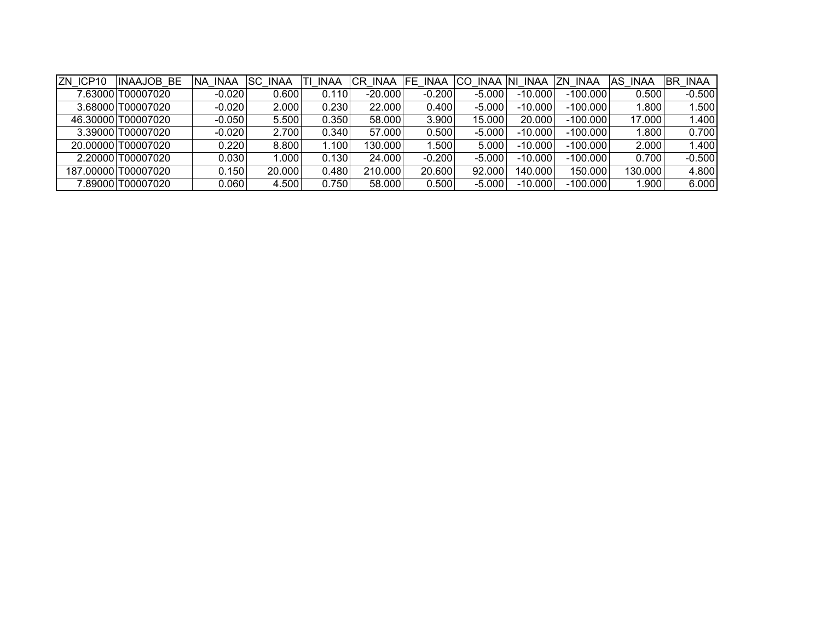| ZN ICP10 | <b>INAAJOB BE</b>   | NA INAA  | <b>SC INAA</b> | <b>INAA</b><br>Τl | CR INAA   | <b>FE INAA</b> | CO.      | INAA NI INAA | ZN INAA    | AS INAA | BR<br><b>INAA</b> |
|----------|---------------------|----------|----------------|-------------------|-----------|----------------|----------|--------------|------------|---------|-------------------|
|          | 7.63000 T00007020   | $-0.020$ | 0.600          | 0.110             | $-20.000$ | $-0.200$       | $-5.000$ | $-10.000$    | $-100.000$ | 0.500   | $-0.500$          |
|          | 3.68000 T00007020   | $-0.020$ | 2.000          | 0.230             | 22.000    | 0.400          | $-5.000$ | $-10.000$    | $-100.000$ | 1.800   | .500              |
|          | 46.30000 T00007020  | $-0.050$ | 5.500          | 0.350             | 58.000    | 3.900          | 15.000   | 20.000       | $-100.000$ | 17.000  | 1.400             |
|          | 3.39000 T00007020   | $-0.020$ | 2.700          | 0.340             | 57.000    | 0.500          | $-5.000$ | $-10.000$    | $-100.000$ | 1.800   | 0.700             |
|          | 20.00000 T00007020  | 0.220    | 8.800          | .100              | 130.000   | .500           | 5.000    | $-10.000$    | $-100.000$ | 2.000   | 1.400             |
|          | 2.20000 T00007020   | 0.030    | 1.000          | 0.130             | 24.000    | $-0.200$       | $-5.000$ | $-10.000$    | $-100.000$ | 0.700   | $-0.500$          |
|          | 187.00000 T00007020 | 0.150    | 20,000         | 0.480             | 210.000   | 20.600         | 92.000   | 140.000      | 150.000    | 130.000 | 4.800             |
|          | 7.89000 T00007020   | 0.060    | 4.500          | 0.750             | 58.000    | 0.500          | $-5.000$ | $-10.000$    | $-100.000$ | 1.900   | 6.000             |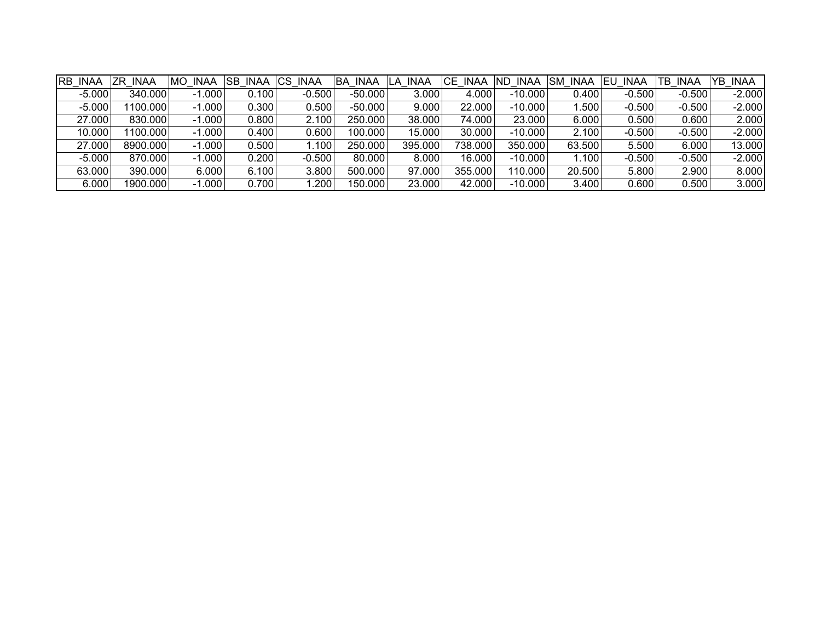| RB INAA  | <b>INAA</b><br>ZR | <b>MO INAA</b> | <b>SB</b> | INAA CS INAA | <b>BA INAA</b> | <b>INAA</b><br>LA. | CE INAA | ND.<br><b>INAA</b> | <b>SM</b><br><b>INAA</b> | EU<br>INAA | TB INAA  | YB INAA  |
|----------|-------------------|----------------|-----------|--------------|----------------|--------------------|---------|--------------------|--------------------------|------------|----------|----------|
| $-5.000$ | 340.000           | $-1.000$       | 0.100     | $-0.500$     | $-50.000$      | 3.000              | 4.000   | $-10.000$          | 0.400                    | $-0.500$   | $-0.500$ | $-2.000$ |
| $-5.000$ | 1100.000          | $-1.000$       | 0.300     | 0.500        | $-50.000$      | 9.000              | 22.000  | $-10.000$          | 1.500                    | $-0.500$   | $-0.500$ | $-2.000$ |
| 27.000   | 830.000           | $-1.000$       | 0.800     | 2.100        | 250.000        | 38.000             | 74.000  | 23.000             | 6.000                    | 0.500      | 0.600    | 2.000    |
| 10.000   | 1100.000          | $-1.000$       | 0.400     | 0.600        | 100.000        | 15.000             | 30.000  | $-10.000$          | 2.100                    | $-0.500$   | $-0.500$ | $-2.000$ |
| 27.000   | 8900.000          | $-1.000$       | 0.500     | .100         | 250.000        | 395.000            | 738.000 | 350.000            | 63.500                   | 5.500      | 6.000    | 13.000   |
| $-5.000$ | 870.000           | $-1.000$       | 0.200     | $-0.500$     | 80.000         | 8.000              | 16.000  | $-10.000$          | 1.100                    | $-0.500$   | $-0.500$ | $-2.000$ |
| 63.000   | 390.000           | 6.000          | 6.100     | 3.800        | 500.000        | 97.000             | 355.000 | 110.000            | 20.500                   | 5.800      | 2.900    | 8.000    |
| 6.000    | 1900.000          | $-1.000$       | 0.700     | .200         | 150.000        | 23.000             | 42.000  | $-10.000$          | 3.400                    | 0.600      | 0.500    | 3.000    |